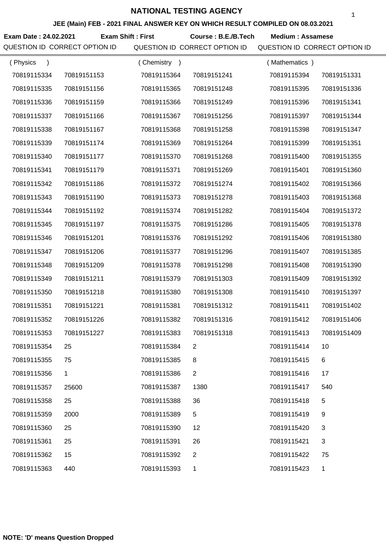**JEE (Main) FEB - 2021 FINAL ANSWER KEY ON WHICH RESULT COMPILED ON 08.03.2021**

**Exam Date : 24.02.2021 Course : B.E./B.Tech Medium : Assamese Exam Shift : First** QUESTION ID CORRECT OPTION ID QUESTION ID CORRECT OPTION ID QUESTION ID CORRECT OPTION ID

| (Physics<br>$\lambda$ |              | (Chemistry)<br>$\rightarrow$ |                | (Mathematics) |             |
|-----------------------|--------------|------------------------------|----------------|---------------|-------------|
| 70819115334           | 70819151153  | 70819115364                  | 70819151241    | 70819115394   | 70819151331 |
| 70819115335           | 70819151156  | 70819115365                  | 70819151248    | 70819115395   | 70819151336 |
| 70819115336           | 70819151159  | 70819115366                  | 70819151249    | 70819115396   | 70819151341 |
| 70819115337           | 70819151166  | 70819115367                  | 70819151256    | 70819115397   | 70819151344 |
| 70819115338           | 70819151167  | 70819115368                  | 70819151258    | 70819115398   | 70819151347 |
| 70819115339           | 70819151174  | 70819115369                  | 70819151264    | 70819115399   | 70819151351 |
| 70819115340           | 70819151177  | 70819115370                  | 70819151268    | 70819115400   | 70819151355 |
| 70819115341           | 70819151179  | 70819115371                  | 70819151269    | 70819115401   | 70819151360 |
| 70819115342           | 70819151186  | 70819115372                  | 70819151274    | 70819115402   | 70819151366 |
| 70819115343           | 70819151190  | 70819115373                  | 70819151278    | 70819115403   | 70819151368 |
| 70819115344           | 70819151192  | 70819115374                  | 70819151282    | 70819115404   | 70819151372 |
| 70819115345           | 70819151197  | 70819115375                  | 70819151286    | 70819115405   | 70819151378 |
| 70819115346           | 70819151201  | 70819115376                  | 70819151292    | 70819115406   | 70819151380 |
| 70819115347           | 70819151206  | 70819115377                  | 70819151296    | 70819115407   | 70819151385 |
| 70819115348           | 70819151209  | 70819115378                  | 70819151298    | 70819115408   | 70819151390 |
| 70819115349           | 70819151211  | 70819115379                  | 70819151303    | 70819115409   | 70819151392 |
| 70819115350           | 70819151218  | 70819115380                  | 70819151308    | 70819115410   | 70819151397 |
| 70819115351           | 70819151221  | 70819115381                  | 70819151312    | 70819115411   | 70819151402 |
| 70819115352           | 70819151226  | 70819115382                  | 70819151316    | 70819115412   | 70819151406 |
| 70819115353           | 70819151227  | 70819115383                  | 70819151318    | 70819115413   | 70819151409 |
| 70819115354           | 25           | 70819115384                  |                | 70819115414   | 10          |
| 70819115355           | 75           | 70819115385                  | 8              | 70819115415   | 6           |
| 70819115356           | $\mathbf{1}$ | 70819115386                  | $\overline{2}$ | 70819115416   | 17          |
| 70819115357           | 25600        | 70819115387                  | 1380           | 70819115417   | 540         |
| 70819115358           | 25           | 70819115388                  | 36             | 70819115418   | 5           |
| 70819115359           | 2000         | 70819115389                  | 5              | 70819115419   | 9           |
| 70819115360           | 25           | 70819115390                  | 12             | 70819115420   | 3           |
| 70819115361           | 25           | 70819115391                  | 26             | 70819115421   | 3           |
| 70819115362           | 15           | 70819115392                  | $\overline{2}$ | 70819115422   | 75          |
| 70819115363           | 440          | 70819115393                  | 1              | 70819115423   | 1           |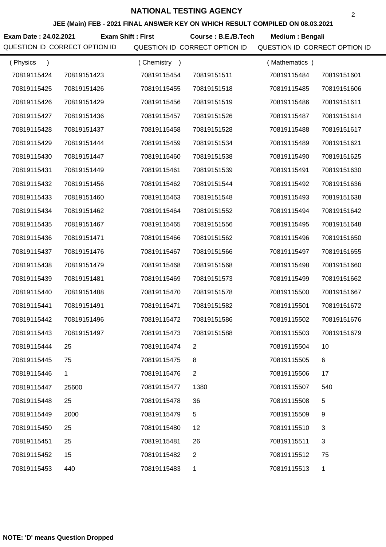#### **JEE (Main) FEB - 2021 FINAL ANSWER KEY ON WHICH RESULT COMPILED ON 08.03.2021**

**Exam Date : 24.02.2021 Course : B.E./B.Tech Medium : Bengali Exam Shift : First**

| (Physics    |             | (Chemistry<br>$\rightarrow$ |                | (Mathematics) |              |
|-------------|-------------|-----------------------------|----------------|---------------|--------------|
| 70819115424 | 70819151423 | 70819115454                 | 70819151511    | 70819115484   | 70819151601  |
| 70819115425 | 70819151426 | 70819115455                 | 70819151518    | 70819115485   | 70819151606  |
| 70819115426 | 70819151429 | 70819115456                 | 70819151519    | 70819115486   | 70819151611  |
| 70819115427 | 70819151436 | 70819115457                 | 70819151526    | 70819115487   | 70819151614  |
| 70819115428 | 70819151437 | 70819115458                 | 70819151528    | 70819115488   | 70819151617  |
| 70819115429 | 70819151444 | 70819115459                 | 70819151534    | 70819115489   | 70819151621  |
| 70819115430 | 70819151447 | 70819115460                 | 70819151538    | 70819115490   | 70819151625  |
| 70819115431 | 70819151449 | 70819115461                 | 70819151539    | 70819115491   | 70819151630  |
| 70819115432 | 70819151456 | 70819115462                 | 70819151544    | 70819115492   | 70819151636  |
| 70819115433 | 70819151460 | 70819115463                 | 70819151548    | 70819115493   | 70819151638  |
| 70819115434 | 70819151462 | 70819115464                 | 70819151552    | 70819115494   | 70819151642  |
| 70819115435 | 70819151467 | 70819115465                 | 70819151556    | 70819115495   | 70819151648  |
| 70819115436 | 70819151471 | 70819115466                 | 70819151562    | 70819115496   | 70819151650  |
| 70819115437 | 70819151476 | 70819115467                 | 70819151566    | 70819115497   | 70819151655  |
| 70819115438 | 70819151479 | 70819115468                 | 70819151568    | 70819115498   | 70819151660  |
| 70819115439 | 70819151481 | 70819115469                 | 70819151573    | 70819115499   | 70819151662  |
| 70819115440 | 70819151488 | 70819115470                 | 70819151578    | 70819115500   | 70819151667  |
| 70819115441 | 70819151491 | 70819115471                 | 70819151582    | 70819115501   | 70819151672  |
| 70819115442 | 70819151496 | 70819115472                 | 70819151586    | 70819115502   | 70819151676  |
| 70819115443 | 70819151497 | 70819115473                 | 70819151588    | 70819115503   | 70819151679  |
| 70819115444 | 25          | 70819115474                 |                | 70819115504   | 10           |
| 70819115445 | 75          | 70819115475                 | 8              | 70819115505   | 6            |
| 70819115446 | 1           | 70819115476                 | $\overline{2}$ | 70819115506   | 17           |
| 70819115447 | 25600       | 70819115477                 | 1380           | 70819115507   | 540          |
| 70819115448 | 25          | 70819115478                 | 36             | 70819115508   | 5            |
| 70819115449 | 2000        | 70819115479                 | 5              | 70819115509   | 9            |
| 70819115450 | 25          | 70819115480                 | 12             | 70819115510   | 3            |
| 70819115451 | 25          | 70819115481                 | 26             | 70819115511   | 3            |
| 70819115452 | 15          | 70819115482                 | $\overline{2}$ | 70819115512   | 75           |
| 70819115453 | 440         | 70819115483                 | 1              | 70819115513   | $\mathbf{1}$ |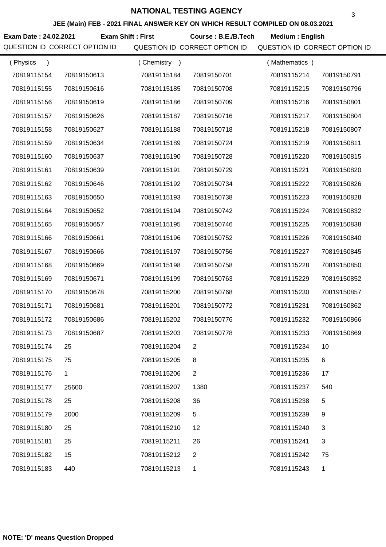#### **JEE (Main) FEB - 2021 FINAL ANSWER KEY ON WHICH RESULT COMPILED ON 08.03.2021**

**Exam Date : 24.02.2021 Course : B.E./B.Tech Medium : English Exam Shift : First**

| (Physics<br>$\lambda$ |             | (Chemistry) |                | (Mathematics) |              |
|-----------------------|-------------|-------------|----------------|---------------|--------------|
| 70819115154           | 70819150613 | 70819115184 | 70819150701    | 70819115214   | 70819150791  |
| 70819115155           | 70819150616 | 70819115185 | 70819150708    | 70819115215   | 70819150796  |
| 70819115156           | 70819150619 | 70819115186 | 70819150709    | 70819115216   | 70819150801  |
| 70819115157           | 70819150626 | 70819115187 | 70819150716    | 70819115217   | 70819150804  |
| 70819115158           | 70819150627 | 70819115188 | 70819150718    | 70819115218   | 70819150807  |
| 70819115159           | 70819150634 | 70819115189 | 70819150724    | 70819115219   | 70819150811  |
| 70819115160           | 70819150637 | 70819115190 | 70819150728    | 70819115220   | 70819150815  |
| 70819115161           | 70819150639 | 70819115191 | 70819150729    | 70819115221   | 70819150820  |
| 70819115162           | 70819150646 | 70819115192 | 70819150734    | 70819115222   | 70819150826  |
| 70819115163           | 70819150650 | 70819115193 | 70819150738    | 70819115223   | 70819150828  |
| 70819115164           | 70819150652 | 70819115194 | 70819150742    | 70819115224   | 70819150832  |
| 70819115165           | 70819150657 | 70819115195 | 70819150746    | 70819115225   | 70819150838  |
| 70819115166           | 70819150661 | 70819115196 | 70819150752    | 70819115226   | 70819150840  |
| 70819115167           | 70819150666 | 70819115197 | 70819150756    | 70819115227   | 70819150845  |
| 70819115168           | 70819150669 | 70819115198 | 70819150758    | 70819115228   | 70819150850  |
| 70819115169           | 70819150671 | 70819115199 | 70819150763    | 70819115229   | 70819150852  |
| 70819115170           | 70819150678 | 70819115200 | 70819150768    | 70819115230   | 70819150857  |
| 70819115171           | 70819150681 | 70819115201 | 70819150772    | 70819115231   | 70819150862  |
| 70819115172           | 70819150686 | 70819115202 | 70819150776    | 70819115232   | 70819150866  |
| 70819115173           | 70819150687 | 70819115203 | 70819150778    | 70819115233   | 70819150869  |
| 70819115174           | 25          | 70819115204 | 2              | 70819115234   | 10           |
| 70819115175           | 75          | 70819115205 | 8              | 70819115235   | 6            |
| 70819115176           | 1           | 70819115206 | $\overline{2}$ | 70819115236   | 17           |
| 70819115177           | 25600       | 70819115207 | 1380           | 70819115237   | 540          |
| 70819115178           | 25          | 70819115208 | 36             | 70819115238   | 5            |
| 70819115179           | 2000        | 70819115209 | 5              | 70819115239   | 9            |
| 70819115180           | 25          | 70819115210 | 12             | 70819115240   | 3            |
| 70819115181           | 25          | 70819115211 | 26             | 70819115241   | 3            |
| 70819115182           | 15          | 70819115212 | $\overline{2}$ | 70819115242   | 75           |
| 70819115183           | 440         | 70819115213 | 1              | 70819115243   | $\mathbf{1}$ |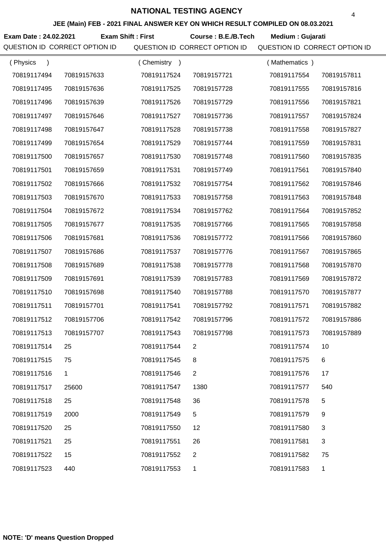#### **JEE (Main) FEB - 2021 FINAL ANSWER KEY ON WHICH RESULT COMPILED ON 08.03.2021**

**Exam Date : 24.02.2021 Course : B.E./B.Tech Medium : Gujarati Exam Shift : First**

| (Physics<br>$\mathcal{E}$ |              | (Chemistry<br>$\rightarrow$ |                | (Mathematics) |             |
|---------------------------|--------------|-----------------------------|----------------|---------------|-------------|
| 70819117494               | 70819157633  | 70819117524                 | 70819157721    | 70819117554   | 70819157811 |
| 70819117495               | 70819157636  | 70819117525                 | 70819157728    | 70819117555   | 70819157816 |
| 70819117496               | 70819157639  | 70819117526                 | 70819157729    | 70819117556   | 70819157821 |
| 70819117497               | 70819157646  | 70819117527                 | 70819157736    | 70819117557   | 70819157824 |
| 70819117498               | 70819157647  | 70819117528                 | 70819157738    | 70819117558   | 70819157827 |
| 70819117499               | 70819157654  | 70819117529                 | 70819157744    | 70819117559   | 70819157831 |
| 70819117500               | 70819157657  | 70819117530                 | 70819157748    | 70819117560   | 70819157835 |
| 70819117501               | 70819157659  | 70819117531                 | 70819157749    | 70819117561   | 70819157840 |
| 70819117502               | 70819157666  | 70819117532                 | 70819157754    | 70819117562   | 70819157846 |
| 70819117503               | 70819157670  | 70819117533                 | 70819157758    | 70819117563   | 70819157848 |
| 70819117504               | 70819157672  | 70819117534                 | 70819157762    | 70819117564   | 70819157852 |
| 70819117505               | 70819157677  | 70819117535                 | 70819157766    | 70819117565   | 70819157858 |
| 70819117506               | 70819157681  | 70819117536                 | 70819157772    | 70819117566   | 70819157860 |
| 70819117507               | 70819157686  | 70819117537                 | 70819157776    | 70819117567   | 70819157865 |
| 70819117508               | 70819157689  | 70819117538                 | 70819157778    | 70819117568   | 70819157870 |
| 70819117509               | 70819157691  | 70819117539                 | 70819157783    | 70819117569   | 70819157872 |
| 70819117510               | 70819157698  | 70819117540                 | 70819157788    | 70819117570   | 70819157877 |
| 70819117511               | 70819157701  | 70819117541                 | 70819157792    | 70819117571   | 70819157882 |
| 70819117512               | 70819157706  | 70819117542                 | 70819157796    | 70819117572   | 70819157886 |
| 70819117513               | 70819157707  | 70819117543                 | 70819157798    | 70819117573   | 70819157889 |
| 70819117514               | 25           | 70819117544                 |                | 70819117574   | 10          |
| 70819117515               | 75           | 70819117545                 | 8              | 70819117575   | 6           |
| 70819117516               | $\mathbf{1}$ | 70819117546                 | $\overline{2}$ | 70819117576   | 17          |
| 70819117517               | 25600        | 70819117547                 | 1380           | 70819117577   | 540         |
| 70819117518               | 25           | 70819117548                 | 36             | 70819117578   | 5           |
| 70819117519               | 2000         | 70819117549                 | 5              | 70819117579   | 9           |
| 70819117520               | 25           | 70819117550                 | 12             | 70819117580   | 3           |
| 70819117521               | 25           | 70819117551                 | 26             | 70819117581   | 3           |
| 70819117522               | 15           | 70819117552                 | 2              | 70819117582   | 75          |
| 70819117523               | 440          | 70819117553                 | 1              | 70819117583   | 1           |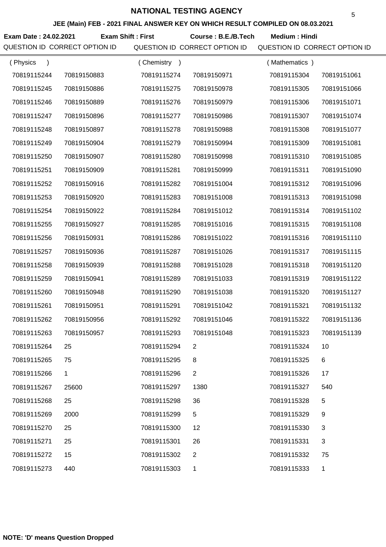#### **JEE (Main) FEB - 2021 FINAL ANSWER KEY ON WHICH RESULT COMPILED ON 08.03.2021**

Exam Date : 24.02.2021 Exam Shift : First Course : B.E./B.Tech Medium : Hindi

| (Physics    |              | (Chemistry) |                | (Mathematics) |             |
|-------------|--------------|-------------|----------------|---------------|-------------|
| 70819115244 | 70819150883  | 70819115274 | 70819150971    | 70819115304   | 70819151061 |
| 70819115245 | 70819150886  | 70819115275 | 70819150978    | 70819115305   | 70819151066 |
| 70819115246 | 70819150889  | 70819115276 | 70819150979    | 70819115306   | 70819151071 |
| 70819115247 | 70819150896  | 70819115277 | 70819150986    | 70819115307   | 70819151074 |
| 70819115248 | 70819150897  | 70819115278 | 70819150988    | 70819115308   | 70819151077 |
| 70819115249 | 70819150904  | 70819115279 | 70819150994    | 70819115309   | 70819151081 |
| 70819115250 | 70819150907  | 70819115280 | 70819150998    | 70819115310   | 70819151085 |
| 70819115251 | 70819150909  | 70819115281 | 70819150999    | 70819115311   | 70819151090 |
| 70819115252 | 70819150916  | 70819115282 | 70819151004    | 70819115312   | 70819151096 |
| 70819115253 | 70819150920  | 70819115283 | 70819151008    | 70819115313   | 70819151098 |
| 70819115254 | 70819150922  | 70819115284 | 70819151012    | 70819115314   | 70819151102 |
| 70819115255 | 70819150927  | 70819115285 | 70819151016    | 70819115315   | 70819151108 |
| 70819115256 | 70819150931  | 70819115286 | 70819151022    | 70819115316   | 70819151110 |
| 70819115257 | 70819150936  | 70819115287 | 70819151026    | 70819115317   | 70819151115 |
| 70819115258 | 70819150939  | 70819115288 | 70819151028    | 70819115318   | 70819151120 |
| 70819115259 | 70819150941  | 70819115289 | 70819151033    | 70819115319   | 70819151122 |
| 70819115260 | 70819150948  | 70819115290 | 70819151038    | 70819115320   | 70819151127 |
| 70819115261 | 70819150951  | 70819115291 | 70819151042    | 70819115321   | 70819151132 |
| 70819115262 | 70819150956  | 70819115292 | 70819151046    | 70819115322   | 70819151136 |
| 70819115263 | 70819150957  | 70819115293 | 70819151048    | 70819115323   | 70819151139 |
| 70819115264 | 25           | 70819115294 | 2              | 70819115324   | 10          |
| 70819115265 | 75           | 70819115295 | 8              | 70819115325   | 6           |
| 70819115266 | $\mathbf{1}$ | 70819115296 | $\overline{2}$ | 70819115326   | 17          |
| 70819115267 | 25600        | 70819115297 | 1380           | 70819115327   | 540         |
| 70819115268 | 25           | 70819115298 | 36             | 70819115328   | 5           |
| 70819115269 | 2000         | 70819115299 | 5              | 70819115329   | 9           |
| 70819115270 | 25           | 70819115300 | 12             | 70819115330   | 3           |
| 70819115271 | 25           | 70819115301 | 26             | 70819115331   | 3           |
| 70819115272 | 15           | 70819115302 | $\overline{2}$ | 70819115332   | 75          |
| 70819115273 | 440          | 70819115303 | 1              | 70819115333   | 1           |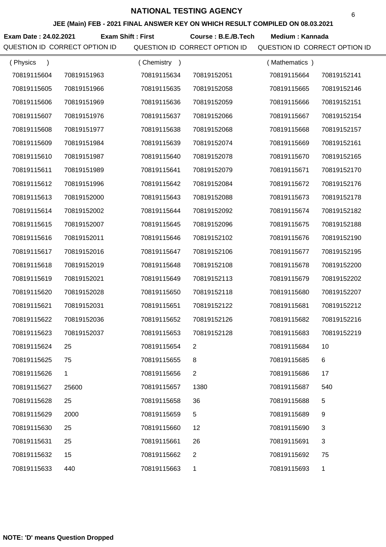#### **JEE (Main) FEB - 2021 FINAL ANSWER KEY ON WHICH RESULT COMPILED ON 08.03.2021**

Exam Date : 24.02.2021 Exam Shift : First Course : B.E./B.Tech Medium : Kannada

| (Physics    |             | (Chemistry<br>$\rightarrow$ |              | (Mathematics) |             |
|-------------|-------------|-----------------------------|--------------|---------------|-------------|
| 70819115604 | 70819151963 | 70819115634                 | 70819152051  | 70819115664   | 70819152141 |
| 70819115605 | 70819151966 | 70819115635                 | 70819152058  | 70819115665   | 70819152146 |
| 70819115606 | 70819151969 | 70819115636                 | 70819152059  | 70819115666   | 70819152151 |
| 70819115607 | 70819151976 | 70819115637                 | 70819152066  | 70819115667   | 70819152154 |
| 70819115608 | 70819151977 | 70819115638                 | 70819152068  | 70819115668   | 70819152157 |
| 70819115609 | 70819151984 | 70819115639                 | 70819152074  | 70819115669   | 70819152161 |
| 70819115610 | 70819151987 | 70819115640                 | 70819152078  | 70819115670   | 70819152165 |
| 70819115611 | 70819151989 | 70819115641                 | 70819152079  | 70819115671   | 70819152170 |
| 70819115612 | 70819151996 | 70819115642                 | 70819152084  | 70819115672   | 70819152176 |
| 70819115613 | 70819152000 | 70819115643                 | 70819152088  | 70819115673   | 70819152178 |
| 70819115614 | 70819152002 | 70819115644                 | 70819152092  | 70819115674   | 70819152182 |
| 70819115615 | 70819152007 | 70819115645                 | 70819152096  | 70819115675   | 70819152188 |
| 70819115616 | 70819152011 | 70819115646                 | 70819152102  | 70819115676   | 70819152190 |
| 70819115617 | 70819152016 | 70819115647                 | 70819152106  | 70819115677   | 70819152195 |
| 70819115618 | 70819152019 | 70819115648                 | 70819152108  | 70819115678   | 70819152200 |
| 70819115619 | 70819152021 | 70819115649                 | 70819152113  | 70819115679   | 70819152202 |
| 70819115620 | 70819152028 | 70819115650                 | 70819152118  | 70819115680   | 70819152207 |
| 70819115621 | 70819152031 | 70819115651                 | 70819152122  | 70819115681   | 70819152212 |
| 70819115622 | 70819152036 | 70819115652                 | 70819152126  | 70819115682   | 70819152216 |
| 70819115623 | 70819152037 | 70819115653                 | 70819152128  | 70819115683   | 70819152219 |
| 70819115624 | 25          | 70819115654                 | 2            | 70819115684   | 10          |
| 70819115625 | 75          | 70819115655                 | 8            | 70819115685   | 6           |
| 70819115626 | 1           | 70819115656                 | $\mathbf{2}$ | 70819115686   | 17          |
| 70819115627 | 25600       | 70819115657                 | 1380         | 70819115687   | 540         |
| 70819115628 | 25          | 70819115658                 | 36           | 70819115688   | 5           |
| 70819115629 | 2000        | 70819115659                 | 5            | 70819115689   | 9           |
| 70819115630 | 25          | 70819115660                 | 12           | 70819115690   | 3           |
| 70819115631 | 25          | 70819115661                 | 26           | 70819115691   | 3           |
| 70819115632 | 15          | 70819115662                 | 2            | 70819115692   | 75          |
| 70819115633 | 440         | 70819115663                 | 1            | 70819115693   | 1           |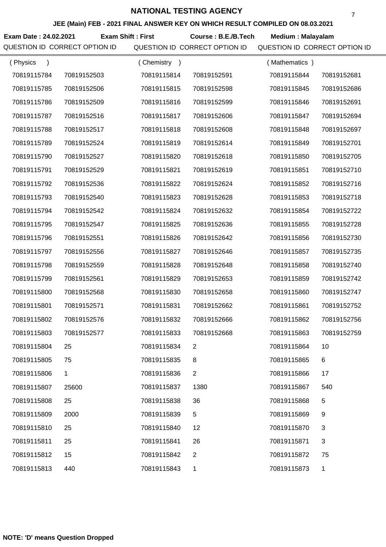#### **JEE (Main) FEB - 2021 FINAL ANSWER KEY ON WHICH RESULT COMPILED ON 08.03.2021**

**Exam Date : 24.02.2021 Course : B.E./B.Tech Medium : Malayalam Exam Shift : First** QUESTION ID CORRECT OPTION ID QUESTION ID CORRECT OPTION ID QUESTION ID CORRECT OPTION ID

| (Physics<br>$\lambda$ |             | (Chemistry<br>$\rightarrow$ |                | (Mathematics) |             |
|-----------------------|-------------|-----------------------------|----------------|---------------|-------------|
| 70819115784           | 70819152503 | 70819115814                 | 70819152591    | 70819115844   | 70819152681 |
| 70819115785           | 70819152506 | 70819115815                 | 70819152598    | 70819115845   | 70819152686 |
| 70819115786           | 70819152509 | 70819115816                 | 70819152599    | 70819115846   | 70819152691 |
| 70819115787           | 70819152516 | 70819115817                 | 70819152606    | 70819115847   | 70819152694 |
| 70819115788           | 70819152517 | 70819115818                 | 70819152608    | 70819115848   | 70819152697 |
| 70819115789           | 70819152524 | 70819115819                 | 70819152614    | 70819115849   | 70819152701 |
| 70819115790           | 70819152527 | 70819115820                 | 70819152618    | 70819115850   | 70819152705 |
| 70819115791           | 70819152529 | 70819115821                 | 70819152619    | 70819115851   | 70819152710 |
| 70819115792           | 70819152536 | 70819115822                 | 70819152624    | 70819115852   | 70819152716 |
| 70819115793           | 70819152540 | 70819115823                 | 70819152628    | 70819115853   | 70819152718 |
| 70819115794           | 70819152542 | 70819115824                 | 70819152632    | 70819115854   | 70819152722 |
| 70819115795           | 70819152547 | 70819115825                 | 70819152636    | 70819115855   | 70819152728 |
| 70819115796           | 70819152551 | 70819115826                 | 70819152642    | 70819115856   | 70819152730 |
| 70819115797           | 70819152556 | 70819115827                 | 70819152646    | 70819115857   | 70819152735 |
| 70819115798           | 70819152559 | 70819115828                 | 70819152648    | 70819115858   | 70819152740 |
| 70819115799           | 70819152561 | 70819115829                 | 70819152653    | 70819115859   | 70819152742 |
| 70819115800           | 70819152568 | 70819115830                 | 70819152658    | 70819115860   | 70819152747 |
| 70819115801           | 70819152571 | 70819115831                 | 70819152662    | 70819115861   | 70819152752 |
| 70819115802           | 70819152576 | 70819115832                 | 70819152666    | 70819115862   | 70819152756 |
| 70819115803           | 70819152577 | 70819115833                 | 70819152668    | 70819115863   | 70819152759 |
| 70819115804           | 25          | 70819115834                 | 2              | 70819115864   | 10          |
| 70819115805           | 75          | 70819115835                 | 8              | 70819115865   | 6           |
| 70819115806           | 1           | 70819115836                 | $\overline{2}$ | 70819115866   | 17          |
| 70819115807           | 25600       | 70819115837                 | 1380           | 70819115867   | 540         |
| 70819115808           | 25          | 70819115838                 | 36             | 70819115868   | 5           |
| 70819115809           | 2000        | 70819115839                 | 5              | 70819115869   | 9           |
| 70819115810           | 25          | 70819115840                 | 12             | 70819115870   | 3           |
| 70819115811           | 25          | 70819115841                 | 26             | 70819115871   | 3           |
| 70819115812           | 15          | 70819115842                 | 2              | 70819115872   | 75          |
| 70819115813           | 440         | 70819115843                 | 1              | 70819115873   | 1           |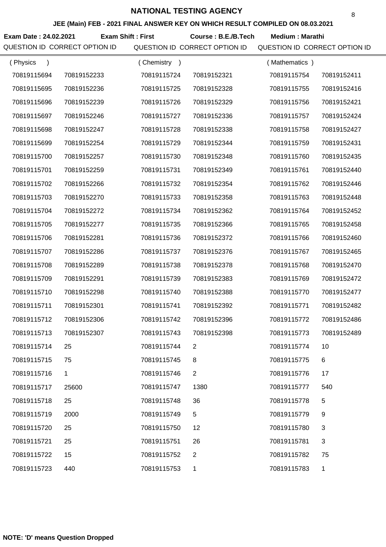#### **JEE (Main) FEB - 2021 FINAL ANSWER KEY ON WHICH RESULT COMPILED ON 08.03.2021**

**Exam Date : 24.02.2021 Course : B.E./B.Tech Medium : Marathi Exam Shift : First**

| (Physics    |              | (Chemistry) |                | (Mathematics) |             |
|-------------|--------------|-------------|----------------|---------------|-------------|
| 70819115694 | 70819152233  | 70819115724 | 70819152321    | 70819115754   | 70819152411 |
| 70819115695 | 70819152236  | 70819115725 | 70819152328    | 70819115755   | 70819152416 |
| 70819115696 | 70819152239  | 70819115726 | 70819152329    | 70819115756   | 70819152421 |
| 70819115697 | 70819152246  | 70819115727 | 70819152336    | 70819115757   | 70819152424 |
| 70819115698 | 70819152247  | 70819115728 | 70819152338    | 70819115758   | 70819152427 |
| 70819115699 | 70819152254  | 70819115729 | 70819152344    | 70819115759   | 70819152431 |
| 70819115700 | 70819152257  | 70819115730 | 70819152348    | 70819115760   | 70819152435 |
| 70819115701 | 70819152259  | 70819115731 | 70819152349    | 70819115761   | 70819152440 |
| 70819115702 | 70819152266  | 70819115732 | 70819152354    | 70819115762   | 70819152446 |
| 70819115703 | 70819152270  | 70819115733 | 70819152358    | 70819115763   | 70819152448 |
| 70819115704 | 70819152272  | 70819115734 | 70819152362    | 70819115764   | 70819152452 |
| 70819115705 | 70819152277  | 70819115735 | 70819152366    | 70819115765   | 70819152458 |
| 70819115706 | 70819152281  | 70819115736 | 70819152372    | 70819115766   | 70819152460 |
| 70819115707 | 70819152286  | 70819115737 | 70819152376    | 70819115767   | 70819152465 |
| 70819115708 | 70819152289  | 70819115738 | 70819152378    | 70819115768   | 70819152470 |
| 70819115709 | 70819152291  | 70819115739 | 70819152383    | 70819115769   | 70819152472 |
| 70819115710 | 70819152298  | 70819115740 | 70819152388    | 70819115770   | 70819152477 |
| 70819115711 | 70819152301  | 70819115741 | 70819152392    | 70819115771   | 70819152482 |
| 70819115712 | 70819152306  | 70819115742 | 70819152396    | 70819115772   | 70819152486 |
| 70819115713 | 70819152307  | 70819115743 | 70819152398    | 70819115773   | 70819152489 |
| 70819115714 | 25           | 70819115744 | 2              | 70819115774   | 10          |
| 70819115715 | 75           | 70819115745 | 8              | 70819115775   | 6           |
| 70819115716 | $\mathbf{1}$ | 70819115746 | $\overline{2}$ | 70819115776   | 17          |
| 70819115717 | 25600        | 70819115747 | 1380           | 70819115777   | 540         |
| 70819115718 | 25           | 70819115748 | 36             | 70819115778   | 5           |
| 70819115719 | 2000         | 70819115749 | 5              | 70819115779   | 9           |
| 70819115720 | 25           | 70819115750 | 12             | 70819115780   | 3           |
| 70819115721 | 25           | 70819115751 | 26             | 70819115781   | 3           |
| 70819115722 | 15           | 70819115752 | $\overline{2}$ | 70819115782   | 75          |
| 70819115723 | 440          | 70819115753 | 1              | 70819115783   | 1           |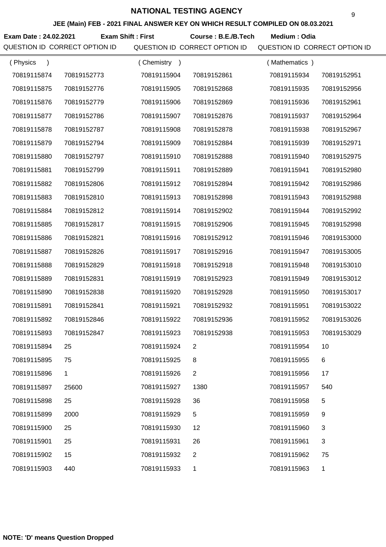#### **JEE (Main) FEB - 2021 FINAL ANSWER KEY ON WHICH RESULT COMPILED ON 08.03.2021**

**Exam Date : 24.02.2021 Course : B.E./B.Tech Medium : Odia Exam Shift : First**

| (Physics    |             | (Chemistry<br>$\rightarrow$ |                | (Mathematics) |             |
|-------------|-------------|-----------------------------|----------------|---------------|-------------|
| 70819115874 | 70819152773 | 70819115904                 | 70819152861    | 70819115934   | 70819152951 |
| 70819115875 | 70819152776 | 70819115905                 | 70819152868    | 70819115935   | 70819152956 |
| 70819115876 | 70819152779 | 70819115906                 | 70819152869    | 70819115936   | 70819152961 |
| 70819115877 | 70819152786 | 70819115907                 | 70819152876    | 70819115937   | 70819152964 |
| 70819115878 | 70819152787 | 70819115908                 | 70819152878    | 70819115938   | 70819152967 |
| 70819115879 | 70819152794 | 70819115909                 | 70819152884    | 70819115939   | 70819152971 |
| 70819115880 | 70819152797 | 70819115910                 | 70819152888    | 70819115940   | 70819152975 |
| 70819115881 | 70819152799 | 70819115911                 | 70819152889    | 70819115941   | 70819152980 |
| 70819115882 | 70819152806 | 70819115912                 | 70819152894    | 70819115942   | 70819152986 |
| 70819115883 | 70819152810 | 70819115913                 | 70819152898    | 70819115943   | 70819152988 |
| 70819115884 | 70819152812 | 70819115914                 | 70819152902    | 70819115944   | 70819152992 |
| 70819115885 | 70819152817 | 70819115915                 | 70819152906    | 70819115945   | 70819152998 |
| 70819115886 | 70819152821 | 70819115916                 | 70819152912    | 70819115946   | 70819153000 |
| 70819115887 | 70819152826 | 70819115917                 | 70819152916    | 70819115947   | 70819153005 |
| 70819115888 | 70819152829 | 70819115918                 | 70819152918    | 70819115948   | 70819153010 |
| 70819115889 | 70819152831 | 70819115919                 | 70819152923    | 70819115949   | 70819153012 |
| 70819115890 | 70819152838 | 70819115920                 | 70819152928    | 70819115950   | 70819153017 |
| 70819115891 | 70819152841 | 70819115921                 | 70819152932    | 70819115951   | 70819153022 |
| 70819115892 | 70819152846 | 70819115922                 | 70819152936    | 70819115952   | 70819153026 |
| 70819115893 | 70819152847 | 70819115923                 | 70819152938    | 70819115953   | 70819153029 |
| 70819115894 | 25          | 70819115924                 | 2              | 70819115954   | 10          |
| 70819115895 | 75          | 70819115925                 | 8              | 70819115955   | 6           |
| 70819115896 | 1           | 70819115926                 | $\overline{2}$ | 70819115956   | 17          |
| 70819115897 | 25600       | 70819115927                 | 1380           | 70819115957   | 540         |
| 70819115898 | 25          | 70819115928                 | 36             | 70819115958   | 5           |
| 70819115899 | 2000        | 70819115929                 | 5              | 70819115959   | 9           |
| 70819115900 | 25          | 70819115930                 | 12             | 70819115960   | 3           |
| 70819115901 | 25          | 70819115931                 | 26             | 70819115961   | 3           |
| 70819115902 | 15          | 70819115932                 | 2              | 70819115962   | 75          |
| 70819115903 | 440         | 70819115933                 | 1              | 70819115963   | 1           |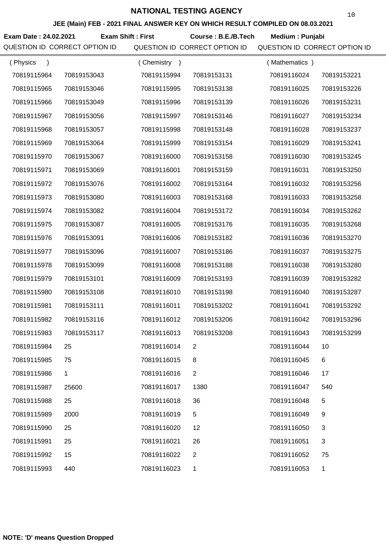**JEE (Main) FEB - 2021 FINAL ANSWER KEY ON WHICH RESULT COMPILED ON 08.03.2021**

**Exam Date : 24.02.2021 Course : B.E./B.Tech Medium : Punjabi Exam Shift : First**

| (Physics<br>$\mathcal{E}$ |              | (Chemistry<br>$\rightarrow$ |                | (Mathematics) |             |
|---------------------------|--------------|-----------------------------|----------------|---------------|-------------|
| 70819115964               | 70819153043  | 70819115994                 | 70819153131    | 70819116024   | 70819153221 |
| 70819115965               | 70819153046  | 70819115995                 | 70819153138    | 70819116025   | 70819153226 |
| 70819115966               | 70819153049  | 70819115996                 | 70819153139    | 70819116026   | 70819153231 |
| 70819115967               | 70819153056  | 70819115997                 | 70819153146    | 70819116027   | 70819153234 |
| 70819115968               | 70819153057  | 70819115998                 | 70819153148    | 70819116028   | 70819153237 |
| 70819115969               | 70819153064  | 70819115999                 | 70819153154    | 70819116029   | 70819153241 |
| 70819115970               | 70819153067  | 70819116000                 | 70819153158    | 70819116030   | 70819153245 |
| 70819115971               | 70819153069  | 70819116001                 | 70819153159    | 70819116031   | 70819153250 |
| 70819115972               | 70819153076  | 70819116002                 | 70819153164    | 70819116032   | 70819153256 |
| 70819115973               | 70819153080  | 70819116003                 | 70819153168    | 70819116033   | 70819153258 |
| 70819115974               | 70819153082  | 70819116004                 | 70819153172    | 70819116034   | 70819153262 |
| 70819115975               | 70819153087  | 70819116005                 | 70819153176    | 70819116035   | 70819153268 |
| 70819115976               | 70819153091  | 70819116006                 | 70819153182    | 70819116036   | 70819153270 |
| 70819115977               | 70819153096  | 70819116007                 | 70819153186    | 70819116037   | 70819153275 |
| 70819115978               | 70819153099  | 70819116008                 | 70819153188    | 70819116038   | 70819153280 |
| 70819115979               | 70819153101  | 70819116009                 | 70819153193    | 70819116039   | 70819153282 |
| 70819115980               | 70819153108  | 70819116010                 | 70819153198    | 70819116040   | 70819153287 |
| 70819115981               | 70819153111  | 70819116011                 | 70819153202    | 70819116041   | 70819153292 |
| 70819115982               | 70819153116  | 70819116012                 | 70819153206    | 70819116042   | 70819153296 |
| 70819115983               | 70819153117  | 70819116013                 | 70819153208    | 70819116043   | 70819153299 |
| 70819115984               | 25           | 70819116014                 |                | 70819116044   | 10          |
| 70819115985               | 75           | 70819116015                 | 8              | 70819116045   | 6           |
| 70819115986               | $\mathbf{1}$ | 70819116016                 | $\overline{2}$ | 70819116046   | 17          |
| 70819115987               | 25600        | 70819116017                 | 1380           | 70819116047   | 540         |
| 70819115988               | 25           | 70819116018                 | 36             | 70819116048   | 5           |
| 70819115989               | 2000         | 70819116019                 | 5              | 70819116049   | 9           |
| 70819115990               | 25           | 70819116020                 | 12             | 70819116050   | 3           |
| 70819115991               | 25           | 70819116021                 | 26             | 70819116051   | 3           |
| 70819115992               | 15           | 70819116022                 | $\overline{2}$ | 70819116052   | 75          |
| 70819115993               | 440          | 70819116023                 | 1              | 70819116053   | 1           |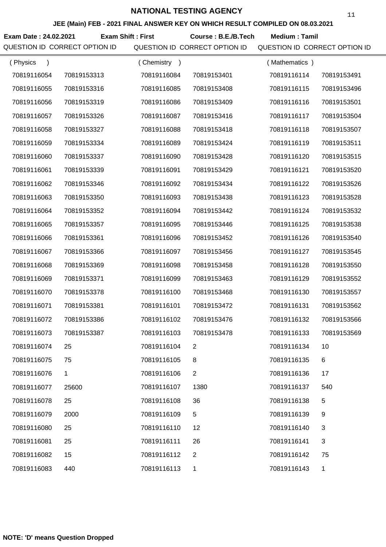#### **JEE (Main) FEB - 2021 FINAL ANSWER KEY ON WHICH RESULT COMPILED ON 08.03.2021**

**Exam Date : 24.02.2021 Course : B.E./B.Tech Medium : Tamil Exam Shift : First**

| (Physics<br>$\mathcal{E}$ |             | (Chemistry<br>$\rightarrow$ |                | (Mathematics) |             |
|---------------------------|-------------|-----------------------------|----------------|---------------|-------------|
| 70819116054               | 70819153313 | 70819116084                 | 70819153401    | 70819116114   | 70819153491 |
| 70819116055               | 70819153316 | 70819116085                 | 70819153408    | 70819116115   | 70819153496 |
| 70819116056               | 70819153319 | 70819116086                 | 70819153409    | 70819116116   | 70819153501 |
| 70819116057               | 70819153326 | 70819116087                 | 70819153416    | 70819116117   | 70819153504 |
| 70819116058               | 70819153327 | 70819116088                 | 70819153418    | 70819116118   | 70819153507 |
| 70819116059               | 70819153334 | 70819116089                 | 70819153424    | 70819116119   | 70819153511 |
| 70819116060               | 70819153337 | 70819116090                 | 70819153428    | 70819116120   | 70819153515 |
| 70819116061               | 70819153339 | 70819116091                 | 70819153429    | 70819116121   | 70819153520 |
| 70819116062               | 70819153346 | 70819116092                 | 70819153434    | 70819116122   | 70819153526 |
| 70819116063               | 70819153350 | 70819116093                 | 70819153438    | 70819116123   | 70819153528 |
| 70819116064               | 70819153352 | 70819116094                 | 70819153442    | 70819116124   | 70819153532 |
| 70819116065               | 70819153357 | 70819116095                 | 70819153446    | 70819116125   | 70819153538 |
| 70819116066               | 70819153361 | 70819116096                 | 70819153452    | 70819116126   | 70819153540 |
| 70819116067               | 70819153366 | 70819116097                 | 70819153456    | 70819116127   | 70819153545 |
| 70819116068               | 70819153369 | 70819116098                 | 70819153458    | 70819116128   | 70819153550 |
| 70819116069               | 70819153371 | 70819116099                 | 70819153463    | 70819116129   | 70819153552 |
| 70819116070               | 70819153378 | 70819116100                 | 70819153468    | 70819116130   | 70819153557 |
| 70819116071               | 70819153381 | 70819116101                 | 70819153472    | 70819116131   | 70819153562 |
| 70819116072               | 70819153386 | 70819116102                 | 70819153476    | 70819116132   | 70819153566 |
| 70819116073               | 70819153387 | 70819116103                 | 70819153478    | 70819116133   | 70819153569 |
| 70819116074               | 25          | 70819116104                 |                | 70819116134   | 10          |
| 70819116075               | 75          | 70819116105                 | 8              | 70819116135   | 6           |
| 70819116076               | 1           | 70819116106                 | $\overline{2}$ | 70819116136   | 17          |
| 70819116077               | 25600       | 70819116107                 | 1380           | 70819116137   | 540         |
| 70819116078               | 25          | 70819116108                 | 36             | 70819116138   | 5           |
| 70819116079               | 2000        | 70819116109                 | 5              | 70819116139   | 9           |
| 70819116080               | 25          | 70819116110                 | 12             | 70819116140   | 3           |
| 70819116081               | 25          | 70819116111                 | 26             | 70819116141   | 3           |
| 70819116082               | 15          | 70819116112                 | $\overline{2}$ | 70819116142   | 75          |
| 70819116083               | 440         | 70819116113                 | 1              | 70819116143   | 1           |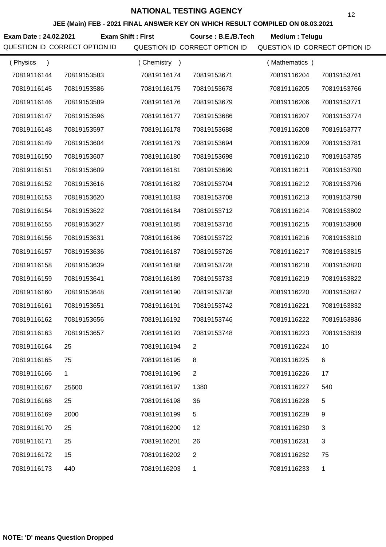**JEE (Main) FEB - 2021 FINAL ANSWER KEY ON WHICH RESULT COMPILED ON 08.03.2021**

**Exam Date : 24.02.2021 Course : B.E./B.Tech Medium : Telugu Exam Shift : First**

| (Physics<br>$\mathcal{E}$ |             | (Chemistry<br>$\rightarrow$ |                | (Mathematics) |              |
|---------------------------|-------------|-----------------------------|----------------|---------------|--------------|
| 70819116144               | 70819153583 | 70819116174                 | 70819153671    | 70819116204   | 70819153761  |
| 70819116145               | 70819153586 | 70819116175                 | 70819153678    | 70819116205   | 70819153766  |
| 70819116146               | 70819153589 | 70819116176                 | 70819153679    | 70819116206   | 70819153771  |
| 70819116147               | 70819153596 | 70819116177                 | 70819153686    | 70819116207   | 70819153774  |
| 70819116148               | 70819153597 | 70819116178                 | 70819153688    | 70819116208   | 70819153777  |
| 70819116149               | 70819153604 | 70819116179                 | 70819153694    | 70819116209   | 70819153781  |
| 70819116150               | 70819153607 | 70819116180                 | 70819153698    | 70819116210   | 70819153785  |
| 70819116151               | 70819153609 | 70819116181                 | 70819153699    | 70819116211   | 70819153790  |
| 70819116152               | 70819153616 | 70819116182                 | 70819153704    | 70819116212   | 70819153796  |
| 70819116153               | 70819153620 | 70819116183                 | 70819153708    | 70819116213   | 70819153798  |
| 70819116154               | 70819153622 | 70819116184                 | 70819153712    | 70819116214   | 70819153802  |
| 70819116155               | 70819153627 | 70819116185                 | 70819153716    | 70819116215   | 70819153808  |
| 70819116156               | 70819153631 | 70819116186                 | 70819153722    | 70819116216   | 70819153810  |
| 70819116157               | 70819153636 | 70819116187                 | 70819153726    | 70819116217   | 70819153815  |
| 70819116158               | 70819153639 | 70819116188                 | 70819153728    | 70819116218   | 70819153820  |
| 70819116159               | 70819153641 | 70819116189                 | 70819153733    | 70819116219   | 70819153822  |
| 70819116160               | 70819153648 | 70819116190                 | 70819153738    | 70819116220   | 70819153827  |
| 70819116161               | 70819153651 | 70819116191                 | 70819153742    | 70819116221   | 70819153832  |
| 70819116162               | 70819153656 | 70819116192                 | 70819153746    | 70819116222   | 70819153836  |
| 70819116163               | 70819153657 | 70819116193                 | 70819153748    | 70819116223   | 70819153839  |
| 70819116164               | 25          | 70819116194                 |                | 70819116224   | 10           |
| 70819116165               | 75          | 70819116195                 | 8              | 70819116225   | 6            |
| 70819116166               | 1           | 70819116196                 | $\overline{2}$ | 70819116226   | 17           |
| 70819116167               | 25600       | 70819116197                 | 1380           | 70819116227   | 540          |
| 70819116168               | 25          | 70819116198                 | 36             | 70819116228   | 5            |
| 70819116169               | 2000        | 70819116199                 | 5              | 70819116229   | 9            |
| 70819116170               | 25          | 70819116200                 | 12             | 70819116230   | 3            |
| 70819116171               | 25          | 70819116201                 | 26             | 70819116231   | 3            |
| 70819116172               | 15          | 70819116202                 | $\overline{2}$ | 70819116232   | 75           |
| 70819116173               | 440         | 70819116203                 | 1              | 70819116233   | $\mathbf{1}$ |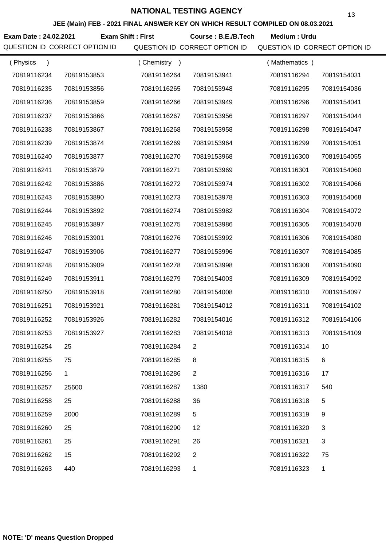**JEE (Main) FEB - 2021 FINAL ANSWER KEY ON WHICH RESULT COMPILED ON 08.03.2021**

**Exam Date : 24.02.2021 Course : B.E./B.Tech Medium : Urdu Exam Shift : First**

| (Physics<br>$\lambda$ |              | (Chemistry<br>$\rightarrow$ |                | (Mathematics) |             |
|-----------------------|--------------|-----------------------------|----------------|---------------|-------------|
| 70819116234           | 70819153853  | 70819116264                 | 70819153941    | 70819116294   | 70819154031 |
| 70819116235           | 70819153856  | 70819116265                 | 70819153948    | 70819116295   | 70819154036 |
| 70819116236           | 70819153859  | 70819116266                 | 70819153949    | 70819116296   | 70819154041 |
| 70819116237           | 70819153866  | 70819116267                 | 70819153956    | 70819116297   | 70819154044 |
| 70819116238           | 70819153867  | 70819116268                 | 70819153958    | 70819116298   | 70819154047 |
| 70819116239           | 70819153874  | 70819116269                 | 70819153964    | 70819116299   | 70819154051 |
| 70819116240           | 70819153877  | 70819116270                 | 70819153968    | 70819116300   | 70819154055 |
| 70819116241           | 70819153879  | 70819116271                 | 70819153969    | 70819116301   | 70819154060 |
| 70819116242           | 70819153886  | 70819116272                 | 70819153974    | 70819116302   | 70819154066 |
| 70819116243           | 70819153890  | 70819116273                 | 70819153978    | 70819116303   | 70819154068 |
| 70819116244           | 70819153892  | 70819116274                 | 70819153982    | 70819116304   | 70819154072 |
| 70819116245           | 70819153897  | 70819116275                 | 70819153986    | 70819116305   | 70819154078 |
| 70819116246           | 70819153901  | 70819116276                 | 70819153992    | 70819116306   | 70819154080 |
| 70819116247           | 70819153906  | 70819116277                 | 70819153996    | 70819116307   | 70819154085 |
| 70819116248           | 70819153909  | 70819116278                 | 70819153998    | 70819116308   | 70819154090 |
| 70819116249           | 70819153911  | 70819116279                 | 70819154003    | 70819116309   | 70819154092 |
| 70819116250           | 70819153918  | 70819116280                 | 70819154008    | 70819116310   | 70819154097 |
| 70819116251           | 70819153921  | 70819116281                 | 70819154012    | 70819116311   | 70819154102 |
| 70819116252           | 70819153926  | 70819116282                 | 70819154016    | 70819116312   | 70819154106 |
| 70819116253           | 70819153927  | 70819116283                 | 70819154018    | 70819116313   | 70819154109 |
| 70819116254           | 25           | 70819116284                 | 2              | 70819116314   | 10          |
| 70819116255           | 75           | 70819116285                 | 8              | 70819116315   | 6           |
| 70819116256           | $\mathbf{1}$ | 70819116286                 | $\overline{2}$ | 70819116316   | 17          |
| 70819116257           | 25600        | 70819116287                 | 1380           | 70819116317   | 540         |
| 70819116258           | 25           | 70819116288                 | 36             | 70819116318   | 5           |
| 70819116259           | 2000         | 70819116289                 | 5              | 70819116319   | 9           |
| 70819116260           | 25           | 70819116290                 | 12             | 70819116320   | 3           |
| 70819116261           | 25           | 70819116291                 | 26             | 70819116321   | 3           |
| 70819116262           | 15           | 70819116292                 | $\overline{2}$ | 70819116322   | 75          |
| 70819116263           | 440          | 70819116293                 | 1              | 70819116323   | 1           |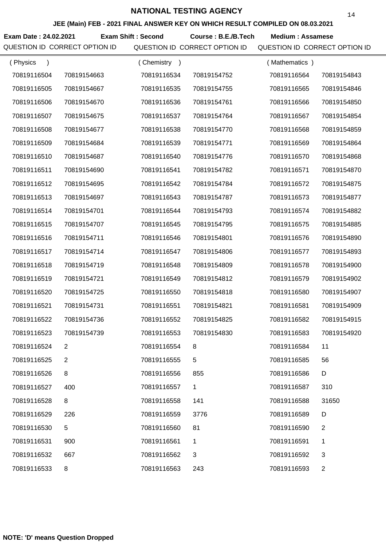**JEE (Main) FEB - 2021 FINAL ANSWER KEY ON WHICH RESULT COMPILED ON 08.03.2021**

**Exam Date : 24.02.2021 Course : B.E./B.Tech Medium : Assamese Exam Shift : Second** QUESTION ID CORRECT OPTION ID QUESTION ID CORRECT OPTION ID QUESTION ID CORRECT OPTION ID

| (Physics    |             | (Chemistry) |              | (Mathematics) |                |
|-------------|-------------|-------------|--------------|---------------|----------------|
| 70819116504 | 70819154663 | 70819116534 | 70819154752  | 70819116564   | 70819154843    |
| 70819116505 | 70819154667 | 70819116535 | 70819154755  | 70819116565   | 70819154846    |
| 70819116506 | 70819154670 | 70819116536 | 70819154761  | 70819116566   | 70819154850    |
| 70819116507 | 70819154675 | 70819116537 | 70819154764  | 70819116567   | 70819154854    |
| 70819116508 | 70819154677 | 70819116538 | 70819154770  | 70819116568   | 70819154859    |
| 70819116509 | 70819154684 | 70819116539 | 70819154771  | 70819116569   | 70819154864    |
| 70819116510 | 70819154687 | 70819116540 | 70819154776  | 70819116570   | 70819154868    |
| 70819116511 | 70819154690 | 70819116541 | 70819154782  | 70819116571   | 70819154870    |
| 70819116512 | 70819154695 | 70819116542 | 70819154784  | 70819116572   | 70819154875    |
| 70819116513 | 70819154697 | 70819116543 | 70819154787  | 70819116573   | 70819154877    |
| 70819116514 | 70819154701 | 70819116544 | 70819154793  | 70819116574   | 70819154882    |
| 70819116515 | 70819154707 | 70819116545 | 70819154795  | 70819116575   | 70819154885    |
| 70819116516 | 70819154711 | 70819116546 | 70819154801  | 70819116576   | 70819154890    |
| 70819116517 | 70819154714 | 70819116547 | 70819154806  | 70819116577   | 70819154893    |
| 70819116518 | 70819154719 | 70819116548 | 70819154809  | 70819116578   | 70819154900    |
| 70819116519 | 70819154721 | 70819116549 | 70819154812  | 70819116579   | 70819154902    |
| 70819116520 | 70819154725 | 70819116550 | 70819154818  | 70819116580   | 70819154907    |
| 70819116521 | 70819154731 | 70819116551 | 70819154821  | 70819116581   | 70819154909    |
| 70819116522 | 70819154736 | 70819116552 | 70819154825  | 70819116582   | 70819154915    |
| 70819116523 | 70819154739 | 70819116553 | 70819154830  | 70819116583   | 70819154920    |
| 70819116524 | 2           | 70819116554 | 8            | 70819116584   | 11             |
| 70819116525 | 2           | 70819116555 | 5            | 70819116585   | 56             |
| 70819116526 | 8           | 70819116556 | 855          | 70819116586   | D              |
| 70819116527 | 400         | 70819116557 | 1            | 70819116587   | 310            |
| 70819116528 | 8           | 70819116558 | 141          | 70819116588   | 31650          |
| 70819116529 | 226         | 70819116559 | 3776         | 70819116589   | D              |
| 70819116530 | 5           | 70819116560 | 81           | 70819116590   | $\overline{2}$ |
| 70819116531 | 900         | 70819116561 | 1            | 70819116591   | 1              |
| 70819116532 | 667         | 70819116562 | $\mathbf{3}$ | 70819116592   | 3              |
| 70819116533 | 8           | 70819116563 | 243          | 70819116593   | $\overline{2}$ |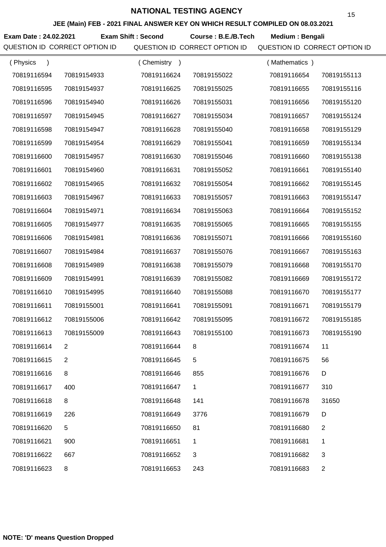**JEE (Main) FEB - 2021 FINAL ANSWER KEY ON WHICH RESULT COMPILED ON 08.03.2021**

**Exam Date : 24.02.2021 Course : B.E./B.Tech Medium : Bengali Exam Shift : Second**

| (Physics    |             | (Chemistry<br>$\rightarrow$ |             | (Mathematics) |                |
|-------------|-------------|-----------------------------|-------------|---------------|----------------|
| 70819116594 | 70819154933 | 70819116624                 | 70819155022 | 70819116654   | 70819155113    |
| 70819116595 | 70819154937 | 70819116625                 | 70819155025 | 70819116655   | 70819155116    |
| 70819116596 | 70819154940 | 70819116626                 | 70819155031 | 70819116656   | 70819155120    |
| 70819116597 | 70819154945 | 70819116627                 | 70819155034 | 70819116657   | 70819155124    |
| 70819116598 | 70819154947 | 70819116628                 | 70819155040 | 70819116658   | 70819155129    |
| 70819116599 | 70819154954 | 70819116629                 | 70819155041 | 70819116659   | 70819155134    |
| 70819116600 | 70819154957 | 70819116630                 | 70819155046 | 70819116660   | 70819155138    |
| 70819116601 | 70819154960 | 70819116631                 | 70819155052 | 70819116661   | 70819155140    |
| 70819116602 | 70819154965 | 70819116632                 | 70819155054 | 70819116662   | 70819155145    |
| 70819116603 | 70819154967 | 70819116633                 | 70819155057 | 70819116663   | 70819155147    |
| 70819116604 | 70819154971 | 70819116634                 | 70819155063 | 70819116664   | 70819155152    |
| 70819116605 | 70819154977 | 70819116635                 | 70819155065 | 70819116665   | 70819155155    |
| 70819116606 | 70819154981 | 70819116636                 | 70819155071 | 70819116666   | 70819155160    |
| 70819116607 | 70819154984 | 70819116637                 | 70819155076 | 70819116667   | 70819155163    |
| 70819116608 | 70819154989 | 70819116638                 | 70819155079 | 70819116668   | 70819155170    |
| 70819116609 | 70819154991 | 70819116639                 | 70819155082 | 70819116669   | 70819155172    |
| 70819116610 | 70819154995 | 70819116640                 | 70819155088 | 70819116670   | 70819155177    |
| 70819116611 | 70819155001 | 70819116641                 | 70819155091 | 70819116671   | 70819155179    |
| 70819116612 | 70819155006 | 70819116642                 | 70819155095 | 70819116672   | 70819155185    |
| 70819116613 | 70819155009 | 70819116643                 | 70819155100 | 70819116673   | 70819155190    |
| 70819116614 | 2           | 70819116644                 | 8           | 70819116674   | 11             |
| 70819116615 | 2           | 70819116645                 | 5           | 70819116675   | 56             |
| 70819116616 | 8           | 70819116646                 | 855         | 70819116676   | D              |
| 70819116617 | 400         | 70819116647                 | 1           | 70819116677   | 310            |
| 70819116618 | 8           | 70819116648                 | 141         | 70819116678   | 31650          |
| 70819116619 | 226         | 70819116649                 | 3776        | 70819116679   | D              |
| 70819116620 | 5           | 70819116650                 | 81          | 70819116680   | 2              |
| 70819116621 | 900         | 70819116651                 | 1           | 70819116681   | 1              |
| 70819116622 | 667         | 70819116652                 | 3           | 70819116682   | 3              |
| 70819116623 | 8           | 70819116653                 | 243         | 70819116683   | $\overline{c}$ |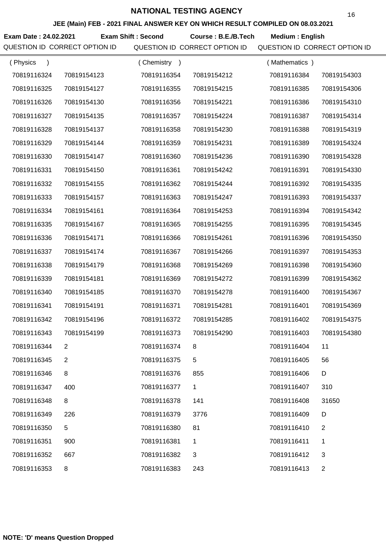**JEE (Main) FEB - 2021 FINAL ANSWER KEY ON WHICH RESULT COMPILED ON 08.03.2021**

**Exam Date : 24.02.2021 Course : B.E./B.Tech Medium : English Exam Shift : Second**

| (Physics<br>$\lambda$ |             | (Chemistry<br>$\rightarrow$ |             | (Mathematics) |                |
|-----------------------|-------------|-----------------------------|-------------|---------------|----------------|
| 70819116324           | 70819154123 | 70819116354                 | 70819154212 | 70819116384   | 70819154303    |
| 70819116325           | 70819154127 | 70819116355                 | 70819154215 | 70819116385   | 70819154306    |
| 70819116326           | 70819154130 | 70819116356                 | 70819154221 | 70819116386   | 70819154310    |
| 70819116327           | 70819154135 | 70819116357                 | 70819154224 | 70819116387   | 70819154314    |
| 70819116328           | 70819154137 | 70819116358                 | 70819154230 | 70819116388   | 70819154319    |
| 70819116329           | 70819154144 | 70819116359                 | 70819154231 | 70819116389   | 70819154324    |
| 70819116330           | 70819154147 | 70819116360                 | 70819154236 | 70819116390   | 70819154328    |
| 70819116331           | 70819154150 | 70819116361                 | 70819154242 | 70819116391   | 70819154330    |
| 70819116332           | 70819154155 | 70819116362                 | 70819154244 | 70819116392   | 70819154335    |
| 70819116333           | 70819154157 | 70819116363                 | 70819154247 | 70819116393   | 70819154337    |
| 70819116334           | 70819154161 | 70819116364                 | 70819154253 | 70819116394   | 70819154342    |
| 70819116335           | 70819154167 | 70819116365                 | 70819154255 | 70819116395   | 70819154345    |
| 70819116336           | 70819154171 | 70819116366                 | 70819154261 | 70819116396   | 70819154350    |
| 70819116337           | 70819154174 | 70819116367                 | 70819154266 | 70819116397   | 70819154353    |
| 70819116338           | 70819154179 | 70819116368                 | 70819154269 | 70819116398   | 70819154360    |
| 70819116339           | 70819154181 | 70819116369                 | 70819154272 | 70819116399   | 70819154362    |
| 70819116340           | 70819154185 | 70819116370                 | 70819154278 | 70819116400   | 70819154367    |
| 70819116341           | 70819154191 | 70819116371                 | 70819154281 | 70819116401   | 70819154369    |
| 70819116342           | 70819154196 | 70819116372                 | 70819154285 | 70819116402   | 70819154375    |
| 70819116343           | 70819154199 | 70819116373                 | 70819154290 | 70819116403   | 70819154380    |
| 70819116344           |             | 70819116374                 | 8           | 70819116404   | 11             |
| 70819116345           | 2           | 70819116375                 | 5           | 70819116405   | 56             |
| 70819116346           | 8           | 70819116376                 | 855         | 70819116406   | D              |
| 70819116347           | 400         | 70819116377                 | 1           | 70819116407   | 310            |
| 70819116348           | 8           | 70819116378                 | 141         | 70819116408   | 31650          |
| 70819116349           | 226         | 70819116379                 | 3776        | 70819116409   | D              |
| 70819116350           | $\,$ 5 $\,$ | 70819116380                 | 81          | 70819116410   | $\overline{2}$ |
| 70819116351           | 900         | 70819116381                 | 1           | 70819116411   | 1              |
| 70819116352           | 667         | 70819116382                 | 3           | 70819116412   | 3              |
| 70819116353           | 8           | 70819116383                 | 243         | 70819116413   | $\overline{2}$ |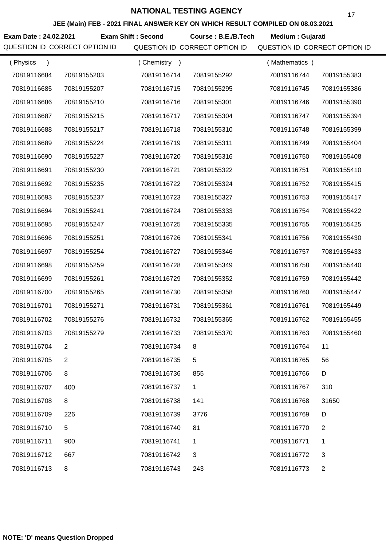**JEE (Main) FEB - 2021 FINAL ANSWER KEY ON WHICH RESULT COMPILED ON 08.03.2021**

**Exam Date : 24.02.2021 Exam Shift : Second Course : B.E./B.Tech Medium : Gujarati** 

| (Physics    |                | (Chemistry<br>$\rightarrow$ |             | (Mathematics) |                |
|-------------|----------------|-----------------------------|-------------|---------------|----------------|
| 70819116684 | 70819155203    | 70819116714                 | 70819155292 | 70819116744   | 70819155383    |
| 70819116685 | 70819155207    | 70819116715                 | 70819155295 | 70819116745   | 70819155386    |
| 70819116686 | 70819155210    | 70819116716                 | 70819155301 | 70819116746   | 70819155390    |
| 70819116687 | 70819155215    | 70819116717                 | 70819155304 | 70819116747   | 70819155394    |
| 70819116688 | 70819155217    | 70819116718                 | 70819155310 | 70819116748   | 70819155399    |
| 70819116689 | 70819155224    | 70819116719                 | 70819155311 | 70819116749   | 70819155404    |
| 70819116690 | 70819155227    | 70819116720                 | 70819155316 | 70819116750   | 70819155408    |
| 70819116691 | 70819155230    | 70819116721                 | 70819155322 | 70819116751   | 70819155410    |
| 70819116692 | 70819155235    | 70819116722                 | 70819155324 | 70819116752   | 70819155415    |
| 70819116693 | 70819155237    | 70819116723                 | 70819155327 | 70819116753   | 70819155417    |
| 70819116694 | 70819155241    | 70819116724                 | 70819155333 | 70819116754   | 70819155422    |
| 70819116695 | 70819155247    | 70819116725                 | 70819155335 | 70819116755   | 70819155425    |
| 70819116696 | 70819155251    | 70819116726                 | 70819155341 | 70819116756   | 70819155430    |
| 70819116697 | 70819155254    | 70819116727                 | 70819155346 | 70819116757   | 70819155433    |
| 70819116698 | 70819155259    | 70819116728                 | 70819155349 | 70819116758   | 70819155440    |
| 70819116699 | 70819155261    | 70819116729                 | 70819155352 | 70819116759   | 70819155442    |
| 70819116700 | 70819155265    | 70819116730                 | 70819155358 | 70819116760   | 70819155447    |
| 70819116701 | 70819155271    | 70819116731                 | 70819155361 | 70819116761   | 70819155449    |
| 70819116702 | 70819155276    | 70819116732                 | 70819155365 | 70819116762   | 70819155455    |
| 70819116703 | 70819155279    | 70819116733                 | 70819155370 | 70819116763   | 70819155460    |
| 70819116704 | $\overline{2}$ | 70819116734                 |             | 70819116764   | 11             |
| 70819116705 | $\overline{2}$ | 70819116735                 | 5           | 70819116765   | 56             |
| 70819116706 | 8              | 70819116736                 | 855         | 70819116766   | D              |
| 70819116707 | 400            | 70819116737                 | 1           | 70819116767   | 310            |
| 70819116708 | 8              | 70819116738                 | 141         | 70819116768   | 31650          |
| 70819116709 | 226            | 70819116739                 | 3776        | 70819116769   | D              |
| 70819116710 | 5              | 70819116740                 | 81          | 70819116770   | 2              |
| 70819116711 | 900            | 70819116741                 | 1           | 70819116771   | 1              |
| 70819116712 | 667            | 70819116742                 | 3           | 70819116772   | 3              |
| 70819116713 | 8              | 70819116743                 | 243         | 70819116773   | $\overline{c}$ |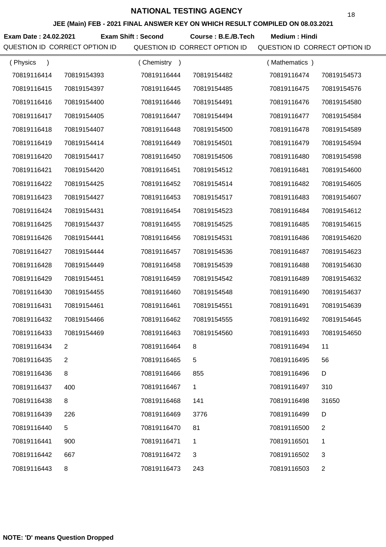**JEE (Main) FEB - 2021 FINAL ANSWER KEY ON WHICH RESULT COMPILED ON 08.03.2021**

**Exam Date : 24.02.2021 Exam Shift : Second Course : B.E./B.Tech Medium : Hindi** 

| (Physics<br>$\lambda$ |                | (Chemistry<br>$\rightarrow$ |             | (Mathematics) |                |
|-----------------------|----------------|-----------------------------|-------------|---------------|----------------|
| 70819116414           | 70819154393    | 70819116444                 | 70819154482 | 70819116474   | 70819154573    |
| 70819116415           | 70819154397    | 70819116445                 | 70819154485 | 70819116475   | 70819154576    |
| 70819116416           | 70819154400    | 70819116446                 | 70819154491 | 70819116476   | 70819154580    |
| 70819116417           | 70819154405    | 70819116447                 | 70819154494 | 70819116477   | 70819154584    |
| 70819116418           | 70819154407    | 70819116448                 | 70819154500 | 70819116478   | 70819154589    |
| 70819116419           | 70819154414    | 70819116449                 | 70819154501 | 70819116479   | 70819154594    |
| 70819116420           | 70819154417    | 70819116450                 | 70819154506 | 70819116480   | 70819154598    |
| 70819116421           | 70819154420    | 70819116451                 | 70819154512 | 70819116481   | 70819154600    |
| 70819116422           | 70819154425    | 70819116452                 | 70819154514 | 70819116482   | 70819154605    |
| 70819116423           | 70819154427    | 70819116453                 | 70819154517 | 70819116483   | 70819154607    |
| 70819116424           | 70819154431    | 70819116454                 | 70819154523 | 70819116484   | 70819154612    |
| 70819116425           | 70819154437    | 70819116455                 | 70819154525 | 70819116485   | 70819154615    |
| 70819116426           | 70819154441    | 70819116456                 | 70819154531 | 70819116486   | 70819154620    |
| 70819116427           | 70819154444    | 70819116457                 | 70819154536 | 70819116487   | 70819154623    |
| 70819116428           | 70819154449    | 70819116458                 | 70819154539 | 70819116488   | 70819154630    |
| 70819116429           | 70819154451    | 70819116459                 | 70819154542 | 70819116489   | 70819154632    |
| 70819116430           | 70819154455    | 70819116460                 | 70819154548 | 70819116490   | 70819154637    |
| 70819116431           | 70819154461    | 70819116461                 | 70819154551 | 70819116491   | 70819154639    |
| 70819116432           | 70819154466    | 70819116462                 | 70819154555 | 70819116492   | 70819154645    |
| 70819116433           | 70819154469    | 70819116463                 | 70819154560 | 70819116493   | 70819154650    |
| 70819116434           | $\mathbf{2}$   | 70819116464                 |             | 70819116494   | 11             |
| 70819116435           | $\overline{2}$ | 70819116465                 | 5           | 70819116495   | 56             |
| 70819116436           | 8              | 70819116466                 | 855         | 70819116496   | D              |
| 70819116437           | 400            | 70819116467                 | 1           | 70819116497   | 310            |
| 70819116438           | 8              | 70819116468                 | 141         | 70819116498   | 31650          |
| 70819116439           | 226            | 70819116469                 | 3776        | 70819116499   | D              |
| 70819116440           | 5              | 70819116470                 | 81          | 70819116500   | 2              |
| 70819116441           | 900            | 70819116471                 | 1           | 70819116501   | 1              |
| 70819116442           | 667            | 70819116472                 | 3           | 70819116502   | 3              |
| 70819116443           | 8              | 70819116473                 | 243         | 70819116503   | $\overline{c}$ |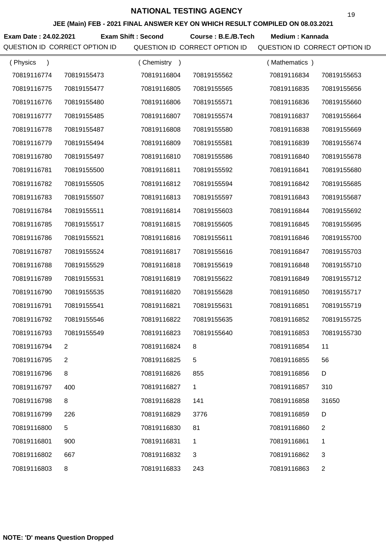**JEE (Main) FEB - 2021 FINAL ANSWER KEY ON WHICH RESULT COMPILED ON 08.03.2021**

Exam Date : 24.02.2021 Exam Shift : Second Course : B.E./B.Tech Medium : Kannada

| (Physics<br>$\mathcal{E}$ |                | Chemistry<br>$\rightarrow$ |             | (Mathematics) |                |
|---------------------------|----------------|----------------------------|-------------|---------------|----------------|
| 70819116774               | 70819155473    | 70819116804                | 70819155562 | 70819116834   | 70819155653    |
| 70819116775               | 70819155477    | 70819116805                | 70819155565 | 70819116835   | 70819155656    |
| 70819116776               | 70819155480    | 70819116806                | 70819155571 | 70819116836   | 70819155660    |
| 70819116777               | 70819155485    | 70819116807                | 70819155574 | 70819116837   | 70819155664    |
| 70819116778               | 70819155487    | 70819116808                | 70819155580 | 70819116838   | 70819155669    |
| 70819116779               | 70819155494    | 70819116809                | 70819155581 | 70819116839   | 70819155674    |
| 70819116780               | 70819155497    | 70819116810                | 70819155586 | 70819116840   | 70819155678    |
| 70819116781               | 70819155500    | 70819116811                | 70819155592 | 70819116841   | 70819155680    |
| 70819116782               | 70819155505    | 70819116812                | 70819155594 | 70819116842   | 70819155685    |
| 70819116783               | 70819155507    | 70819116813                | 70819155597 | 70819116843   | 70819155687    |
| 70819116784               | 70819155511    | 70819116814                | 70819155603 | 70819116844   | 70819155692    |
| 70819116785               | 70819155517    | 70819116815                | 70819155605 | 70819116845   | 70819155695    |
| 70819116786               | 70819155521    | 70819116816                | 70819155611 | 70819116846   | 70819155700    |
| 70819116787               | 70819155524    | 70819116817                | 70819155616 | 70819116847   | 70819155703    |
| 70819116788               | 70819155529    | 70819116818                | 70819155619 | 70819116848   | 70819155710    |
| 70819116789               | 70819155531    | 70819116819                | 70819155622 | 70819116849   | 70819155712    |
| 70819116790               | 70819155535    | 70819116820                | 70819155628 | 70819116850   | 70819155717    |
| 70819116791               | 70819155541    | 70819116821                | 70819155631 | 70819116851   | 70819155719    |
| 70819116792               | 70819155546    | 70819116822                | 70819155635 | 70819116852   | 70819155725    |
| 70819116793               | 70819155549    | 70819116823                | 70819155640 | 70819116853   | 70819155730    |
| 70819116794               | 2              | 70819116824                |             | 70819116854   | 11             |
| 70819116795               | $\overline{2}$ | 70819116825                | 5           | 70819116855   | 56             |
| 70819116796               | 8              | 70819116826                | 855         | 70819116856   | D              |
| 70819116797               | 400            | 70819116827                | 1           | 70819116857   | 310            |
| 70819116798               | 8              | 70819116828                | 141         | 70819116858   | 31650          |
| 70819116799               | 226            | 70819116829                | 3776        | 70819116859   | D              |
| 70819116800               | 5              | 70819116830                | 81          | 70819116860   | 2              |
| 70819116801               | 900            | 70819116831                | 1           | 70819116861   | 1              |
| 70819116802               | 667            | 70819116832                | 3           | 70819116862   | 3              |
| 70819116803               | 8              | 70819116833                | 243         | 70819116863   | $\overline{c}$ |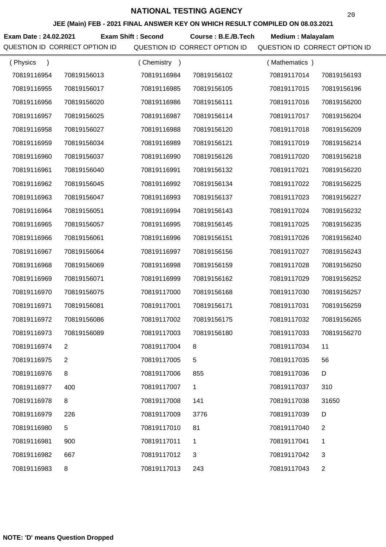**JEE (Main) FEB - 2021 FINAL ANSWER KEY ON WHICH RESULT COMPILED ON 08.03.2021**

**Exam Date : 24.02.2021 Exam Shift : Second Course : B.E./B.Tech Medium : Malayalam** 

| (Physics<br>$\lambda$ |             | Chemistry<br>$\rightarrow$ |             | (Mathematics) |                |
|-----------------------|-------------|----------------------------|-------------|---------------|----------------|
| 70819116954           | 70819156013 | 70819116984                | 70819156102 | 70819117014   | 70819156193    |
| 70819116955           | 70819156017 | 70819116985                | 70819156105 | 70819117015   | 70819156196    |
| 70819116956           | 70819156020 | 70819116986                | 70819156111 | 70819117016   | 70819156200    |
| 70819116957           | 70819156025 | 70819116987                | 70819156114 | 70819117017   | 70819156204    |
| 70819116958           | 70819156027 | 70819116988                | 70819156120 | 70819117018   | 70819156209    |
| 70819116959           | 70819156034 | 70819116989                | 70819156121 | 70819117019   | 70819156214    |
| 70819116960           | 70819156037 | 70819116990                | 70819156126 | 70819117020   | 70819156218    |
| 70819116961           | 70819156040 | 70819116991                | 70819156132 | 70819117021   | 70819156220    |
| 70819116962           | 70819156045 | 70819116992                | 70819156134 | 70819117022   | 70819156225    |
| 70819116963           | 70819156047 | 70819116993                | 70819156137 | 70819117023   | 70819156227    |
| 70819116964           | 70819156051 | 70819116994                | 70819156143 | 70819117024   | 70819156232    |
| 70819116965           | 70819156057 | 70819116995                | 70819156145 | 70819117025   | 70819156235    |
| 70819116966           | 70819156061 | 70819116996                | 70819156151 | 70819117026   | 70819156240    |
| 70819116967           | 70819156064 | 70819116997                | 70819156156 | 70819117027   | 70819156243    |
| 70819116968           | 70819156069 | 70819116998                | 70819156159 | 70819117028   | 70819156250    |
| 70819116969           | 70819156071 | 70819116999                | 70819156162 | 70819117029   | 70819156252    |
| 70819116970           | 70819156075 | 70819117000                | 70819156168 | 70819117030   | 70819156257    |
| 70819116971           | 70819156081 | 70819117001                | 70819156171 | 70819117031   | 70819156259    |
| 70819116972           | 70819156086 | 70819117002                | 70819156175 | 70819117032   | 70819156265    |
| 70819116973           | 70819156089 | 70819117003                | 70819156180 | 70819117033   | 70819156270    |
| 70819116974           |             | 70819117004                |             | 70819117034   |                |
| 70819116975           | 2           | 70819117005                | 5           | 70819117035   | 56             |
| 70819116976           | 8           | 70819117006                | 855         | 70819117036   | D              |
| 70819116977           | 400         | 70819117007                | 1           | 70819117037   | 310            |
| 70819116978           | 8           | 70819117008                | 141         | 70819117038   | 31650          |
| 70819116979           | 226         | 70819117009                | 3776        | 70819117039   | D              |
| 70819116980           | 5           | 70819117010                | 81          | 70819117040   | $\overline{2}$ |
| 70819116981           | 900         | 70819117011                | 1           | 70819117041   | 1              |
| 70819116982           | 667         | 70819117012                | 3           | 70819117042   | 3              |
| 70819116983           | 8           | 70819117013                | 243         | 70819117043   | $\overline{c}$ |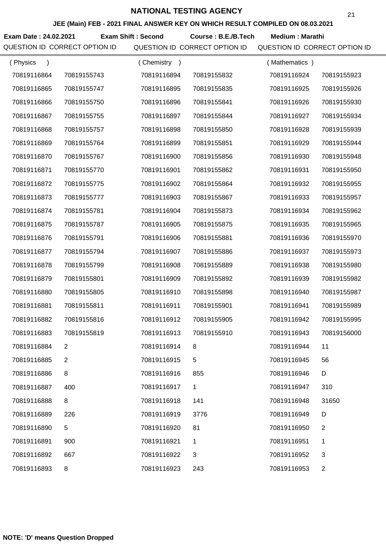**JEE (Main) FEB - 2021 FINAL ANSWER KEY ON WHICH RESULT COMPILED ON 08.03.2021**

**Exam Date : 24.02.2021 Course : B.E./B.Tech Medium : Marathi Exam Shift : Second**

| (Physics<br>$\lambda$ |                | (Chemistry<br>$\rightarrow$ |             | (Mathematics) |                |
|-----------------------|----------------|-----------------------------|-------------|---------------|----------------|
| 70819116864           | 70819155743    | 70819116894                 | 70819155832 | 70819116924   | 70819155923    |
| 70819116865           | 70819155747    | 70819116895                 | 70819155835 | 70819116925   | 70819155926    |
| 70819116866           | 70819155750    | 70819116896                 | 70819155841 | 70819116926   | 70819155930    |
| 70819116867           | 70819155755    | 70819116897                 | 70819155844 | 70819116927   | 70819155934    |
| 70819116868           | 70819155757    | 70819116898                 | 70819155850 | 70819116928   | 70819155939    |
| 70819116869           | 70819155764    | 70819116899                 | 70819155851 | 70819116929   | 70819155944    |
| 70819116870           | 70819155767    | 70819116900                 | 70819155856 | 70819116930   | 70819155948    |
| 70819116871           | 70819155770    | 70819116901                 | 70819155862 | 70819116931   | 70819155950    |
| 70819116872           | 70819155775    | 70819116902                 | 70819155864 | 70819116932   | 70819155955    |
| 70819116873           | 70819155777    | 70819116903                 | 70819155867 | 70819116933   | 70819155957    |
| 70819116874           | 70819155781    | 70819116904                 | 70819155873 | 70819116934   | 70819155962    |
| 70819116875           | 70819155787    | 70819116905                 | 70819155875 | 70819116935   | 70819155965    |
| 70819116876           | 70819155791    | 70819116906                 | 70819155881 | 70819116936   | 70819155970    |
| 70819116877           | 70819155794    | 70819116907                 | 70819155886 | 70819116937   | 70819155973    |
| 70819116878           | 70819155799    | 70819116908                 | 70819155889 | 70819116938   | 70819155980    |
| 70819116879           | 70819155801    | 70819116909                 | 70819155892 | 70819116939   | 70819155982    |
| 70819116880           | 70819155805    | 70819116910                 | 70819155898 | 70819116940   | 70819155987    |
| 70819116881           | 70819155811    | 70819116911                 | 70819155901 | 70819116941   | 70819155989    |
| 70819116882           | 70819155816    | 70819116912                 | 70819155905 | 70819116942   | 70819155995    |
| 70819116883           | 70819155819    | 70819116913                 | 70819155910 | 70819116943   | 70819156000    |
| 70819116884           | 2              | 70819116914                 | 8           | 70819116944   | 11             |
| 70819116885           | $\overline{2}$ | 70819116915                 | 5           | 70819116945   | 56             |
| 70819116886           | 8              | 70819116916                 | 855         | 70819116946   | D              |
| 70819116887           | 400            | 70819116917                 | 1           | 70819116947   | 310            |
| 70819116888           | 8              | 70819116918                 | 141         | 70819116948   | 31650          |
| 70819116889           | 226            | 70819116919                 | 3776        | 70819116949   | D              |
| 70819116890           | 5              | 70819116920                 | 81          | 70819116950   | $\overline{2}$ |
| 70819116891           | 900            | 70819116921                 | 1           | 70819116951   | 1              |
| 70819116892           | 667            | 70819116922                 | 3           | 70819116952   | 3              |
| 70819116893           | 8              | 70819116923                 | 243         | 70819116953   | $\overline{c}$ |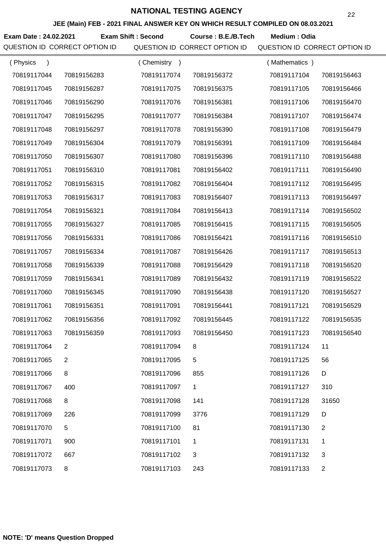**JEE (Main) FEB - 2021 FINAL ANSWER KEY ON WHICH RESULT COMPILED ON 08.03.2021**

Exam Date : 24.02.2021 Exam Shift : Second Course : B.E./B.Tech Medium : Odia

| (Physics<br>$\lambda$ |             | (Chemistry<br>$\rightarrow$ |             | (Mathematics) |                |
|-----------------------|-------------|-----------------------------|-------------|---------------|----------------|
| 70819117044           | 70819156283 | 70819117074                 | 70819156372 | 70819117104   | 70819156463    |
| 70819117045           | 70819156287 | 70819117075                 | 70819156375 | 70819117105   | 70819156466    |
| 70819117046           | 70819156290 | 70819117076                 | 70819156381 | 70819117106   | 70819156470    |
| 70819117047           | 70819156295 | 70819117077                 | 70819156384 | 70819117107   | 70819156474    |
| 70819117048           | 70819156297 | 70819117078                 | 70819156390 | 70819117108   | 70819156479    |
| 70819117049           | 70819156304 | 70819117079                 | 70819156391 | 70819117109   | 70819156484    |
| 70819117050           | 70819156307 | 70819117080                 | 70819156396 | 70819117110   | 70819156488    |
| 70819117051           | 70819156310 | 70819117081                 | 70819156402 | 70819117111   | 70819156490    |
| 70819117052           | 70819156315 | 70819117082                 | 70819156404 | 70819117112   | 70819156495    |
| 70819117053           | 70819156317 | 70819117083                 | 70819156407 | 70819117113   | 70819156497    |
| 70819117054           | 70819156321 | 70819117084                 | 70819156413 | 70819117114   | 70819156502    |
| 70819117055           | 70819156327 | 70819117085                 | 70819156415 | 70819117115   | 70819156505    |
| 70819117056           | 70819156331 | 70819117086                 | 70819156421 | 70819117116   | 70819156510    |
| 70819117057           | 70819156334 | 70819117087                 | 70819156426 | 70819117117   | 70819156513    |
| 70819117058           | 70819156339 | 70819117088                 | 70819156429 | 70819117118   | 70819156520    |
| 70819117059           | 70819156341 | 70819117089                 | 70819156432 | 70819117119   | 70819156522    |
| 70819117060           | 70819156345 | 70819117090                 | 70819156438 | 70819117120   | 70819156527    |
| 70819117061           | 70819156351 | 70819117091                 | 70819156441 | 70819117121   | 70819156529    |
| 70819117062           | 70819156356 | 70819117092                 | 70819156445 | 70819117122   | 70819156535    |
| 70819117063           | 70819156359 | 70819117093                 | 70819156450 | 70819117123   | 70819156540    |
| 70819117064           |             | 70819117094                 | 8           | 70819117124   | 11             |
| 70819117065           | 2           | 70819117095                 | 5           | 70819117125   | 56             |
| 70819117066           | 8           | 70819117096                 | 855         | 70819117126   | D              |
| 70819117067           | 400         | 70819117097                 | 1           | 70819117127   | 310            |
| 70819117068           | 8           | 70819117098                 | 141         | 70819117128   | 31650          |
| 70819117069           | 226         | 70819117099                 | 3776        | 70819117129   | D              |
| 70819117070           | 5           | 70819117100                 | 81          | 70819117130   | $\overline{c}$ |
| 70819117071           | 900         | 70819117101                 | 1           | 70819117131   | 1              |
| 70819117072           | 667         | 70819117102                 | 3           | 70819117132   | 3              |
| 70819117073           | 8           | 70819117103                 | 243         | 70819117133   | $\overline{2}$ |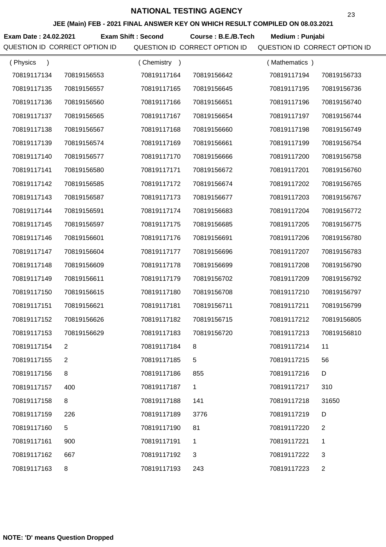**JEE (Main) FEB - 2021 FINAL ANSWER KEY ON WHICH RESULT COMPILED ON 08.03.2021**

**Exam Date : 24.02.2021 Course : B.E./B.Tech Medium : Punjabi Exam Shift : Second**

| (Physics<br>$\lambda$ |             | Chemistry<br>$\rightarrow$ |              | (Mathematics) |                |
|-----------------------|-------------|----------------------------|--------------|---------------|----------------|
| 70819117134           | 70819156553 | 70819117164                | 70819156642  | 70819117194   | 70819156733    |
| 70819117135           | 70819156557 | 70819117165                | 70819156645  | 70819117195   | 70819156736    |
| 70819117136           | 70819156560 | 70819117166                | 70819156651  | 70819117196   | 70819156740    |
| 70819117137           | 70819156565 | 70819117167                | 70819156654  | 70819117197   | 70819156744    |
| 70819117138           | 70819156567 | 70819117168                | 70819156660  | 70819117198   | 70819156749    |
| 70819117139           | 70819156574 | 70819117169                | 70819156661  | 70819117199   | 70819156754    |
| 70819117140           | 70819156577 | 70819117170                | 70819156666  | 70819117200   | 70819156758    |
| 70819117141           | 70819156580 | 70819117171                | 70819156672  | 70819117201   | 70819156760    |
| 70819117142           | 70819156585 | 70819117172                | 70819156674  | 70819117202   | 70819156765    |
| 70819117143           | 70819156587 | 70819117173                | 70819156677  | 70819117203   | 70819156767    |
| 70819117144           | 70819156591 | 70819117174                | 70819156683  | 70819117204   | 70819156772    |
| 70819117145           | 70819156597 | 70819117175                | 70819156685  | 70819117205   | 70819156775    |
| 70819117146           | 70819156601 | 70819117176                | 70819156691  | 70819117206   | 70819156780    |
| 70819117147           | 70819156604 | 70819117177                | 70819156696  | 70819117207   | 70819156783    |
| 70819117148           | 70819156609 | 70819117178                | 70819156699  | 70819117208   | 70819156790    |
| 70819117149           | 70819156611 | 70819117179                | 70819156702  | 70819117209   | 70819156792    |
| 70819117150           | 70819156615 | 70819117180                | 70819156708  | 70819117210   | 70819156797    |
| 70819117151           | 70819156621 | 70819117181                | 70819156711  | 70819117211   | 70819156799    |
| 70819117152           | 70819156626 | 70819117182                | 70819156715  | 70819117212   | 70819156805    |
| 70819117153           | 70819156629 | 70819117183                | 70819156720  | 70819117213   | 70819156810    |
| 70819117154           |             | 70819117184                | 8            | 70819117214   | 11             |
| 70819117155           | 2           | 70819117185                | 5            | 70819117215   | 56             |
| 70819117156           | 8           | 70819117186                | 855          | 70819117216   | D              |
| 70819117157           | 400         | 70819117187                | $\mathbf 1$  | 70819117217   | 310            |
| 70819117158           | 8           | 70819117188                | 141          | 70819117218   | 31650          |
| 70819117159           | 226         | 70819117189                | 3776         | 70819117219   | D              |
| 70819117160           | 5           | 70819117190                | 81           | 70819117220   | $\overline{2}$ |
| 70819117161           | 900         | 70819117191                | 1            | 70819117221   | 1              |
| 70819117162           | 667         | 70819117192                | $\mathbf{3}$ | 70819117222   | 3              |
| 70819117163           | 8           | 70819117193                | 243          | 70819117223   | $\overline{c}$ |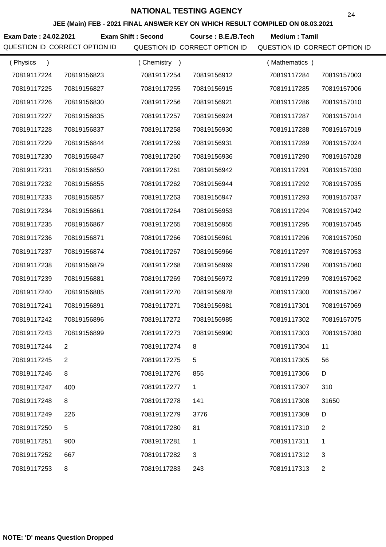**JEE (Main) FEB - 2021 FINAL ANSWER KEY ON WHICH RESULT COMPILED ON 08.03.2021**

**Exam Date : 24.02.2021 Course : B.E./B.Tech Medium : Tamil Exam Shift : Second**

| (Physics<br>$\lambda$ |                | (Chemistry<br>$\rightarrow$ |             | (Mathematics) |                |
|-----------------------|----------------|-----------------------------|-------------|---------------|----------------|
| 70819117224           | 70819156823    | 70819117254                 | 70819156912 | 70819117284   | 70819157003    |
| 70819117225           | 70819156827    | 70819117255                 | 70819156915 | 70819117285   | 70819157006    |
| 70819117226           | 70819156830    | 70819117256                 | 70819156921 | 70819117286   | 70819157010    |
| 70819117227           | 70819156835    | 70819117257                 | 70819156924 | 70819117287   | 70819157014    |
| 70819117228           | 70819156837    | 70819117258                 | 70819156930 | 70819117288   | 70819157019    |
| 70819117229           | 70819156844    | 70819117259                 | 70819156931 | 70819117289   | 70819157024    |
| 70819117230           | 70819156847    | 70819117260                 | 70819156936 | 70819117290   | 70819157028    |
| 70819117231           | 70819156850    | 70819117261                 | 70819156942 | 70819117291   | 70819157030    |
| 70819117232           | 70819156855    | 70819117262                 | 70819156944 | 70819117292   | 70819157035    |
| 70819117233           | 70819156857    | 70819117263                 | 70819156947 | 70819117293   | 70819157037    |
| 70819117234           | 70819156861    | 70819117264                 | 70819156953 | 70819117294   | 70819157042    |
| 70819117235           | 70819156867    | 70819117265                 | 70819156955 | 70819117295   | 70819157045    |
| 70819117236           | 70819156871    | 70819117266                 | 70819156961 | 70819117296   | 70819157050    |
| 70819117237           | 70819156874    | 70819117267                 | 70819156966 | 70819117297   | 70819157053    |
| 70819117238           | 70819156879    | 70819117268                 | 70819156969 | 70819117298   | 70819157060    |
| 70819117239           | 70819156881    | 70819117269                 | 70819156972 | 70819117299   | 70819157062    |
| 70819117240           | 70819156885    | 70819117270                 | 70819156978 | 70819117300   | 70819157067    |
| 70819117241           | 70819156891    | 70819117271                 | 70819156981 | 70819117301   | 70819157069    |
| 70819117242           | 70819156896    | 70819117272                 | 70819156985 | 70819117302   | 70819157075    |
| 70819117243           | 70819156899    | 70819117273                 | 70819156990 | 70819117303   | 70819157080    |
| 70819117244           |                | 70819117274                 | 8           | 70819117304   | 11             |
| 70819117245           | $\overline{2}$ | 70819117275                 | 5           | 70819117305   | 56             |
| 70819117246           | 8              | 70819117276                 | 855         | 70819117306   | D              |
| 70819117247           | 400            | 70819117277                 | 1           | 70819117307   | 310            |
| 70819117248           | 8              | 70819117278                 | 141         | 70819117308   | 31650          |
| 70819117249           | 226            | 70819117279                 | 3776        | 70819117309   | D              |
| 70819117250           | 5              | 70819117280                 | 81          | 70819117310   | $\overline{c}$ |
| 70819117251           | 900            | 70819117281                 | 1           | 70819117311   | 1              |
| 70819117252           | 667            | 70819117282                 | 3           | 70819117312   | 3              |
| 70819117253           | 8              | 70819117283                 | 243         | 70819117313   | $\overline{2}$ |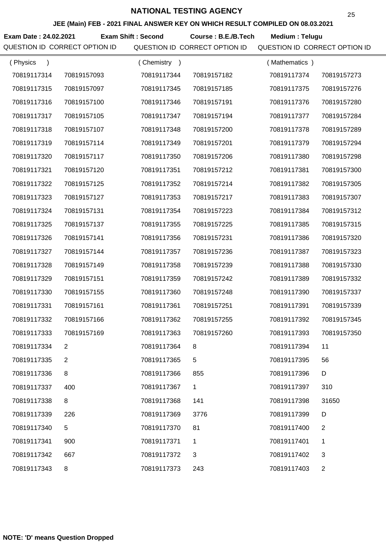**JEE (Main) FEB - 2021 FINAL ANSWER KEY ON WHICH RESULT COMPILED ON 08.03.2021**

**Exam Date : 24.02.2021 Course : B.E./B.Tech Medium : Telugu Exam Shift : Second**

| (Physics    |                | (Chemistry)<br>$\rightarrow$ |             | Mathematics ) |                |
|-------------|----------------|------------------------------|-------------|---------------|----------------|
| 70819117314 | 70819157093    | 70819117344                  | 70819157182 | 70819117374   | 70819157273    |
| 70819117315 | 70819157097    | 70819117345                  | 70819157185 | 70819117375   | 70819157276    |
| 70819117316 | 70819157100    | 70819117346                  | 70819157191 | 70819117376   | 70819157280    |
| 70819117317 | 70819157105    | 70819117347                  | 70819157194 | 70819117377   | 70819157284    |
| 70819117318 | 70819157107    | 70819117348                  | 70819157200 | 70819117378   | 70819157289    |
| 70819117319 | 70819157114    | 70819117349                  | 70819157201 | 70819117379   | 70819157294    |
| 70819117320 | 70819157117    | 70819117350                  | 70819157206 | 70819117380   | 70819157298    |
| 70819117321 | 70819157120    | 70819117351                  | 70819157212 | 70819117381   | 70819157300    |
| 70819117322 | 70819157125    | 70819117352                  | 70819157214 | 70819117382   | 70819157305    |
| 70819117323 | 70819157127    | 70819117353                  | 70819157217 | 70819117383   | 70819157307    |
| 70819117324 | 70819157131    | 70819117354                  | 70819157223 | 70819117384   | 70819157312    |
| 70819117325 | 70819157137    | 70819117355                  | 70819157225 | 70819117385   | 70819157315    |
| 70819117326 | 70819157141    | 70819117356                  | 70819157231 | 70819117386   | 70819157320    |
| 70819117327 | 70819157144    | 70819117357                  | 70819157236 | 70819117387   | 70819157323    |
| 70819117328 | 70819157149    | 70819117358                  | 70819157239 | 70819117388   | 70819157330    |
| 70819117329 | 70819157151    | 70819117359                  | 70819157242 | 70819117389   | 70819157332    |
| 70819117330 | 70819157155    | 70819117360                  | 70819157248 | 70819117390   | 70819157337    |
| 70819117331 | 70819157161    | 70819117361                  | 70819157251 | 70819117391   | 70819157339    |
| 70819117332 | 70819157166    | 70819117362                  | 70819157255 | 70819117392   | 70819157345    |
| 70819117333 | 70819157169    | 70819117363                  | 70819157260 | 70819117393   | 70819157350    |
| 70819117334 | 2              | 70819117364                  | 8           | 70819117394   | 11             |
| 70819117335 | $\overline{2}$ | 70819117365                  | 5           | 70819117395   | 56             |
| 70819117336 | 8              | 70819117366                  | 855         | 70819117396   | D              |
| 70819117337 | 400            | 70819117367                  | 1           | 70819117397   | 310            |
| 70819117338 | 8              | 70819117368                  | 141         | 70819117398   | 31650          |
| 70819117339 | 226            | 70819117369                  | 3776        | 70819117399   | D              |
| 70819117340 | 5              | 70819117370                  | 81          | 70819117400   | 2              |
| 70819117341 | 900            | 70819117371                  | 1           | 70819117401   | 1              |
| 70819117342 | 667            | 70819117372                  | 3           | 70819117402   | 3              |
| 70819117343 | 8              | 70819117373                  | 243         | 70819117403   | $\overline{c}$ |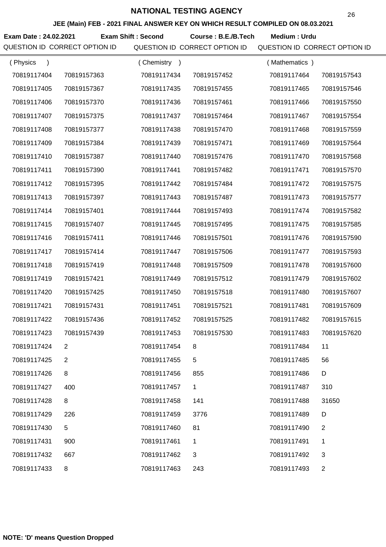**JEE (Main) FEB - 2021 FINAL ANSWER KEY ON WHICH RESULT COMPILED ON 08.03.2021**

**Exam Date : 24.02.2021 Exam Shift : Second Course : B.E./B.Tech Medium : Urdu** 

| (Physics<br>$\mathcal{E}$ |             | (Chemistry<br>$\rightarrow$ |                | (Mathematics) |                |
|---------------------------|-------------|-----------------------------|----------------|---------------|----------------|
| 70819117404               | 70819157363 | 70819117434                 | 70819157452    | 70819117464   | 70819157543    |
| 70819117405               | 70819157367 | 70819117435                 | 70819157455    | 70819117465   | 70819157546    |
| 70819117406               | 70819157370 | 70819117436                 | 70819157461    | 70819117466   | 70819157550    |
| 70819117407               | 70819157375 | 70819117437                 | 70819157464    | 70819117467   | 70819157554    |
| 70819117408               | 70819157377 | 70819117438                 | 70819157470    | 70819117468   | 70819157559    |
| 70819117409               | 70819157384 | 70819117439                 | 70819157471    | 70819117469   | 70819157564    |
| 70819117410               | 70819157387 | 70819117440                 | 70819157476    | 70819117470   | 70819157568    |
| 70819117411               | 70819157390 | 70819117441                 | 70819157482    | 70819117471   | 70819157570    |
| 70819117412               | 70819157395 | 70819117442                 | 70819157484    | 70819117472   | 70819157575    |
| 70819117413               | 70819157397 | 70819117443                 | 70819157487    | 70819117473   | 70819157577    |
| 70819117414               | 70819157401 | 70819117444                 | 70819157493    | 70819117474   | 70819157582    |
| 70819117415               | 70819157407 | 70819117445                 | 70819157495    | 70819117475   | 70819157585    |
| 70819117416               | 70819157411 | 70819117446                 | 70819157501    | 70819117476   | 70819157590    |
| 70819117417               | 70819157414 | 70819117447                 | 70819157506    | 70819117477   | 70819157593    |
| 70819117418               | 70819157419 | 70819117448                 | 70819157509    | 70819117478   | 70819157600    |
| 70819117419               | 70819157421 | 70819117449                 | 70819157512    | 70819117479   | 70819157602    |
| 70819117420               | 70819157425 | 70819117450                 | 70819157518    | 70819117480   | 70819157607    |
| 70819117421               | 70819157431 | 70819117451                 | 70819157521    | 70819117481   | 70819157609    |
| 70819117422               | 70819157436 | 70819117452                 | 70819157525    | 70819117482   | 70819157615    |
| 70819117423               | 70819157439 | 70819117453                 | 70819157530    | 70819117483   | 70819157620    |
| 70819117424               |             | 70819117454                 |                | 70819117484   | 11             |
| 70819117425               | 2           | 70819117455                 | 5              | 70819117485   | 56             |
| 70819117426               | 8           | 70819117456                 | 855            | 70819117486   | D              |
| 70819117427               | 400         | 70819117457                 | 1              | 70819117487   | 310            |
| 70819117428               | 8           | 70819117458                 | 141            | 70819117488   | 31650          |
| 70819117429               | 226         | 70819117459                 | 3776           | 70819117489   | D              |
| 70819117430               | $\,$ 5 $\,$ | 70819117460                 | 81             | 70819117490   | 2              |
| 70819117431               | 900         | 70819117461                 | 1              | 70819117491   | 1              |
| 70819117432               | 667         | 70819117462                 | $\mathfrak{B}$ | 70819117492   | 3              |
| 70819117433               | 8           | 70819117463                 | 243            | 70819117493   | $\overline{2}$ |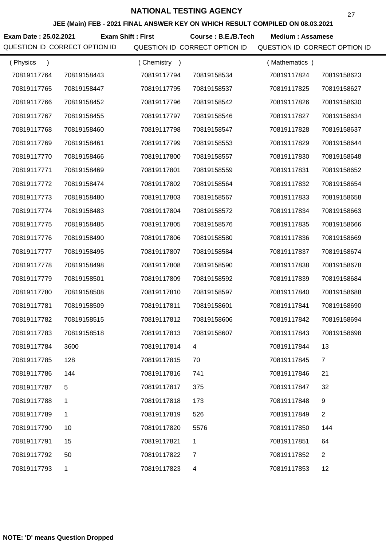**JEE (Main) FEB - 2021 FINAL ANSWER KEY ON WHICH RESULT COMPILED ON 08.03.2021**

**Exam Date : 25.02.2021 Course : B.E./B.Tech Medium : Assamese Exam Shift : First** QUESTION ID CORRECT OPTION ID QUESTION ID CORRECT OPTION ID QUESTION ID CORRECT OPTION ID

| (Physics<br>$\lambda$ |              | (Chemistry<br>$\rightarrow$ |                | (Mathematics) |                |
|-----------------------|--------------|-----------------------------|----------------|---------------|----------------|
| 70819117764           | 70819158443  | 70819117794                 | 70819158534    | 70819117824   | 70819158623    |
| 70819117765           | 70819158447  | 70819117795                 | 70819158537    | 70819117825   | 70819158627    |
| 70819117766           | 70819158452  | 70819117796                 | 70819158542    | 70819117826   | 70819158630    |
| 70819117767           | 70819158455  | 70819117797                 | 70819158546    | 70819117827   | 70819158634    |
| 70819117768           | 70819158460  | 70819117798                 | 70819158547    | 70819117828   | 70819158637    |
| 70819117769           | 70819158461  | 70819117799                 | 70819158553    | 70819117829   | 70819158644    |
| 70819117770           | 70819158466  | 70819117800                 | 70819158557    | 70819117830   | 70819158648    |
| 70819117771           | 70819158469  | 70819117801                 | 70819158559    | 70819117831   | 70819158652    |
| 70819117772           | 70819158474  | 70819117802                 | 70819158564    | 70819117832   | 70819158654    |
| 70819117773           | 70819158480  | 70819117803                 | 70819158567    | 70819117833   | 70819158658    |
| 70819117774           | 70819158483  | 70819117804                 | 70819158572    | 70819117834   | 70819158663    |
| 70819117775           | 70819158485  | 70819117805                 | 70819158576    | 70819117835   | 70819158666    |
| 70819117776           | 70819158490  | 70819117806                 | 70819158580    | 70819117836   | 70819158669    |
| 70819117777           | 70819158495  | 70819117807                 | 70819158584    | 70819117837   | 70819158674    |
| 70819117778           | 70819158498  | 70819117808                 | 70819158590    | 70819117838   | 70819158678    |
| 70819117779           | 70819158501  | 70819117809                 | 70819158592    | 70819117839   | 70819158684    |
| 70819117780           | 70819158508  | 70819117810                 | 70819158597    | 70819117840   | 70819158688    |
| 70819117781           | 70819158509  | 70819117811                 | 70819158601    | 70819117841   | 70819158690    |
| 70819117782           | 70819158515  | 70819117812                 | 70819158606    | 70819117842   | 70819158694    |
| 70819117783           | 70819158518  | 70819117813                 | 70819158607    | 70819117843   | 70819158698    |
| 70819117784           | 3600         | 70819117814                 |                | 70819117844   | 13             |
| 70819117785           | 128          | 70819117815                 | 70             | 70819117845   | $\overline{7}$ |
| 70819117786           | 144          | 70819117816                 | 741            | 70819117846   | 21             |
| 70819117787           | 5            | 70819117817                 | 375            | 70819117847   | 32             |
| 70819117788           | 1            | 70819117818                 | 173            | 70819117848   | 9              |
| 70819117789           | 1            | 70819117819                 | 526            | 70819117849   | $\overline{2}$ |
| 70819117790           | 10           | 70819117820                 | 5576           | 70819117850   | 144            |
| 70819117791           | 15           | 70819117821                 | 1              | 70819117851   | 64             |
| 70819117792           | 50           | 70819117822                 | $\overline{7}$ | 70819117852   | $\overline{2}$ |
| 70819117793           | $\mathbf{1}$ | 70819117823                 | 4              | 70819117853   | 12             |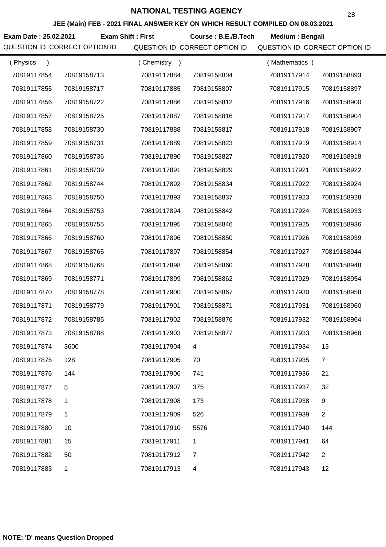**JEE (Main) FEB - 2021 FINAL ANSWER KEY ON WHICH RESULT COMPILED ON 08.03.2021**

**Exam Date : 25.02.2021 Course : B.E./B.Tech Medium : Bengali Exam Shift : First**

| (Physics    |             | (Chemistry<br>$\rightarrow$ |             | (Mathematics) |                |
|-------------|-------------|-----------------------------|-------------|---------------|----------------|
| 70819117854 | 70819158713 | 70819117884                 | 70819158804 | 70819117914   | 70819158893    |
| 70819117855 | 70819158717 | 70819117885                 | 70819158807 | 70819117915   | 70819158897    |
| 70819117856 | 70819158722 | 70819117886                 | 70819158812 | 70819117916   | 70819158900    |
| 70819117857 | 70819158725 | 70819117887                 | 70819158816 | 70819117917   | 70819158904    |
| 70819117858 | 70819158730 | 70819117888                 | 70819158817 | 70819117918   | 70819158907    |
| 70819117859 | 70819158731 | 70819117889                 | 70819158823 | 70819117919   | 70819158914    |
| 70819117860 | 70819158736 | 70819117890                 | 70819158827 | 70819117920   | 70819158918    |
| 70819117861 | 70819158739 | 70819117891                 | 70819158829 | 70819117921   | 70819158922    |
| 70819117862 | 70819158744 | 70819117892                 | 70819158834 | 70819117922   | 70819158924    |
| 70819117863 | 70819158750 | 70819117893                 | 70819158837 | 70819117923   | 70819158928    |
| 70819117864 | 70819158753 | 70819117894                 | 70819158842 | 70819117924   | 70819158933    |
| 70819117865 | 70819158755 | 70819117895                 | 70819158846 | 70819117925   | 70819158936    |
| 70819117866 | 70819158760 | 70819117896                 | 70819158850 | 70819117926   | 70819158939    |
| 70819117867 | 70819158765 | 70819117897                 | 70819158854 | 70819117927   | 70819158944    |
| 70819117868 | 70819158768 | 70819117898                 | 70819158860 | 70819117928   | 70819158948    |
| 70819117869 | 70819158771 | 70819117899                 | 70819158862 | 70819117929   | 70819158954    |
| 70819117870 | 70819158778 | 70819117900                 | 70819158867 | 70819117930   | 70819158958    |
| 70819117871 | 70819158779 | 70819117901                 | 70819158871 | 70819117931   | 70819158960    |
| 70819117872 | 70819158785 | 70819117902                 | 70819158876 | 70819117932   | 70819158964    |
| 70819117873 | 70819158788 | 70819117903                 | 70819158877 | 70819117933   | 70819158968    |
| 70819117874 | 3600        | 70819117904                 |             | 70819117934   | 13             |
| 70819117875 | 128         | 70819117905                 | 70          | 70819117935   | $\overline{7}$ |
| 70819117876 | 144         | 70819117906                 | 741         | 70819117936   | 21             |
| 70819117877 | 5           | 70819117907                 | 375         | 70819117937   | 32             |
| 70819117878 | 1           | 70819117908                 | 173         | 70819117938   | 9              |
| 70819117879 | 1           | 70819117909                 | 526         | 70819117939   | $\overline{2}$ |
| 70819117880 | 10          | 70819117910                 | 5576        | 70819117940   | 144            |
| 70819117881 | 15          | 70819117911                 | 1           | 70819117941   | 64             |
| 70819117882 | 50          | 70819117912                 | 7           | 70819117942   | $\overline{2}$ |
| 70819117883 | 1           | 70819117913                 | 4           | 70819117943   | 12             |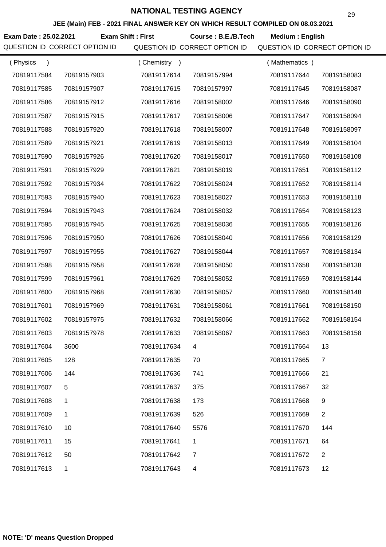**JEE (Main) FEB - 2021 FINAL ANSWER KEY ON WHICH RESULT COMPILED ON 08.03.2021**

**Exam Date : 25.02.2021 Course : B.E./B.Tech Medium : English Exam Shift : First**

| (Physics<br>$\mathcal{E}$ |              | (Chemistry)<br>$\rightarrow$ |             | (Mathematics) |                |
|---------------------------|--------------|------------------------------|-------------|---------------|----------------|
| 70819117584               | 70819157903  | 70819117614                  | 70819157994 | 70819117644   | 70819158083    |
| 70819117585               | 70819157907  | 70819117615                  | 70819157997 | 70819117645   | 70819158087    |
| 70819117586               | 70819157912  | 70819117616                  | 70819158002 | 70819117646   | 70819158090    |
| 70819117587               | 70819157915  | 70819117617                  | 70819158006 | 70819117647   | 70819158094    |
| 70819117588               | 70819157920  | 70819117618                  | 70819158007 | 70819117648   | 70819158097    |
| 70819117589               | 70819157921  | 70819117619                  | 70819158013 | 70819117649   | 70819158104    |
| 70819117590               | 70819157926  | 70819117620                  | 70819158017 | 70819117650   | 70819158108    |
| 70819117591               | 70819157929  | 70819117621                  | 70819158019 | 70819117651   | 70819158112    |
| 70819117592               | 70819157934  | 70819117622                  | 70819158024 | 70819117652   | 70819158114    |
| 70819117593               | 70819157940  | 70819117623                  | 70819158027 | 70819117653   | 70819158118    |
| 70819117594               | 70819157943  | 70819117624                  | 70819158032 | 70819117654   | 70819158123    |
| 70819117595               | 70819157945  | 70819117625                  | 70819158036 | 70819117655   | 70819158126    |
| 70819117596               | 70819157950  | 70819117626                  | 70819158040 | 70819117656   | 70819158129    |
| 70819117597               | 70819157955  | 70819117627                  | 70819158044 | 70819117657   | 70819158134    |
| 70819117598               | 70819157958  | 70819117628                  | 70819158050 | 70819117658   | 70819158138    |
| 70819117599               | 70819157961  | 70819117629                  | 70819158052 | 70819117659   | 70819158144    |
| 70819117600               | 70819157968  | 70819117630                  | 70819158057 | 70819117660   | 70819158148    |
| 70819117601               | 70819157969  | 70819117631                  | 70819158061 | 70819117661   | 70819158150    |
| 70819117602               | 70819157975  | 70819117632                  | 70819158066 | 70819117662   | 70819158154    |
| 70819117603               | 70819157978  | 70819117633                  | 70819158067 | 70819117663   | 70819158158    |
| 70819117604               | 3600         | 70819117634                  |             | 70819117664   | 13             |
| 70819117605               | 128          | 70819117635                  | 70          | 70819117665   | $\overline{7}$ |
| 70819117606               | 144          | 70819117636                  | 741         | 70819117666   | 21             |
| 70819117607               | 5            | 70819117637                  | 375         | 70819117667   | 32             |
| 70819117608               | 1            | 70819117638                  | 173         | 70819117668   | 9              |
| 70819117609               | 1            | 70819117639                  | 526         | 70819117669   | $\overline{2}$ |
| 70819117610               | 10           | 70819117640                  | 5576        | 70819117670   | 144            |
| 70819117611               | 15           | 70819117641                  | 1           | 70819117671   | 64             |
| 70819117612               | 50           | 70819117642                  | 7           | 70819117672   | $\overline{2}$ |
| 70819117613               | $\mathbf{1}$ | 70819117643                  | 4           | 70819117673   | 12             |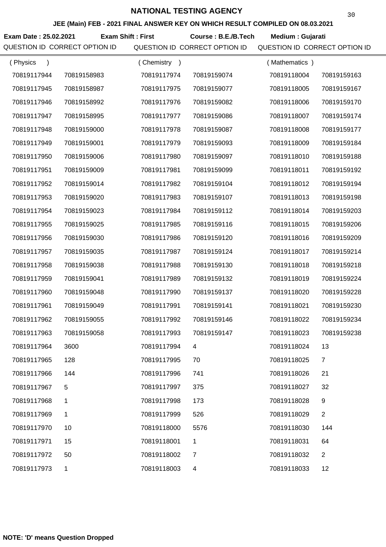**JEE (Main) FEB - 2021 FINAL ANSWER KEY ON WHICH RESULT COMPILED ON 08.03.2021**

**Exam Date : 25.02.2021 Exam Shift : First Course : B.E./B.Tech Medium : Gujarati** 

QUESTION ID CORRECT OPTION ID QUESTION ID CORRECT OPTION ID QUESTION ID CORRECT OPTION ID

| (Physics<br>$\lambda$ |             | (Chemistry<br>$\rightarrow$ |             | (Mathematics) |                |
|-----------------------|-------------|-----------------------------|-------------|---------------|----------------|
| 70819117944           | 70819158983 | 70819117974                 | 70819159074 | 70819118004   | 70819159163    |
| 70819117945           | 70819158987 | 70819117975                 | 70819159077 | 70819118005   | 70819159167    |
| 70819117946           | 70819158992 | 70819117976                 | 70819159082 | 70819118006   | 70819159170    |
| 70819117947           | 70819158995 | 70819117977                 | 70819159086 | 70819118007   | 70819159174    |
| 70819117948           | 70819159000 | 70819117978                 | 70819159087 | 70819118008   | 70819159177    |
| 70819117949           | 70819159001 | 70819117979                 | 70819159093 | 70819118009   | 70819159184    |
| 70819117950           | 70819159006 | 70819117980                 | 70819159097 | 70819118010   | 70819159188    |
| 70819117951           | 70819159009 | 70819117981                 | 70819159099 | 70819118011   | 70819159192    |
| 70819117952           | 70819159014 | 70819117982                 | 70819159104 | 70819118012   | 70819159194    |
| 70819117953           | 70819159020 | 70819117983                 | 70819159107 | 70819118013   | 70819159198    |
| 70819117954           | 70819159023 | 70819117984                 | 70819159112 | 70819118014   | 70819159203    |
| 70819117955           | 70819159025 | 70819117985                 | 70819159116 | 70819118015   | 70819159206    |
| 70819117956           | 70819159030 | 70819117986                 | 70819159120 | 70819118016   | 70819159209    |
| 70819117957           | 70819159035 | 70819117987                 | 70819159124 | 70819118017   | 70819159214    |
| 70819117958           | 70819159038 | 70819117988                 | 70819159130 | 70819118018   | 70819159218    |
| 70819117959           | 70819159041 | 70819117989                 | 70819159132 | 70819118019   | 70819159224    |
| 70819117960           | 70819159048 | 70819117990                 | 70819159137 | 70819118020   | 70819159228    |
| 70819117961           | 70819159049 | 70819117991                 | 70819159141 | 70819118021   | 70819159230    |
| 70819117962           | 70819159055 | 70819117992                 | 70819159146 | 70819118022   | 70819159234    |
| 70819117963           | 70819159058 | 70819117993                 | 70819159147 | 70819118023   | 70819159238    |
| 70819117964           | 3600        | 70819117994                 |             | 70819118024   | 13             |
| 70819117965           | 128         | 70819117995                 | 70          | 70819118025   | 7              |
| 70819117966           | 144         | 70819117996                 | 741         | 70819118026   | 21             |
| 70819117967           | 5           | 70819117997                 | 375         | 70819118027   | 32             |
| 70819117968           | 1           | 70819117998                 | 173         | 70819118028   | 9              |
| 70819117969           | 1           | 70819117999                 | 526         | 70819118029   | $\overline{2}$ |
| 70819117970           | 10          | 70819118000                 | 5576        | 70819118030   | 144            |
| 70819117971           | 15          | 70819118001                 | 1           | 70819118031   | 64             |
| 70819117972           | 50          | 70819118002                 | 7           | 70819118032   | $\overline{2}$ |
| 70819117973           | 1           | 70819118003                 | 4           | 70819118033   | 12             |

30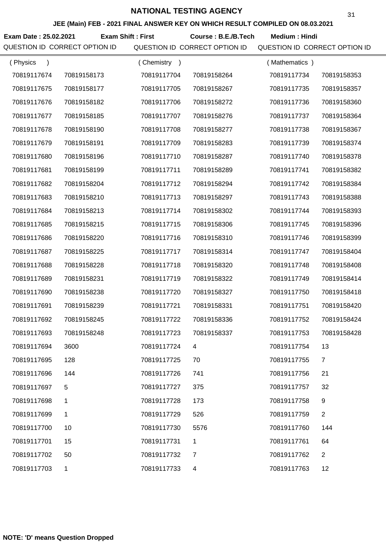**JEE (Main) FEB - 2021 FINAL ANSWER KEY ON WHICH RESULT COMPILED ON 08.03.2021**

Exam Date : 25.02.2021 Exam Shift : First Course : B.E./B.Tech Medium : Hindi

| (Physics<br>$\lambda$ |              | (Chemistry<br>$\rightarrow$ |             | (Mathematics) |                |
|-----------------------|--------------|-----------------------------|-------------|---------------|----------------|
| 70819117674           | 70819158173  | 70819117704                 | 70819158264 | 70819117734   | 70819158353    |
| 70819117675           | 70819158177  | 70819117705                 | 70819158267 | 70819117735   | 70819158357    |
| 70819117676           | 70819158182  | 70819117706                 | 70819158272 | 70819117736   | 70819158360    |
| 70819117677           | 70819158185  | 70819117707                 | 70819158276 | 70819117737   | 70819158364    |
| 70819117678           | 70819158190  | 70819117708                 | 70819158277 | 70819117738   | 70819158367    |
| 70819117679           | 70819158191  | 70819117709                 | 70819158283 | 70819117739   | 70819158374    |
| 70819117680           | 70819158196  | 70819117710                 | 70819158287 | 70819117740   | 70819158378    |
| 70819117681           | 70819158199  | 70819117711                 | 70819158289 | 70819117741   | 70819158382    |
| 70819117682           | 70819158204  | 70819117712                 | 70819158294 | 70819117742   | 70819158384    |
| 70819117683           | 70819158210  | 70819117713                 | 70819158297 | 70819117743   | 70819158388    |
| 70819117684           | 70819158213  | 70819117714                 | 70819158302 | 70819117744   | 70819158393    |
| 70819117685           | 70819158215  | 70819117715                 | 70819158306 | 70819117745   | 70819158396    |
| 70819117686           | 70819158220  | 70819117716                 | 70819158310 | 70819117746   | 70819158399    |
| 70819117687           | 70819158225  | 70819117717                 | 70819158314 | 70819117747   | 70819158404    |
| 70819117688           | 70819158228  | 70819117718                 | 70819158320 | 70819117748   | 70819158408    |
| 70819117689           | 70819158231  | 70819117719                 | 70819158322 | 70819117749   | 70819158414    |
| 70819117690           | 70819158238  | 70819117720                 | 70819158327 | 70819117750   | 70819158418    |
| 70819117691           | 70819158239  | 70819117721                 | 70819158331 | 70819117751   | 70819158420    |
| 70819117692           | 70819158245  | 70819117722                 | 70819158336 | 70819117752   | 70819158424    |
| 70819117693           | 70819158248  | 70819117723                 | 70819158337 | 70819117753   | 70819158428    |
| 70819117694           | 3600         | 70819117724                 |             | 70819117754   | 13             |
| 70819117695           | 128          | 70819117725                 | 70          | 70819117755   | $\overline{7}$ |
| 70819117696           | 144          | 70819117726                 | 741         | 70819117756   | 21             |
| 70819117697           | $\sqrt{5}$   | 70819117727                 | 375         | 70819117757   | 32             |
| 70819117698           | 1            | 70819117728                 | 173         | 70819117758   | 9              |
| 70819117699           | 1            | 70819117729                 | 526         | 70819117759   | $\overline{2}$ |
| 70819117700           | 10           | 70819117730                 | 5576        | 70819117760   | 144            |
| 70819117701           | 15           | 70819117731                 | 1           | 70819117761   | 64             |
| 70819117702           | 50           | 70819117732                 | 7           | 70819117762   | $\overline{c}$ |
| 70819117703           | $\mathbf{1}$ | 70819117733                 | 4           | 70819117763   | 12             |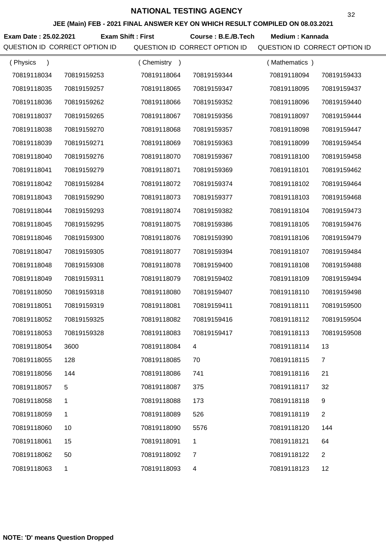**JEE (Main) FEB - 2021 FINAL ANSWER KEY ON WHICH RESULT COMPILED ON 08.03.2021**

Exam Date : 25.02.2021 Exam Shift : First Course : B.E./B.Tech Medium : Kannada

| (Physics    |             | (Chemistry)<br>$\rightarrow$ |             | (Mathematics) |                |
|-------------|-------------|------------------------------|-------------|---------------|----------------|
| 70819118034 | 70819159253 | 70819118064                  | 70819159344 | 70819118094   | 70819159433    |
| 70819118035 | 70819159257 | 70819118065                  | 70819159347 | 70819118095   | 70819159437    |
| 70819118036 | 70819159262 | 70819118066                  | 70819159352 | 70819118096   | 70819159440    |
| 70819118037 | 70819159265 | 70819118067                  | 70819159356 | 70819118097   | 70819159444    |
| 70819118038 | 70819159270 | 70819118068                  | 70819159357 | 70819118098   | 70819159447    |
| 70819118039 | 70819159271 | 70819118069                  | 70819159363 | 70819118099   | 70819159454    |
| 70819118040 | 70819159276 | 70819118070                  | 70819159367 | 70819118100   | 70819159458    |
| 70819118041 | 70819159279 | 70819118071                  | 70819159369 | 70819118101   | 70819159462    |
| 70819118042 | 70819159284 | 70819118072                  | 70819159374 | 70819118102   | 70819159464    |
| 70819118043 | 70819159290 | 70819118073                  | 70819159377 | 70819118103   | 70819159468    |
| 70819118044 | 70819159293 | 70819118074                  | 70819159382 | 70819118104   | 70819159473    |
| 70819118045 | 70819159295 | 70819118075                  | 70819159386 | 70819118105   | 70819159476    |
| 70819118046 | 70819159300 | 70819118076                  | 70819159390 | 70819118106   | 70819159479    |
| 70819118047 | 70819159305 | 70819118077                  | 70819159394 | 70819118107   | 70819159484    |
| 70819118048 | 70819159308 | 70819118078                  | 70819159400 | 70819118108   | 70819159488    |
| 70819118049 | 70819159311 | 70819118079                  | 70819159402 | 70819118109   | 70819159494    |
| 70819118050 | 70819159318 | 70819118080                  | 70819159407 | 70819118110   | 70819159498    |
| 70819118051 | 70819159319 | 70819118081                  | 70819159411 | 70819118111   | 70819159500    |
| 70819118052 | 70819159325 | 70819118082                  | 70819159416 | 70819118112   | 70819159504    |
| 70819118053 | 70819159328 | 70819118083                  | 70819159417 | 70819118113   | 70819159508    |
| 70819118054 | 3600        | 70819118084                  |             | 70819118114   | 13             |
| 70819118055 | 128         | 70819118085                  | 70          | 70819118115   | 7              |
| 70819118056 | 144         | 70819118086                  | 741         | 70819118116   | 21             |
| 70819118057 | 5           | 70819118087                  | 375         | 70819118117   | 32             |
| 70819118058 | 1           | 70819118088                  | 173         | 70819118118   | 9              |
| 70819118059 | 1           | 70819118089                  | 526         | 70819118119   | $\overline{2}$ |
| 70819118060 | 10          | 70819118090                  | 5576        | 70819118120   | 144            |
| 70819118061 | 15          | 70819118091                  | 1           | 70819118121   | 64             |
| 70819118062 | 50          | 70819118092                  | 7           | 70819118122   | $\overline{2}$ |
| 70819118063 | 1           | 70819118093                  | 4           | 70819118123   | 12             |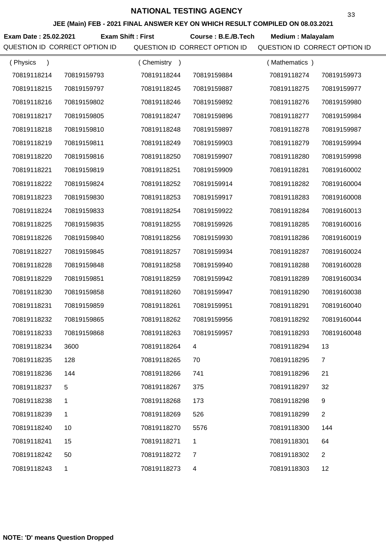**JEE (Main) FEB - 2021 FINAL ANSWER KEY ON WHICH RESULT COMPILED ON 08.03.2021**

**Exam Date : 25.02.2021 Course : B.E./B.Tech Medium : Malayalam Exam Shift : First**

| (Physics<br>$\lambda$ |              | (Chemistry<br>$\rightarrow$ |             | (Mathematics) |                |
|-----------------------|--------------|-----------------------------|-------------|---------------|----------------|
| 70819118214           | 70819159793  | 70819118244                 | 70819159884 | 70819118274   | 70819159973    |
| 70819118215           | 70819159797  | 70819118245                 | 70819159887 | 70819118275   | 70819159977    |
| 70819118216           | 70819159802  | 70819118246                 | 70819159892 | 70819118276   | 70819159980    |
| 70819118217           | 70819159805  | 70819118247                 | 70819159896 | 70819118277   | 70819159984    |
| 70819118218           | 70819159810  | 70819118248                 | 70819159897 | 70819118278   | 70819159987    |
| 70819118219           | 70819159811  | 70819118249                 | 70819159903 | 70819118279   | 70819159994    |
| 70819118220           | 70819159816  | 70819118250                 | 70819159907 | 70819118280   | 70819159998    |
| 70819118221           | 70819159819  | 70819118251                 | 70819159909 | 70819118281   | 70819160002    |
| 70819118222           | 70819159824  | 70819118252                 | 70819159914 | 70819118282   | 70819160004    |
| 70819118223           | 70819159830  | 70819118253                 | 70819159917 | 70819118283   | 70819160008    |
| 70819118224           | 70819159833  | 70819118254                 | 70819159922 | 70819118284   | 70819160013    |
| 70819118225           | 70819159835  | 70819118255                 | 70819159926 | 70819118285   | 70819160016    |
| 70819118226           | 70819159840  | 70819118256                 | 70819159930 | 70819118286   | 70819160019    |
| 70819118227           | 70819159845  | 70819118257                 | 70819159934 | 70819118287   | 70819160024    |
| 70819118228           | 70819159848  | 70819118258                 | 70819159940 | 70819118288   | 70819160028    |
| 70819118229           | 70819159851  | 70819118259                 | 70819159942 | 70819118289   | 70819160034    |
| 70819118230           | 70819159858  | 70819118260                 | 70819159947 | 70819118290   | 70819160038    |
| 70819118231           | 70819159859  | 70819118261                 | 70819159951 | 70819118291   | 70819160040    |
| 70819118232           | 70819159865  | 70819118262                 | 70819159956 | 70819118292   | 70819160044    |
| 70819118233           | 70819159868  | 70819118263                 | 70819159957 | 70819118293   | 70819160048    |
| 70819118234           | 3600         | 70819118264                 |             | 70819118294   | 13             |
| 70819118235           | 128          | 70819118265                 | 70          | 70819118295   | $\overline{7}$ |
| 70819118236           | 144          | 70819118266                 | 741         | 70819118296   | 21             |
| 70819118237           | 5            | 70819118267                 | 375         | 70819118297   | 32             |
| 70819118238           | 1            | 70819118268                 | 173         | 70819118298   | 9              |
| 70819118239           | 1            | 70819118269                 | 526         | 70819118299   | $\overline{2}$ |
| 70819118240           | 10           | 70819118270                 | 5576        | 70819118300   | 144            |
| 70819118241           | 15           | 70819118271                 | 1           | 70819118301   | 64             |
| 70819118242           | 50           | 70819118272                 | 7           | 70819118302   | $\overline{2}$ |
| 70819118243           | $\mathbf{1}$ | 70819118273                 | 4           | 70819118303   | 12             |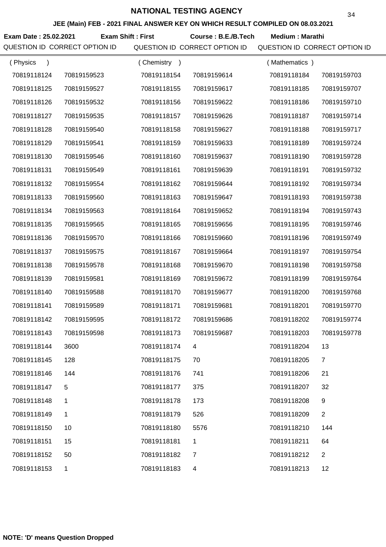**JEE (Main) FEB - 2021 FINAL ANSWER KEY ON WHICH RESULT COMPILED ON 08.03.2021**

**Exam Date : 25.02.2021 Course : B.E./B.Tech Medium : Marathi Exam Shift : First**

| (Physics<br>$\lambda$ |              | Chemistry<br>$\rightarrow$ |                | (Mathematics) |                |
|-----------------------|--------------|----------------------------|----------------|---------------|----------------|
| 70819118124           | 70819159523  | 70819118154                | 70819159614    | 70819118184   | 70819159703    |
| 70819118125           | 70819159527  | 70819118155                | 70819159617    | 70819118185   | 70819159707    |
| 70819118126           | 70819159532  | 70819118156                | 70819159622    | 70819118186   | 70819159710    |
| 70819118127           | 70819159535  | 70819118157                | 70819159626    | 70819118187   | 70819159714    |
| 70819118128           | 70819159540  | 70819118158                | 70819159627    | 70819118188   | 70819159717    |
| 70819118129           | 70819159541  | 70819118159                | 70819159633    | 70819118189   | 70819159724    |
| 70819118130           | 70819159546  | 70819118160                | 70819159637    | 70819118190   | 70819159728    |
| 70819118131           | 70819159549  | 70819118161                | 70819159639    | 70819118191   | 70819159732    |
| 70819118132           | 70819159554  | 70819118162                | 70819159644    | 70819118192   | 70819159734    |
| 70819118133           | 70819159560  | 70819118163                | 70819159647    | 70819118193   | 70819159738    |
| 70819118134           | 70819159563  | 70819118164                | 70819159652    | 70819118194   | 70819159743    |
| 70819118135           | 70819159565  | 70819118165                | 70819159656    | 70819118195   | 70819159746    |
| 70819118136           | 70819159570  | 70819118166                | 70819159660    | 70819118196   | 70819159749    |
| 70819118137           | 70819159575  | 70819118167                | 70819159664    | 70819118197   | 70819159754    |
| 70819118138           | 70819159578  | 70819118168                | 70819159670    | 70819118198   | 70819159758    |
| 70819118139           | 70819159581  | 70819118169                | 70819159672    | 70819118199   | 70819159764    |
| 70819118140           | 70819159588  | 70819118170                | 70819159677    | 70819118200   | 70819159768    |
| 70819118141           | 70819159589  | 70819118171                | 70819159681    | 70819118201   | 70819159770    |
| 70819118142           | 70819159595  | 70819118172                | 70819159686    | 70819118202   | 70819159774    |
| 70819118143           | 70819159598  | 70819118173                | 70819159687    | 70819118203   | 70819159778    |
| 70819118144           | 3600         | 70819118174                |                | 70819118204   | 13             |
| 70819118145           | 128          | 70819118175                | 70             | 70819118205   | $\overline{7}$ |
| 70819118146           | 144          | 70819118176                | 741            | 70819118206   | 21             |
| 70819118147           | 5            | 70819118177                | 375            | 70819118207   | 32             |
| 70819118148           | 1            | 70819118178                | 173            | 70819118208   | 9              |
| 70819118149           | 1            | 70819118179                | 526            | 70819118209   | $\overline{2}$ |
| 70819118150           | 10           | 70819118180                | 5576           | 70819118210   | 144            |
| 70819118151           | 15           | 70819118181                | 1              | 70819118211   | 64             |
| 70819118152           | 50           | 70819118182                | $\overline{7}$ | 70819118212   | $\overline{2}$ |
| 70819118153           | $\mathbf{1}$ | 70819118183                | 4              | 70819118213   | 12             |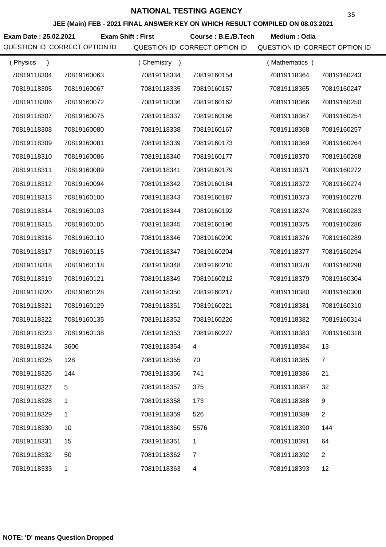**JEE (Main) FEB - 2021 FINAL ANSWER KEY ON WHICH RESULT COMPILED ON 08.03.2021**

**Exam Date : 25.02.2021 Course : B.E./B.Tech Medium : Odia Exam Shift : First**

| (Physics<br>$\lambda$ |             | (Chemistry<br>$\rightarrow$ |                | (Mathematics) |                |
|-----------------------|-------------|-----------------------------|----------------|---------------|----------------|
| 70819118304           | 70819160063 | 70819118334                 | 70819160154    | 70819118364   | 70819160243    |
| 70819118305           | 70819160067 | 70819118335                 | 70819160157    | 70819118365   | 70819160247    |
| 70819118306           | 70819160072 | 70819118336                 | 70819160162    | 70819118366   | 70819160250    |
| 70819118307           | 70819160075 | 70819118337                 | 70819160166    | 70819118367   | 70819160254    |
| 70819118308           | 70819160080 | 70819118338                 | 70819160167    | 70819118368   | 70819160257    |
| 70819118309           | 70819160081 | 70819118339                 | 70819160173    | 70819118369   | 70819160264    |
| 70819118310           | 70819160086 | 70819118340                 | 70819160177    | 70819118370   | 70819160268    |
| 70819118311           | 70819160089 | 70819118341                 | 70819160179    | 70819118371   | 70819160272    |
| 70819118312           | 70819160094 | 70819118342                 | 70819160184    | 70819118372   | 70819160274    |
| 70819118313           | 70819160100 | 70819118343                 | 70819160187    | 70819118373   | 70819160278    |
| 70819118314           | 70819160103 | 70819118344                 | 70819160192    | 70819118374   | 70819160283    |
| 70819118315           | 70819160105 | 70819118345                 | 70819160196    | 70819118375   | 70819160286    |
| 70819118316           | 70819160110 | 70819118346                 | 70819160200    | 70819118376   | 70819160289    |
| 70819118317           | 70819160115 | 70819118347                 | 70819160204    | 70819118377   | 70819160294    |
| 70819118318           | 70819160118 | 70819118348                 | 70819160210    | 70819118378   | 70819160298    |
| 70819118319           | 70819160121 | 70819118349                 | 70819160212    | 70819118379   | 70819160304    |
| 70819118320           | 70819160128 | 70819118350                 | 70819160217    | 70819118380   | 70819160308    |
| 70819118321           | 70819160129 | 70819118351                 | 70819160221    | 70819118381   | 70819160310    |
| 70819118322           | 70819160135 | 70819118352                 | 70819160226    | 70819118382   | 70819160314    |
| 70819118323           | 70819160138 | 70819118353                 | 70819160227    | 70819118383   | 70819160318    |
| 70819118324           | 3600        | 70819118354                 |                | 70819118384   | 13             |
| 70819118325           | 128         | 70819118355                 | 70             | 70819118385   | $\overline{7}$ |
| 70819118326           | 144         | 70819118356                 | 741            | 70819118386   | 21             |
| 70819118327           | 5           | 70819118357                 | 375            | 70819118387   | 32             |
| 70819118328           | 1           | 70819118358                 | 173            | 70819118388   | 9              |
| 70819118329           | 1           | 70819118359                 | 526            | 70819118389   | 2              |
| 70819118330           | 10          | 70819118360                 | 5576           | 70819118390   | 144            |
| 70819118331           | 15          | 70819118361                 | 1              | 70819118391   | 64             |
| 70819118332           | 50          | 70819118362                 | $\overline{7}$ | 70819118392   | $\overline{2}$ |
| 70819118333           | 1           | 70819118363                 | 4              | 70819118393   | 12             |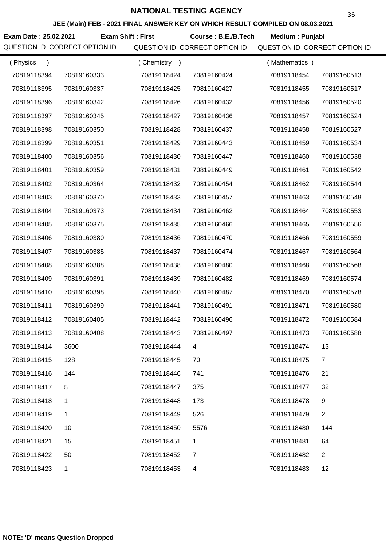**JEE (Main) FEB - 2021 FINAL ANSWER KEY ON WHICH RESULT COMPILED ON 08.03.2021**

**Exam Date : 25.02.2021 Course : B.E./B.Tech Medium : Punjabi Exam Shift : First**

| (Physics<br>$\mathcal{E}$ |             | (Chemistry<br>$\rightarrow$ |                | (Mathematics) |                |
|---------------------------|-------------|-----------------------------|----------------|---------------|----------------|
| 70819118394               | 70819160333 | 70819118424                 | 70819160424    | 70819118454   | 70819160513    |
| 70819118395               | 70819160337 | 70819118425                 | 70819160427    | 70819118455   | 70819160517    |
| 70819118396               | 70819160342 | 70819118426                 | 70819160432    | 70819118456   | 70819160520    |
| 70819118397               | 70819160345 | 70819118427                 | 70819160436    | 70819118457   | 70819160524    |
| 70819118398               | 70819160350 | 70819118428                 | 70819160437    | 70819118458   | 70819160527    |
| 70819118399               | 70819160351 | 70819118429                 | 70819160443    | 70819118459   | 70819160534    |
| 70819118400               | 70819160356 | 70819118430                 | 70819160447    | 70819118460   | 70819160538    |
| 70819118401               | 70819160359 | 70819118431                 | 70819160449    | 70819118461   | 70819160542    |
| 70819118402               | 70819160364 | 70819118432                 | 70819160454    | 70819118462   | 70819160544    |
| 70819118403               | 70819160370 | 70819118433                 | 70819160457    | 70819118463   | 70819160548    |
| 70819118404               | 70819160373 | 70819118434                 | 70819160462    | 70819118464   | 70819160553    |
| 70819118405               | 70819160375 | 70819118435                 | 70819160466    | 70819118465   | 70819160556    |
| 70819118406               | 70819160380 | 70819118436                 | 70819160470    | 70819118466   | 70819160559    |
| 70819118407               | 70819160385 | 70819118437                 | 70819160474    | 70819118467   | 70819160564    |
| 70819118408               | 70819160388 | 70819118438                 | 70819160480    | 70819118468   | 70819160568    |
| 70819118409               | 70819160391 | 70819118439                 | 70819160482    | 70819118469   | 70819160574    |
| 70819118410               | 70819160398 | 70819118440                 | 70819160487    | 70819118470   | 70819160578    |
| 70819118411               | 70819160399 | 70819118441                 | 70819160491    | 70819118471   | 70819160580    |
| 70819118412               | 70819160405 | 70819118442                 | 70819160496    | 70819118472   | 70819160584    |
| 70819118413               | 70819160408 | 70819118443                 | 70819160497    | 70819118473   | 70819160588    |
| 70819118414               | 3600        | 70819118444                 |                | 70819118474   | 13             |
| 70819118415               | 128         | 70819118445                 | 70             | 70819118475   | $\overline{7}$ |
| 70819118416               | 144         | 70819118446                 | 741            | 70819118476   | 21             |
| 70819118417               | 5           | 70819118447                 | 375            | 70819118477   | 32             |
| 70819118418               | 1           | 70819118448                 | 173            | 70819118478   | 9              |
| 70819118419               | 1           | 70819118449                 | 526            | 70819118479   | $\overline{2}$ |
| 70819118420               | 10          | 70819118450                 | 5576           | 70819118480   | 144            |
| 70819118421               | 15          | 70819118451                 | 1              | 70819118481   | 64             |
| 70819118422               | 50          | 70819118452                 | $\overline{7}$ | 70819118482   | $\overline{2}$ |
| 70819118423               | 1           | 70819118453                 | 4              | 70819118483   | 12             |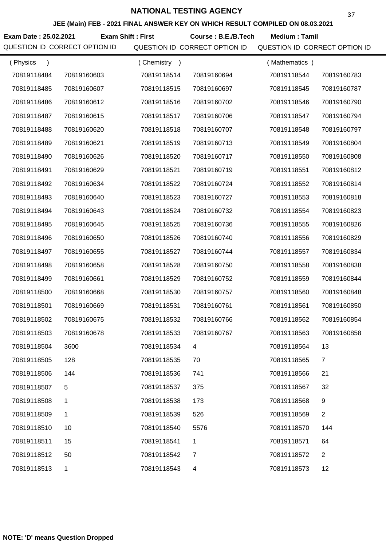**JEE (Main) FEB - 2021 FINAL ANSWER KEY ON WHICH RESULT COMPILED ON 08.03.2021**

**Exam Date : 25.02.2021 Course : B.E./B.Tech Medium : Tamil Exam Shift : First**

| (Physics<br>$\lambda$ |             | (Chemistry<br>$\rightarrow$ |                | (Mathematics) |                |
|-----------------------|-------------|-----------------------------|----------------|---------------|----------------|
| 70819118484           | 70819160603 | 70819118514                 | 70819160694    | 70819118544   | 70819160783    |
| 70819118485           | 70819160607 | 70819118515                 | 70819160697    | 70819118545   | 70819160787    |
| 70819118486           | 70819160612 | 70819118516                 | 70819160702    | 70819118546   | 70819160790    |
| 70819118487           | 70819160615 | 70819118517                 | 70819160706    | 70819118547   | 70819160794    |
| 70819118488           | 70819160620 | 70819118518                 | 70819160707    | 70819118548   | 70819160797    |
| 70819118489           | 70819160621 | 70819118519                 | 70819160713    | 70819118549   | 70819160804    |
| 70819118490           | 70819160626 | 70819118520                 | 70819160717    | 70819118550   | 70819160808    |
| 70819118491           | 70819160629 | 70819118521                 | 70819160719    | 70819118551   | 70819160812    |
| 70819118492           | 70819160634 | 70819118522                 | 70819160724    | 70819118552   | 70819160814    |
| 70819118493           | 70819160640 | 70819118523                 | 70819160727    | 70819118553   | 70819160818    |
| 70819118494           | 70819160643 | 70819118524                 | 70819160732    | 70819118554   | 70819160823    |
| 70819118495           | 70819160645 | 70819118525                 | 70819160736    | 70819118555   | 70819160826    |
| 70819118496           | 70819160650 | 70819118526                 | 70819160740    | 70819118556   | 70819160829    |
| 70819118497           | 70819160655 | 70819118527                 | 70819160744    | 70819118557   | 70819160834    |
| 70819118498           | 70819160658 | 70819118528                 | 70819160750    | 70819118558   | 70819160838    |
| 70819118499           | 70819160661 | 70819118529                 | 70819160752    | 70819118559   | 70819160844    |
| 70819118500           | 70819160668 | 70819118530                 | 70819160757    | 70819118560   | 70819160848    |
| 70819118501           | 70819160669 | 70819118531                 | 70819160761    | 70819118561   | 70819160850    |
| 70819118502           | 70819160675 | 70819118532                 | 70819160766    | 70819118562   | 70819160854    |
| 70819118503           | 70819160678 | 70819118533                 | 70819160767    | 70819118563   | 70819160858    |
| 70819118504           | 3600        | 70819118534                 |                | 70819118564   | 13             |
| 70819118505           | 128         | 70819118535                 | 70             | 70819118565   | 7              |
| 70819118506           | 144         | 70819118536                 | 741            | 70819118566   | 21             |
| 70819118507           | 5           | 70819118537                 | 375            | 70819118567   | 32             |
| 70819118508           | 1           | 70819118538                 | 173            | 70819118568   | 9              |
| 70819118509           | 1           | 70819118539                 | 526            | 70819118569   | $\overline{2}$ |
| 70819118510           | 10          | 70819118540                 | 5576           | 70819118570   | 144            |
| 70819118511           | 15          | 70819118541                 | 1              | 70819118571   | 64             |
| 70819118512           | 50          | 70819118542                 | $\overline{7}$ | 70819118572   | $\overline{2}$ |
| 70819118513           | 1           | 70819118543                 | 4              | 70819118573   | 12             |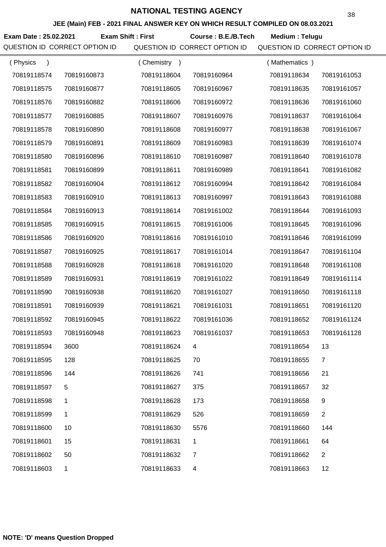**JEE (Main) FEB - 2021 FINAL ANSWER KEY ON WHICH RESULT COMPILED ON 08.03.2021**

**Exam Date : 25.02.2021 Course : B.E./B.Tech Medium : Telugu Exam Shift : First**

| (Physics<br>$\lambda$ |             | Chemistry<br>$\rightarrow$ |             | (Mathematics) |             |
|-----------------------|-------------|----------------------------|-------------|---------------|-------------|
| 70819118574           | 70819160873 | 70819118604                | 70819160964 | 70819118634   | 70819161053 |
| 70819118575           | 70819160877 | 70819118605                | 70819160967 | 70819118635   | 70819161057 |
| 70819118576           | 70819160882 | 70819118606                | 70819160972 | 70819118636   | 70819161060 |
| 70819118577           | 70819160885 | 70819118607                | 70819160976 | 70819118637   | 70819161064 |
| 70819118578           | 70819160890 | 70819118608                | 70819160977 | 70819118638   | 70819161067 |
| 70819118579           | 70819160891 | 70819118609                | 70819160983 | 70819118639   | 70819161074 |
| 70819118580           | 70819160896 | 70819118610                | 70819160987 | 70819118640   | 70819161078 |
| 70819118581           | 70819160899 | 70819118611                | 70819160989 | 70819118641   | 70819161082 |
| 70819118582           | 70819160904 | 70819118612                | 70819160994 | 70819118642   | 70819161084 |
| 70819118583           | 70819160910 | 70819118613                | 70819160997 | 70819118643   | 70819161088 |
| 70819118584           | 70819160913 | 70819118614                | 70819161002 | 70819118644   | 70819161093 |
| 70819118585           | 70819160915 | 70819118615                | 70819161006 | 70819118645   | 70819161096 |
| 70819118586           | 70819160920 | 70819118616                | 70819161010 | 70819118646   | 70819161099 |
| 70819118587           | 70819160925 | 70819118617                | 70819161014 | 70819118647   | 70819161104 |
| 70819118588           | 70819160928 | 70819118618                | 70819161020 | 70819118648   | 70819161108 |
| 70819118589           | 70819160931 | 70819118619                | 70819161022 | 70819118649   | 70819161114 |
| 70819118590           | 70819160938 | 70819118620                | 70819161027 | 70819118650   | 70819161118 |
| 70819118591           | 70819160939 | 70819118621                | 70819161031 | 70819118651   | 70819161120 |
| 70819118592           | 70819160945 | 70819118622                | 70819161036 | 70819118652   | 70819161124 |
| 70819118593           | 70819160948 | 70819118623                | 70819161037 | 70819118653   | 70819161128 |
| 70819118594           | 3600        | 70819118624                |             | 70819118654   | 13          |
| 70819118595           | 128         | 70819118625                | 70          | 70819118655   | 7           |
| 70819118596           | 144         | 70819118626                | 741         | 70819118656   | 21          |
| 70819118597           | 5           | 70819118627                | 375         | 70819118657   | 32          |
| 70819118598           | 1           | 70819118628                | 173         | 70819118658   | 9           |
| 70819118599           | 1           | 70819118629                | 526         | 70819118659   | 2           |
| 70819118600           | 10          | 70819118630                | 5576        | 70819118660   | 144         |
| 70819118601           | 15          | 70819118631                | 1           | 70819118661   | 64          |
| 70819118602           | 50          | 70819118632                | 7           | 70819118662   | 2           |
| 70819118603           | 1           | 70819118633                | 4           | 70819118663   | 12          |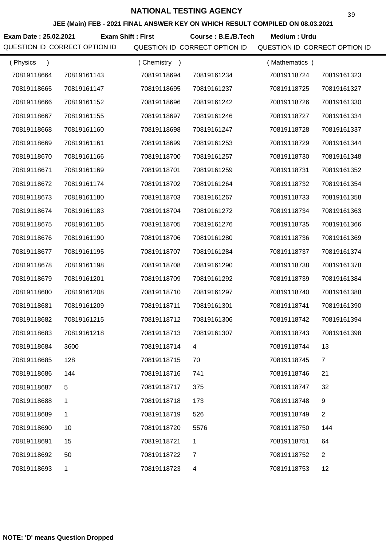**JEE (Main) FEB - 2021 FINAL ANSWER KEY ON WHICH RESULT COMPILED ON 08.03.2021**

**Exam Date : 25.02.2021 Course : B.E./B.Tech Medium : Urdu Exam Shift : First**

| (Physics    |             | (Chemistry<br>$\rightarrow$ |             | (Mathematics) |                |
|-------------|-------------|-----------------------------|-------------|---------------|----------------|
| 70819118664 | 70819161143 | 70819118694                 | 70819161234 | 70819118724   | 70819161323    |
| 70819118665 | 70819161147 | 70819118695                 | 70819161237 | 70819118725   | 70819161327    |
| 70819118666 | 70819161152 | 70819118696                 | 70819161242 | 70819118726   | 70819161330    |
| 70819118667 | 70819161155 | 70819118697                 | 70819161246 | 70819118727   | 70819161334    |
| 70819118668 | 70819161160 | 70819118698                 | 70819161247 | 70819118728   | 70819161337    |
| 70819118669 | 70819161161 | 70819118699                 | 70819161253 | 70819118729   | 70819161344    |
| 70819118670 | 70819161166 | 70819118700                 | 70819161257 | 70819118730   | 70819161348    |
| 70819118671 | 70819161169 | 70819118701                 | 70819161259 | 70819118731   | 70819161352    |
| 70819118672 | 70819161174 | 70819118702                 | 70819161264 | 70819118732   | 70819161354    |
| 70819118673 | 70819161180 | 70819118703                 | 70819161267 | 70819118733   | 70819161358    |
| 70819118674 | 70819161183 | 70819118704                 | 70819161272 | 70819118734   | 70819161363    |
| 70819118675 | 70819161185 | 70819118705                 | 70819161276 | 70819118735   | 70819161366    |
| 70819118676 | 70819161190 | 70819118706                 | 70819161280 | 70819118736   | 70819161369    |
| 70819118677 | 70819161195 | 70819118707                 | 70819161284 | 70819118737   | 70819161374    |
| 70819118678 | 70819161198 | 70819118708                 | 70819161290 | 70819118738   | 70819161378    |
| 70819118679 | 70819161201 | 70819118709                 | 70819161292 | 70819118739   | 70819161384    |
| 70819118680 | 70819161208 | 70819118710                 | 70819161297 | 70819118740   | 70819161388    |
| 70819118681 | 70819161209 | 70819118711                 | 70819161301 | 70819118741   | 70819161390    |
| 70819118682 | 70819161215 | 70819118712                 | 70819161306 | 70819118742   | 70819161394    |
| 70819118683 | 70819161218 | 70819118713                 | 70819161307 | 70819118743   | 70819161398    |
| 70819118684 | 3600        | 70819118714                 |             | 70819118744   | 13             |
| 70819118685 | 128         | 70819118715                 | 70          | 70819118745   | $\overline{7}$ |
| 70819118686 | 144         | 70819118716                 | 741         | 70819118746   | 21             |
| 70819118687 | 5           | 70819118717                 | 375         | 70819118747   | 32             |
| 70819118688 | 1           | 70819118718                 | 173         | 70819118748   | 9              |
| 70819118689 | 1           | 70819118719                 | 526         | 70819118749   | $\overline{2}$ |
| 70819118690 | 10          | 70819118720                 | 5576        | 70819118750   | 144            |
| 70819118691 | 15          | 70819118721                 | 1           | 70819118751   | 64             |
| 70819118692 | 50          | 70819118722                 | 7           | 70819118752   | $\overline{2}$ |
| 70819118693 | 1           | 70819118723                 | 4           | 70819118753   | 12             |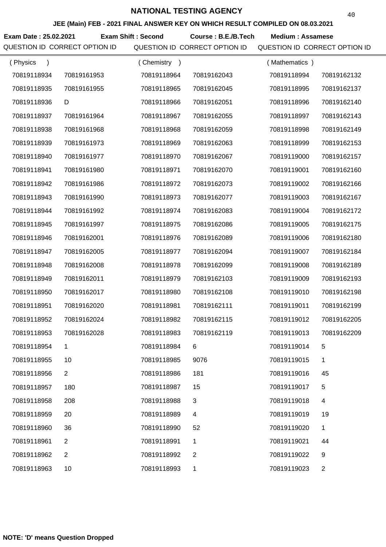**JEE (Main) FEB - 2021 FINAL ANSWER KEY ON WHICH RESULT COMPILED ON 08.03.2021**

**Exam Date : 25.02.2021 Course : B.E./B.Tech Medium : Assamese Exam Shift : Second** QUESTION ID CORRECT OPTION ID QUESTION ID CORRECT OPTION ID QUESTION ID CORRECT OPTION ID

| (Physics<br>$\lambda$ |                | Chemistry<br>$\rightarrow$ |                | (Mathematics) |                |
|-----------------------|----------------|----------------------------|----------------|---------------|----------------|
| 70819118934           | 70819161953    | 70819118964                | 70819162043    | 70819118994   | 70819162132    |
| 70819118935           | 70819161955    | 70819118965                | 70819162045    | 70819118995   | 70819162137    |
| 70819118936           | D              | 70819118966                | 70819162051    | 70819118996   | 70819162140    |
| 70819118937           | 70819161964    | 70819118967                | 70819162055    | 70819118997   | 70819162143    |
| 70819118938           | 70819161968    | 70819118968                | 70819162059    | 70819118998   | 70819162149    |
| 70819118939           | 70819161973    | 70819118969                | 70819162063    | 70819118999   | 70819162153    |
| 70819118940           | 70819161977    | 70819118970                | 70819162067    | 70819119000   | 70819162157    |
| 70819118941           | 70819161980    | 70819118971                | 70819162070    | 70819119001   | 70819162160    |
| 70819118942           | 70819161986    | 70819118972                | 70819162073    | 70819119002   | 70819162166    |
| 70819118943           | 70819161990    | 70819118973                | 70819162077    | 70819119003   | 70819162167    |
| 70819118944           | 70819161992    | 70819118974                | 70819162083    | 70819119004   | 70819162172    |
| 70819118945           | 70819161997    | 70819118975                | 70819162086    | 70819119005   | 70819162175    |
| 70819118946           | 70819162001    | 70819118976                | 70819162089    | 70819119006   | 70819162180    |
| 70819118947           | 70819162005    | 70819118977                | 70819162094    | 70819119007   | 70819162184    |
| 70819118948           | 70819162008    | 70819118978                | 70819162099    | 70819119008   | 70819162189    |
| 70819118949           | 70819162011    | 70819118979                | 70819162103    | 70819119009   | 70819162193    |
| 70819118950           | 70819162017    | 70819118980                | 70819162108    | 70819119010   | 70819162198    |
| 70819118951           | 70819162020    | 70819118981                | 70819162111    | 70819119011   | 70819162199    |
| 70819118952           | 70819162024    | 70819118982                | 70819162115    | 70819119012   | 70819162205    |
| 70819118953           | 70819162028    | 70819118983                | 70819162119    | 70819119013   | 70819162209    |
| 70819118954           |                | 70819118984                | 6              | 70819119014   |                |
| 70819118955           | 10             | 70819118985                | 9076           | 70819119015   | 1              |
| 70819118956           | $\overline{2}$ | 70819118986                | 181            | 70819119016   | 45             |
| 70819118957           | 180            | 70819118987                | 15             | 70819119017   | 5              |
| 70819118958           | 208            | 70819118988                | 3              | 70819119018   | 4              |
| 70819118959           | 20             | 70819118989                | 4              | 70819119019   | 19             |
| 70819118960           | 36             | 70819118990                | 52             | 70819119020   | $\mathbf{1}$   |
| 70819118961           | $\overline{2}$ | 70819118991                | 1              | 70819119021   | 44             |
| 70819118962           | $\overline{2}$ | 70819118992                | $\overline{2}$ | 70819119022   | 9              |
| 70819118963           | 10             | 70819118993                | 1              | 70819119023   | $\overline{2}$ |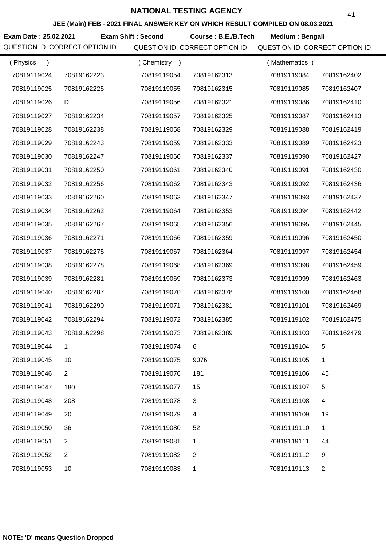**JEE (Main) FEB - 2021 FINAL ANSWER KEY ON WHICH RESULT COMPILED ON 08.03.2021**

**Exam Date : 25.02.2021 Course : B.E./B.Tech Medium : Bengali Exam Shift : Second**

| (Physics    |                | (Chemistry) |                | (Mathematics) |                |
|-------------|----------------|-------------|----------------|---------------|----------------|
| 70819119024 | 70819162223    | 70819119054 | 70819162313    | 70819119084   | 70819162402    |
| 70819119025 | 70819162225    | 70819119055 | 70819162315    | 70819119085   | 70819162407    |
| 70819119026 | D              | 70819119056 | 70819162321    | 70819119086   | 70819162410    |
| 70819119027 | 70819162234    | 70819119057 | 70819162325    | 70819119087   | 70819162413    |
| 70819119028 | 70819162238    | 70819119058 | 70819162329    | 70819119088   | 70819162419    |
| 70819119029 | 70819162243    | 70819119059 | 70819162333    | 70819119089   | 70819162423    |
| 70819119030 | 70819162247    | 70819119060 | 70819162337    | 70819119090   | 70819162427    |
| 70819119031 | 70819162250    | 70819119061 | 70819162340    | 70819119091   | 70819162430    |
| 70819119032 | 70819162256    | 70819119062 | 70819162343    | 70819119092   | 70819162436    |
| 70819119033 | 70819162260    | 70819119063 | 70819162347    | 70819119093   | 70819162437    |
| 70819119034 | 70819162262    | 70819119064 | 70819162353    | 70819119094   | 70819162442    |
| 70819119035 | 70819162267    | 70819119065 | 70819162356    | 70819119095   | 70819162445    |
| 70819119036 | 70819162271    | 70819119066 | 70819162359    | 70819119096   | 70819162450    |
| 70819119037 | 70819162275    | 70819119067 | 70819162364    | 70819119097   | 70819162454    |
| 70819119038 | 70819162278    | 70819119068 | 70819162369    | 70819119098   | 70819162459    |
| 70819119039 | 70819162281    | 70819119069 | 70819162373    | 70819119099   | 70819162463    |
| 70819119040 | 70819162287    | 70819119070 | 70819162378    | 70819119100   | 70819162468    |
| 70819119041 | 70819162290    | 70819119071 | 70819162381    | 70819119101   | 70819162469    |
| 70819119042 | 70819162294    | 70819119072 | 70819162385    | 70819119102   | 70819162475    |
| 70819119043 | 70819162298    | 70819119073 | 70819162389    | 70819119103   | 70819162479    |
| 70819119044 | 1              | 70819119074 | 6.             | 70819119104   | 5              |
| 70819119045 | 10             | 70819119075 | 9076           | 70819119105   | 1              |
| 70819119046 | $\overline{2}$ | 70819119076 | 181            | 70819119106   | 45             |
| 70819119047 | 180            | 70819119077 | 15             | 70819119107   | 5              |
| 70819119048 | 208            | 70819119078 | 3              | 70819119108   | 4              |
| 70819119049 | 20             | 70819119079 | 4              | 70819119109   | 19             |
| 70819119050 | 36             | 70819119080 | 52             | 70819119110   | 1              |
| 70819119051 | $\overline{2}$ | 70819119081 | 1              | 70819119111   | 44             |
| 70819119052 | 2              | 70819119082 | $\overline{2}$ | 70819119112   | 9              |
| 70819119053 | 10             | 70819119083 | 1              | 70819119113   | $\overline{c}$ |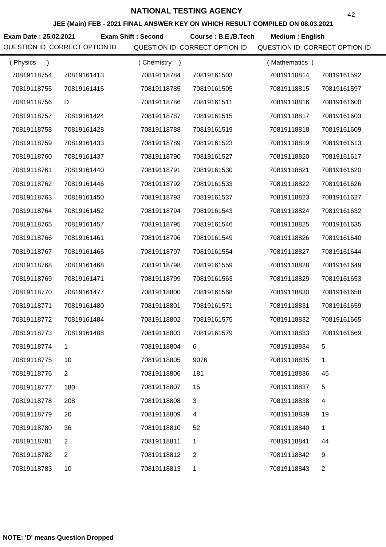**JEE (Main) FEB - 2021 FINAL ANSWER KEY ON WHICH RESULT COMPILED ON 08.03.2021**

**Exam Date : 25.02.2021 Course : B.E./B.Tech Medium : English Exam Shift : Second**

| (Physics<br>$\lambda$ |                | Chemistry<br>$\rightarrow$ |                | (Mathematics) |                |
|-----------------------|----------------|----------------------------|----------------|---------------|----------------|
| 70819118754           | 70819161413    | 70819118784                | 70819161503    | 70819118814   | 70819161592    |
| 70819118755           | 70819161415    | 70819118785                | 70819161505    | 70819118815   | 70819161597    |
| 70819118756           | D              | 70819118786                | 70819161511    | 70819118816   | 70819161600    |
| 70819118757           | 70819161424    | 70819118787                | 70819161515    | 70819118817   | 70819161603    |
| 70819118758           | 70819161428    | 70819118788                | 70819161519    | 70819118818   | 70819161609    |
| 70819118759           | 70819161433    | 70819118789                | 70819161523    | 70819118819   | 70819161613    |
| 70819118760           | 70819161437    | 70819118790                | 70819161527    | 70819118820   | 70819161617    |
| 70819118761           | 70819161440    | 70819118791                | 70819161530    | 70819118821   | 70819161620    |
| 70819118762           | 70819161446    | 70819118792                | 70819161533    | 70819118822   | 70819161626    |
| 70819118763           | 70819161450    | 70819118793                | 70819161537    | 70819118823   | 70819161627    |
| 70819118764           | 70819161452    | 70819118794                | 70819161543    | 70819118824   | 70819161632    |
| 70819118765           | 70819161457    | 70819118795                | 70819161546    | 70819118825   | 70819161635    |
| 70819118766           | 70819161461    | 70819118796                | 70819161549    | 70819118826   | 70819161640    |
| 70819118767           | 70819161465    | 70819118797                | 70819161554    | 70819118827   | 70819161644    |
| 70819118768           | 70819161468    | 70819118798                | 70819161559    | 70819118828   | 70819161649    |
| 70819118769           | 70819161471    | 70819118799                | 70819161563    | 70819118829   | 70819161653    |
| 70819118770           | 70819161477    | 70819118800                | 70819161568    | 70819118830   | 70819161658    |
| 70819118771           | 70819161480    | 70819118801                | 70819161571    | 70819118831   | 70819161659    |
| 70819118772           | 70819161484    | 70819118802                | 70819161575    | 70819118832   | 70819161665    |
| 70819118773           | 70819161488    | 70819118803                | 70819161579    | 70819118833   | 70819161669    |
| 70819118774           |                | 70819118804                |                | 70819118834   |                |
| 70819118775           | 10             | 70819118805                | 9076           | 70819118835   | 1              |
| 70819118776           | $\overline{2}$ | 70819118806                | 181            | 70819118836   | 45             |
| 70819118777           | 180            | 70819118807                | 15             | 70819118837   | 5              |
| 70819118778           | 208            | 70819118808                | 3              | 70819118838   | 4              |
| 70819118779           | 20             | 70819118809                | 4              | 70819118839   | 19             |
| 70819118780           | 36             | 70819118810                | 52             | 70819118840   | 1              |
| 70819118781           | 2              | 70819118811                | 1              | 70819118841   | 44             |
| 70819118782           | 2              | 70819118812                | $\overline{2}$ | 70819118842   | 9              |
| 70819118783           | 10             | 70819118813                | 1              | 70819118843   | $\overline{c}$ |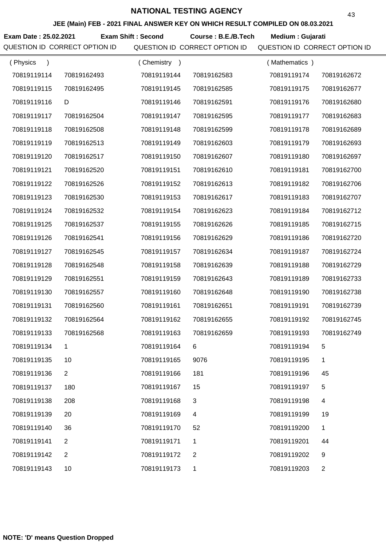**JEE (Main) FEB - 2021 FINAL ANSWER KEY ON WHICH RESULT COMPILED ON 08.03.2021**

**Exam Date : 25.02.2021 Exam Shift : Second Course : B.E./B.Tech Medium : Gujarati** 

| (Physics<br>$\lambda$ |                | (Chemistry<br>$\rightarrow$ |              | (Mathematics) |                |
|-----------------------|----------------|-----------------------------|--------------|---------------|----------------|
| 70819119114           | 70819162493    | 70819119144                 | 70819162583  | 70819119174   | 70819162672    |
| 70819119115           | 70819162495    | 70819119145                 | 70819162585  | 70819119175   | 70819162677    |
| 70819119116           | D              | 70819119146                 | 70819162591  | 70819119176   | 70819162680    |
| 70819119117           | 70819162504    | 70819119147                 | 70819162595  | 70819119177   | 70819162683    |
| 70819119118           | 70819162508    | 70819119148                 | 70819162599  | 70819119178   | 70819162689    |
| 70819119119           | 70819162513    | 70819119149                 | 70819162603  | 70819119179   | 70819162693    |
| 70819119120           | 70819162517    | 70819119150                 | 70819162607  | 70819119180   | 70819162697    |
| 70819119121           | 70819162520    | 70819119151                 | 70819162610  | 70819119181   | 70819162700    |
| 70819119122           | 70819162526    | 70819119152                 | 70819162613  | 70819119182   | 70819162706    |
| 70819119123           | 70819162530    | 70819119153                 | 70819162617  | 70819119183   | 70819162707    |
| 70819119124           | 70819162532    | 70819119154                 | 70819162623  | 70819119184   | 70819162712    |
| 70819119125           | 70819162537    | 70819119155                 | 70819162626  | 70819119185   | 70819162715    |
| 70819119126           | 70819162541    | 70819119156                 | 70819162629  | 70819119186   | 70819162720    |
| 70819119127           | 70819162545    | 70819119157                 | 70819162634  | 70819119187   | 70819162724    |
| 70819119128           | 70819162548    | 70819119158                 | 70819162639  | 70819119188   | 70819162729    |
| 70819119129           | 70819162551    | 70819119159                 | 70819162643  | 70819119189   | 70819162733    |
| 70819119130           | 70819162557    | 70819119160                 | 70819162648  | 70819119190   | 70819162738    |
| 70819119131           | 70819162560    | 70819119161                 | 70819162651  | 70819119191   | 70819162739    |
| 70819119132           | 70819162564    | 70819119162                 | 70819162655  | 70819119192   | 70819162745    |
| 70819119133           | 70819162568    | 70819119163                 | 70819162659  | 70819119193   | 70819162749    |
| 70819119134           |                | 70819119164                 |              | 70819119194   | 5              |
| 70819119135           | 10             | 70819119165                 | 9076         | 70819119195   | 1              |
| 70819119136           | $\overline{2}$ | 70819119166                 | 181          | 70819119196   | 45             |
| 70819119137           | 180            | 70819119167                 | 15           | 70819119197   | 5              |
| 70819119138           | 208            | 70819119168                 | 3            | 70819119198   | 4              |
| 70819119139           | 20             | 70819119169                 | 4            | 70819119199   | 19             |
| 70819119140           | 36             | 70819119170                 | 52           | 70819119200   | 1              |
| 70819119141           | $\overline{2}$ | 70819119171                 | 1            | 70819119201   | 44             |
| 70819119142           | $\overline{2}$ | 70819119172                 | $\mathbf{2}$ | 70819119202   | 9              |
| 70819119143           | 10             | 70819119173                 | 1            | 70819119203   | $\overline{c}$ |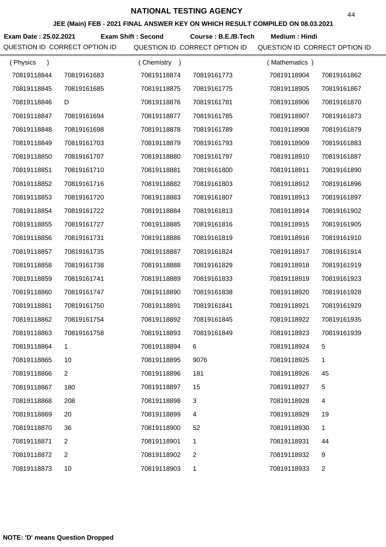**JEE (Main) FEB - 2021 FINAL ANSWER KEY ON WHICH RESULT COMPILED ON 08.03.2021**

**Exam Date : 25.02.2021 Exam Shift : Second Course : B.E./B.Tech Medium : Hindi** 

| (Physics<br>$\lambda$ |                | (Chemistry<br>$\rightarrow$ |                | (Mathematics) |                |
|-----------------------|----------------|-----------------------------|----------------|---------------|----------------|
| 70819118844           | 70819161683    | 70819118874                 | 70819161773    | 70819118904   | 70819161862    |
| 70819118845           | 70819161685    | 70819118875                 | 70819161775    | 70819118905   | 70819161867    |
| 70819118846           | D              | 70819118876                 | 70819161781    | 70819118906   | 70819161870    |
| 70819118847           | 70819161694    | 70819118877                 | 70819161785    | 70819118907   | 70819161873    |
| 70819118848           | 70819161698    | 70819118878                 | 70819161789    | 70819118908   | 70819161879    |
| 70819118849           | 70819161703    | 70819118879                 | 70819161793    | 70819118909   | 70819161883    |
| 70819118850           | 70819161707    | 70819118880                 | 70819161797    | 70819118910   | 70819161887    |
| 70819118851           | 70819161710    | 70819118881                 | 70819161800    | 70819118911   | 70819161890    |
| 70819118852           | 70819161716    | 70819118882                 | 70819161803    | 70819118912   | 70819161896    |
| 70819118853           | 70819161720    | 70819118883                 | 70819161807    | 70819118913   | 70819161897    |
| 70819118854           | 70819161722    | 70819118884                 | 70819161813    | 70819118914   | 70819161902    |
| 70819118855           | 70819161727    | 70819118885                 | 70819161816    | 70819118915   | 70819161905    |
| 70819118856           | 70819161731    | 70819118886                 | 70819161819    | 70819118916   | 70819161910    |
| 70819118857           | 70819161735    | 70819118887                 | 70819161824    | 70819118917   | 70819161914    |
| 70819118858           | 70819161738    | 70819118888                 | 70819161829    | 70819118918   | 70819161919    |
| 70819118859           | 70819161741    | 70819118889                 | 70819161833    | 70819118919   | 70819161923    |
| 70819118860           | 70819161747    | 70819118890                 | 70819161838    | 70819118920   | 70819161928    |
| 70819118861           | 70819161750    | 70819118891                 | 70819161841    | 70819118921   | 70819161929    |
| 70819118862           | 70819161754    | 70819118892                 | 70819161845    | 70819118922   | 70819161935    |
| 70819118863           | 70819161758    | 70819118893                 | 70819161849    | 70819118923   | 70819161939    |
| 70819118864           |                | 70819118894                 |                | 70819118924   | 5              |
| 70819118865           | 10             | 70819118895                 | 9076           | 70819118925   | 1              |
| 70819118866           | $\overline{2}$ | 70819118896                 | 181            | 70819118926   | 45             |
| 70819118867           | 180            | 70819118897                 | 15             | 70819118927   | 5              |
| 70819118868           | 208            | 70819118898                 | 3              | 70819118928   | 4              |
| 70819118869           | 20             | 70819118899                 | 4              | 70819118929   | 19             |
| 70819118870           | 36             | 70819118900                 | 52             | 70819118930   | $\mathbf{1}$   |
| 70819118871           | $\overline{2}$ | 70819118901                 | 1              | 70819118931   | 44             |
| 70819118872           | $\overline{2}$ | 70819118902                 | $\overline{2}$ | 70819118932   | 9              |
| 70819118873           | 10             | 70819118903                 | 1              | 70819118933   | $\overline{c}$ |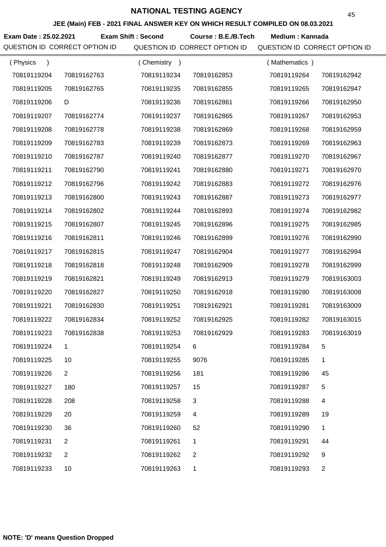**JEE (Main) FEB - 2021 FINAL ANSWER KEY ON WHICH RESULT COMPILED ON 08.03.2021**

Exam Date : 25.02.2021 Exam Shift : Second Course : B.E./B.Tech Medium : Kannada

| (Physics<br>$\lambda$ |                | (Chemistry<br>$\rightarrow$ |                | (Mathematics) |                |
|-----------------------|----------------|-----------------------------|----------------|---------------|----------------|
| 70819119204           | 70819162763    | 70819119234                 | 70819162853    | 70819119264   | 70819162942    |
| 70819119205           | 70819162765    | 70819119235                 | 70819162855    | 70819119265   | 70819162947    |
| 70819119206           | D              | 70819119236                 | 70819162861    | 70819119266   | 70819162950    |
| 70819119207           | 70819162774    | 70819119237                 | 70819162865    | 70819119267   | 70819162953    |
| 70819119208           | 70819162778    | 70819119238                 | 70819162869    | 70819119268   | 70819162959    |
| 70819119209           | 70819162783    | 70819119239                 | 70819162873    | 70819119269   | 70819162963    |
| 70819119210           | 70819162787    | 70819119240                 | 70819162877    | 70819119270   | 70819162967    |
| 70819119211           | 70819162790    | 70819119241                 | 70819162880    | 70819119271   | 70819162970    |
| 70819119212           | 70819162796    | 70819119242                 | 70819162883    | 70819119272   | 70819162976    |
| 70819119213           | 70819162800    | 70819119243                 | 70819162887    | 70819119273   | 70819162977    |
| 70819119214           | 70819162802    | 70819119244                 | 70819162893    | 70819119274   | 70819162982    |
| 70819119215           | 70819162807    | 70819119245                 | 70819162896    | 70819119275   | 70819162985    |
| 70819119216           | 70819162811    | 70819119246                 | 70819162899    | 70819119276   | 70819162990    |
| 70819119217           | 70819162815    | 70819119247                 | 70819162904    | 70819119277   | 70819162994    |
| 70819119218           | 70819162818    | 70819119248                 | 70819162909    | 70819119278   | 70819162999    |
| 70819119219           | 70819162821    | 70819119249                 | 70819162913    | 70819119279   | 70819163003    |
| 70819119220           | 70819162827    | 70819119250                 | 70819162918    | 70819119280   | 70819163008    |
| 70819119221           | 70819162830    | 70819119251                 | 70819162921    | 70819119281   | 70819163009    |
| 70819119222           | 70819162834    | 70819119252                 | 70819162925    | 70819119282   | 70819163015    |
| 70819119223           | 70819162838    | 70819119253                 | 70819162929    | 70819119283   | 70819163019    |
| 70819119224           |                | 70819119254                 |                | 70819119284   | 5              |
| 70819119225           | 10             | 70819119255                 | 9076           | 70819119285   | 1              |
| 70819119226           | $\overline{2}$ | 70819119256                 | 181            | 70819119286   | 45             |
| 70819119227           | 180            | 70819119257                 | 15             | 70819119287   | 5              |
| 70819119228           | 208            | 70819119258                 | 3              | 70819119288   | 4              |
| 70819119229           | 20             | 70819119259                 | 4              | 70819119289   | 19             |
| 70819119230           | 36             | 70819119260                 | 52             | 70819119290   | 1              |
| 70819119231           | $\overline{2}$ | 70819119261                 | 1              | 70819119291   | 44             |
| 70819119232           | $\overline{2}$ | 70819119262                 | $\overline{2}$ | 70819119292   | 9              |
| 70819119233           | 10             | 70819119263                 | 1              | 70819119293   | $\overline{c}$ |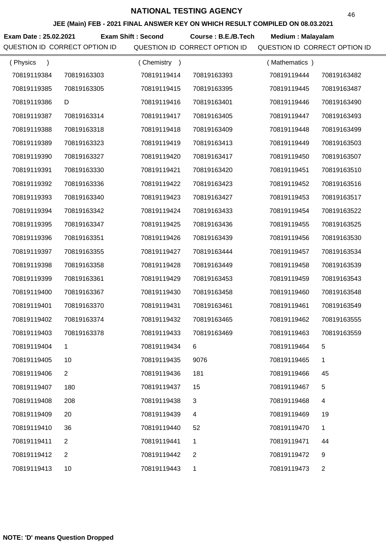**JEE (Main) FEB - 2021 FINAL ANSWER KEY ON WHICH RESULT COMPILED ON 08.03.2021**

**Exam Date : 25.02.2021 Exam Shift : Second Course : B.E./B.Tech Medium : Malayalam** QUESTION ID CORRECT OPTION ID QUESTION ID CORRECT OPTION ID QUESTION ID CORRECT OPTION ID

| (Physics    |                | (Chemistry) |                | (Mathematics) |                |
|-------------|----------------|-------------|----------------|---------------|----------------|
| 70819119384 | 70819163303    | 70819119414 | 70819163393    | 70819119444   | 70819163482    |
| 70819119385 | 70819163305    | 70819119415 | 70819163395    | 70819119445   | 70819163487    |
| 70819119386 | D              | 70819119416 | 70819163401    | 70819119446   | 70819163490    |
| 70819119387 | 70819163314    | 70819119417 | 70819163405    | 70819119447   | 70819163493    |
| 70819119388 | 70819163318    | 70819119418 | 70819163409    | 70819119448   | 70819163499    |
| 70819119389 | 70819163323    | 70819119419 | 70819163413    | 70819119449   | 70819163503    |
| 70819119390 | 70819163327    | 70819119420 | 70819163417    | 70819119450   | 70819163507    |
| 70819119391 | 70819163330    | 70819119421 | 70819163420    | 70819119451   | 70819163510    |
| 70819119392 | 70819163336    | 70819119422 | 70819163423    | 70819119452   | 70819163516    |
| 70819119393 | 70819163340    | 70819119423 | 70819163427    | 70819119453   | 70819163517    |
| 70819119394 | 70819163342    | 70819119424 | 70819163433    | 70819119454   | 70819163522    |
| 70819119395 | 70819163347    | 70819119425 | 70819163436    | 70819119455   | 70819163525    |
| 70819119396 | 70819163351    | 70819119426 | 70819163439    | 70819119456   | 70819163530    |
| 70819119397 | 70819163355    | 70819119427 | 70819163444    | 70819119457   | 70819163534    |
| 70819119398 | 70819163358    | 70819119428 | 70819163449    | 70819119458   | 70819163539    |
| 70819119399 | 70819163361    | 70819119429 | 70819163453    | 70819119459   | 70819163543    |
| 70819119400 | 70819163367    | 70819119430 | 70819163458    | 70819119460   | 70819163548    |
| 70819119401 | 70819163370    | 70819119431 | 70819163461    | 70819119461   | 70819163549    |
| 70819119402 | 70819163374    | 70819119432 | 70819163465    | 70819119462   | 70819163555    |
| 70819119403 | 70819163378    | 70819119433 | 70819163469    | 70819119463   | 70819163559    |
| 70819119404 | 1.             | 70819119434 | 6.             | 70819119464   | 5              |
| 70819119405 | 10             | 70819119435 | 9076           | 70819119465   | 1              |
| 70819119406 | 2              | 70819119436 | 181            | 70819119466   | 45             |
| 70819119407 | 180            | 70819119437 | 15             | 70819119467   | 5              |
| 70819119408 | 208            | 70819119438 | 3              | 70819119468   | 4              |
| 70819119409 | 20             | 70819119439 | 4              | 70819119469   | 19             |
| 70819119410 | 36             | 70819119440 | 52             | 70819119470   | 1              |
| 70819119411 | $\overline{2}$ | 70819119441 | 1              | 70819119471   | 44             |
| 70819119412 | $\overline{2}$ | 70819119442 | $\overline{2}$ | 70819119472   | 9              |
| 70819119413 | 10             | 70819119443 | 1              | 70819119473   | $\overline{2}$ |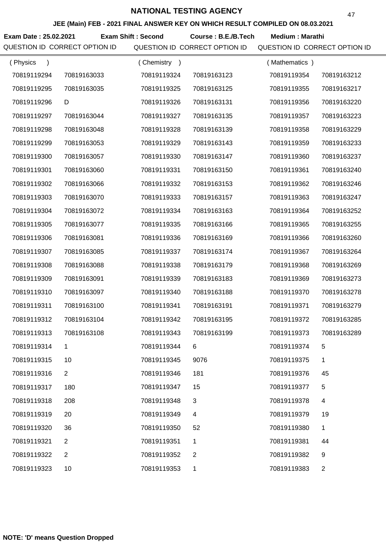**JEE (Main) FEB - 2021 FINAL ANSWER KEY ON WHICH RESULT COMPILED ON 08.03.2021**

**Exam Date : 25.02.2021 Course : B.E./B.Tech Medium : Marathi Exam Shift : Second**

| (Physics<br>$\lambda$ |                | Chemistry<br>$\rightarrow$ |                | (Mathematics) |                |
|-----------------------|----------------|----------------------------|----------------|---------------|----------------|
| 70819119294           | 70819163033    | 70819119324                | 70819163123    | 70819119354   | 70819163212    |
| 70819119295           | 70819163035    | 70819119325                | 70819163125    | 70819119355   | 70819163217    |
| 70819119296           | D              | 70819119326                | 70819163131    | 70819119356   | 70819163220    |
| 70819119297           | 70819163044    | 70819119327                | 70819163135    | 70819119357   | 70819163223    |
| 70819119298           | 70819163048    | 70819119328                | 70819163139    | 70819119358   | 70819163229    |
| 70819119299           | 70819163053    | 70819119329                | 70819163143    | 70819119359   | 70819163233    |
| 70819119300           | 70819163057    | 70819119330                | 70819163147    | 70819119360   | 70819163237    |
| 70819119301           | 70819163060    | 70819119331                | 70819163150    | 70819119361   | 70819163240    |
| 70819119302           | 70819163066    | 70819119332                | 70819163153    | 70819119362   | 70819163246    |
| 70819119303           | 70819163070    | 70819119333                | 70819163157    | 70819119363   | 70819163247    |
| 70819119304           | 70819163072    | 70819119334                | 70819163163    | 70819119364   | 70819163252    |
| 70819119305           | 70819163077    | 70819119335                | 70819163166    | 70819119365   | 70819163255    |
| 70819119306           | 70819163081    | 70819119336                | 70819163169    | 70819119366   | 70819163260    |
| 70819119307           | 70819163085    | 70819119337                | 70819163174    | 70819119367   | 70819163264    |
| 70819119308           | 70819163088    | 70819119338                | 70819163179    | 70819119368   | 70819163269    |
| 70819119309           | 70819163091    | 70819119339                | 70819163183    | 70819119369   | 70819163273    |
| 70819119310           | 70819163097    | 70819119340                | 70819163188    | 70819119370   | 70819163278    |
| 70819119311           | 70819163100    | 70819119341                | 70819163191    | 70819119371   | 70819163279    |
| 70819119312           | 70819163104    | 70819119342                | 70819163195    | 70819119372   | 70819163285    |
| 70819119313           | 70819163108    | 70819119343                | 70819163199    | 70819119373   | 70819163289    |
| 70819119314           |                | 70819119344                |                | 70819119374   |                |
| 70819119315           | 10             | 70819119345                | 9076           | 70819119375   | 1              |
| 70819119316           | $\overline{2}$ | 70819119346                | 181            | 70819119376   | 45             |
| 70819119317           | 180            | 70819119347                | 15             | 70819119377   | 5              |
| 70819119318           | 208            | 70819119348                | 3              | 70819119378   | 4              |
| 70819119319           | 20             | 70819119349                | 4              | 70819119379   | 19             |
| 70819119320           | 36             | 70819119350                | 52             | 70819119380   | 1              |
| 70819119321           | $\overline{2}$ | 70819119351                | 1              | 70819119381   | 44             |
| 70819119322           | 2              | 70819119352                | $\overline{2}$ | 70819119382   | 9              |
| 70819119323           | 10             | 70819119353                | 1              | 70819119383   | $\overline{c}$ |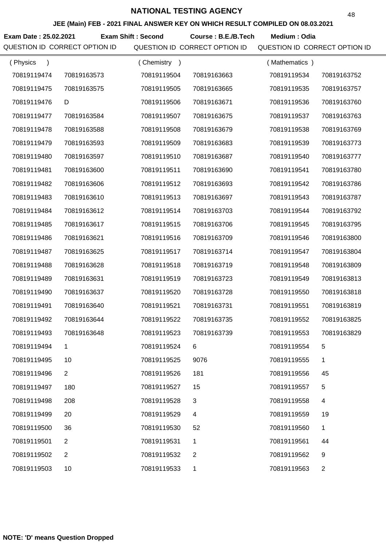**JEE (Main) FEB - 2021 FINAL ANSWER KEY ON WHICH RESULT COMPILED ON 08.03.2021**

Exam Date : 25.02.2021 Exam Shift : Second Course : B.E./B.Tech Medium : Odia

| (Physics    |             | (Chemistry) |             | (Mathematics) |             |
|-------------|-------------|-------------|-------------|---------------|-------------|
| 70819119474 | 70819163573 | 70819119504 | 70819163663 | 70819119534   | 70819163752 |
| 70819119475 | 70819163575 | 70819119505 | 70819163665 | 70819119535   | 70819163757 |
| 70819119476 | D           | 70819119506 | 70819163671 | 70819119536   | 70819163760 |
| 70819119477 | 70819163584 | 70819119507 | 70819163675 | 70819119537   | 70819163763 |
| 70819119478 | 70819163588 | 70819119508 | 70819163679 | 70819119538   | 70819163769 |
| 70819119479 | 70819163593 | 70819119509 | 70819163683 | 70819119539   | 70819163773 |
| 70819119480 | 70819163597 | 70819119510 | 70819163687 | 70819119540   | 70819163777 |
| 70819119481 | 70819163600 | 70819119511 | 70819163690 | 70819119541   | 70819163780 |
| 70819119482 | 70819163606 | 70819119512 | 70819163693 | 70819119542   | 70819163786 |
| 70819119483 | 70819163610 | 70819119513 | 70819163697 | 70819119543   | 70819163787 |
| 70819119484 | 70819163612 | 70819119514 | 70819163703 | 70819119544   | 70819163792 |
| 70819119485 | 70819163617 | 70819119515 | 70819163706 | 70819119545   | 70819163795 |
| 70819119486 | 70819163621 | 70819119516 | 70819163709 | 70819119546   | 70819163800 |
| 70819119487 | 70819163625 | 70819119517 | 70819163714 | 70819119547   | 70819163804 |
| 70819119488 | 70819163628 | 70819119518 | 70819163719 | 70819119548   | 70819163809 |
| 70819119489 | 70819163631 | 70819119519 | 70819163723 | 70819119549   | 70819163813 |
| 70819119490 | 70819163637 | 70819119520 | 70819163728 | 70819119550   | 70819163818 |
| 70819119491 | 70819163640 | 70819119521 | 70819163731 | 70819119551   | 70819163819 |
| 70819119492 | 70819163644 | 70819119522 | 70819163735 | 70819119552   | 70819163825 |
| 70819119493 | 70819163648 | 70819119523 | 70819163739 | 70819119553   | 70819163829 |
| 70819119494 | 1.          | 70819119524 | 6.          | 70819119554   | 5.          |
| 70819119495 | 10          | 70819119525 | 9076        | 70819119555   | 1           |
| 70819119496 | 2           | 70819119526 | 181         | 70819119556   | 45          |
| 70819119497 | 180         | 70819119527 | 15          | 70819119557   | 5           |
| 70819119498 | 208         | 70819119528 | 3           | 70819119558   | 4           |
| 70819119499 | 20          | 70819119529 | 4           | 70819119559   | 19          |
| 70819119500 | 36          | 70819119530 | 52          | 70819119560   | 1           |
| 70819119501 | 2           | 70819119531 | 1           | 70819119561   | 44          |
| 70819119502 | 2           | 70819119532 | 2           | 70819119562   | 9           |
| 70819119503 | 10          | 70819119533 | 1           | 70819119563   | 2           |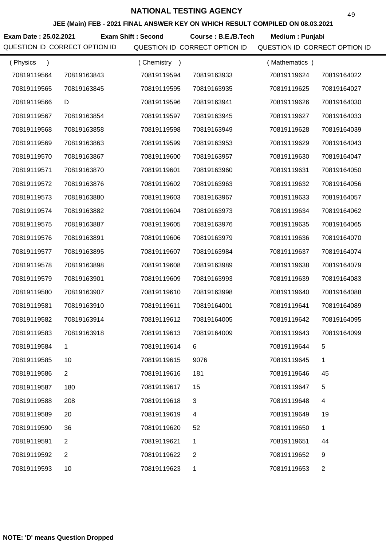**JEE (Main) FEB - 2021 FINAL ANSWER KEY ON WHICH RESULT COMPILED ON 08.03.2021**

**Exam Date : 25.02.2021 Course : B.E./B.Tech Medium : Punjabi Exam Shift : Second**

| (Physics    |                | (Chemistry) |             | (Mathematics) |                |
|-------------|----------------|-------------|-------------|---------------|----------------|
| 70819119564 | 70819163843    | 70819119594 | 70819163933 | 70819119624   | 70819164022    |
| 70819119565 | 70819163845    | 70819119595 | 70819163935 | 70819119625   | 70819164027    |
| 70819119566 | D              | 70819119596 | 70819163941 | 70819119626   | 70819164030    |
| 70819119567 | 70819163854    | 70819119597 | 70819163945 | 70819119627   | 70819164033    |
| 70819119568 | 70819163858    | 70819119598 | 70819163949 | 70819119628   | 70819164039    |
| 70819119569 | 70819163863    | 70819119599 | 70819163953 | 70819119629   | 70819164043    |
| 70819119570 | 70819163867    | 70819119600 | 70819163957 | 70819119630   | 70819164047    |
| 70819119571 | 70819163870    | 70819119601 | 70819163960 | 70819119631   | 70819164050    |
| 70819119572 | 70819163876    | 70819119602 | 70819163963 | 70819119632   | 70819164056    |
| 70819119573 | 70819163880    | 70819119603 | 70819163967 | 70819119633   | 70819164057    |
| 70819119574 | 70819163882    | 70819119604 | 70819163973 | 70819119634   | 70819164062    |
| 70819119575 | 70819163887    | 70819119605 | 70819163976 | 70819119635   | 70819164065    |
| 70819119576 | 70819163891    | 70819119606 | 70819163979 | 70819119636   | 70819164070    |
| 70819119577 | 70819163895    | 70819119607 | 70819163984 | 70819119637   | 70819164074    |
| 70819119578 | 70819163898    | 70819119608 | 70819163989 | 70819119638   | 70819164079    |
| 70819119579 | 70819163901    | 70819119609 | 70819163993 | 70819119639   | 70819164083    |
| 70819119580 | 70819163907    | 70819119610 | 70819163998 | 70819119640   | 70819164088    |
| 70819119581 | 70819163910    | 70819119611 | 70819164001 | 70819119641   | 70819164089    |
| 70819119582 | 70819163914    | 70819119612 | 70819164005 | 70819119642   | 70819164095    |
| 70819119583 | 70819163918    | 70819119613 | 70819164009 | 70819119643   | 70819164099    |
| 70819119584 | 1              | 70819119614 | 6           | 70819119644   | 5.             |
| 70819119585 | 10             | 70819119615 | 9076        | 70819119645   | 1              |
| 70819119586 | $\overline{2}$ | 70819119616 | 181         | 70819119646   | 45             |
| 70819119587 | 180            | 70819119617 | 15          | 70819119647   | 5              |
| 70819119588 | 208            | 70819119618 | 3           | 70819119648   | 4              |
| 70819119589 | 20             | 70819119619 | 4           | 70819119649   | 19             |
| 70819119590 | 36             | 70819119620 | 52          | 70819119650   | 1              |
| 70819119591 | 2              | 70819119621 | 1           | 70819119651   | 44             |
| 70819119592 | $\overline{2}$ | 70819119622 | 2           | 70819119652   | 9              |
| 70819119593 | 10             | 70819119623 | 1           | 70819119653   | $\overline{c}$ |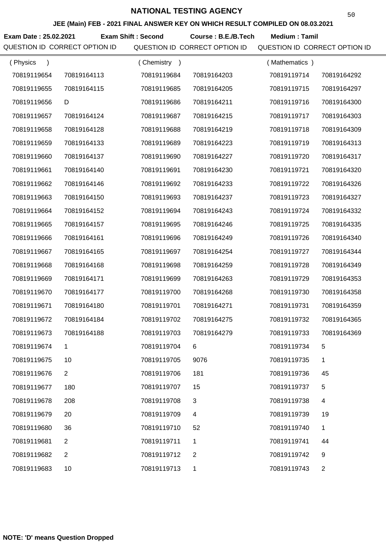**JEE (Main) FEB - 2021 FINAL ANSWER KEY ON WHICH RESULT COMPILED ON 08.03.2021**

**Exam Date : 25.02.2021 Course : B.E./B.Tech Medium : Tamil Exam Shift : Second**

| (Physics<br>$\lambda$ |                | (Chemistry<br>$\rightarrow$ |                | (Mathematics) |                |
|-----------------------|----------------|-----------------------------|----------------|---------------|----------------|
| 70819119654           | 70819164113    | 70819119684                 | 70819164203    | 70819119714   | 70819164292    |
| 70819119655           | 70819164115    | 70819119685                 | 70819164205    | 70819119715   | 70819164297    |
| 70819119656           | D              | 70819119686                 | 70819164211    | 70819119716   | 70819164300    |
| 70819119657           | 70819164124    | 70819119687                 | 70819164215    | 70819119717   | 70819164303    |
| 70819119658           | 70819164128    | 70819119688                 | 70819164219    | 70819119718   | 70819164309    |
| 70819119659           | 70819164133    | 70819119689                 | 70819164223    | 70819119719   | 70819164313    |
| 70819119660           | 70819164137    | 70819119690                 | 70819164227    | 70819119720   | 70819164317    |
| 70819119661           | 70819164140    | 70819119691                 | 70819164230    | 70819119721   | 70819164320    |
| 70819119662           | 70819164146    | 70819119692                 | 70819164233    | 70819119722   | 70819164326    |
| 70819119663           | 70819164150    | 70819119693                 | 70819164237    | 70819119723   | 70819164327    |
| 70819119664           | 70819164152    | 70819119694                 | 70819164243    | 70819119724   | 70819164332    |
| 70819119665           | 70819164157    | 70819119695                 | 70819164246    | 70819119725   | 70819164335    |
| 70819119666           | 70819164161    | 70819119696                 | 70819164249    | 70819119726   | 70819164340    |
| 70819119667           | 70819164165    | 70819119697                 | 70819164254    | 70819119727   | 70819164344    |
| 70819119668           | 70819164168    | 70819119698                 | 70819164259    | 70819119728   | 70819164349    |
| 70819119669           | 70819164171    | 70819119699                 | 70819164263    | 70819119729   | 70819164353    |
| 70819119670           | 70819164177    | 70819119700                 | 70819164268    | 70819119730   | 70819164358    |
| 70819119671           | 70819164180    | 70819119701                 | 70819164271    | 70819119731   | 70819164359    |
| 70819119672           | 70819164184    | 70819119702                 | 70819164275    | 70819119732   | 70819164365    |
| 70819119673           | 70819164188    | 70819119703                 | 70819164279    | 70819119733   | 70819164369    |
| 70819119674           |                | 70819119704                 |                | 70819119734   | 5              |
| 70819119675           | 10             | 70819119705                 | 9076           | 70819119735   | 1              |
| 70819119676           | $\overline{2}$ | 70819119706                 | 181            | 70819119736   | 45             |
| 70819119677           | 180            | 70819119707                 | 15             | 70819119737   | 5              |
| 70819119678           | 208            | 70819119708                 | 3              | 70819119738   | 4              |
| 70819119679           | 20             | 70819119709                 | 4              | 70819119739   | 19             |
| 70819119680           | 36             | 70819119710                 | 52             | 70819119740   | 1              |
| 70819119681           | $\overline{2}$ | 70819119711                 | 1              | 70819119741   | 44             |
| 70819119682           | $\overline{2}$ | 70819119712                 | $\overline{2}$ | 70819119742   | 9              |
| 70819119683           | 10             | 70819119713                 | 1              | 70819119743   | $\overline{2}$ |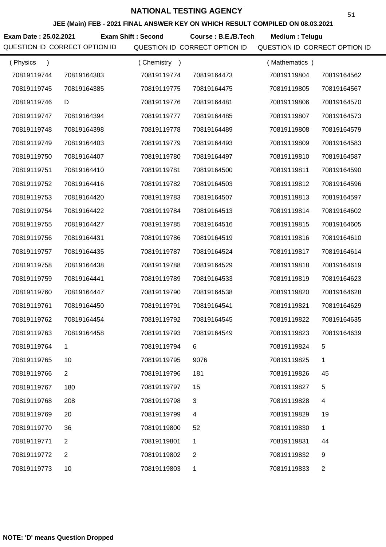**JEE (Main) FEB - 2021 FINAL ANSWER KEY ON WHICH RESULT COMPILED ON 08.03.2021**

**Exam Date : 25.02.2021 Course : B.E./B.Tech Medium : Telugu Exam Shift : Second**

| (Physics<br>$\mathcal{E}$ |                | (Chemistry) |                | (Mathematics) |                |
|---------------------------|----------------|-------------|----------------|---------------|----------------|
| 70819119744               | 70819164383    | 70819119774 | 70819164473    | 70819119804   | 70819164562    |
| 70819119745               | 70819164385    | 70819119775 | 70819164475    | 70819119805   | 70819164567    |
| 70819119746               | D              | 70819119776 | 70819164481    | 70819119806   | 70819164570    |
| 70819119747               | 70819164394    | 70819119777 | 70819164485    | 70819119807   | 70819164573    |
| 70819119748               | 70819164398    | 70819119778 | 70819164489    | 70819119808   | 70819164579    |
| 70819119749               | 70819164403    | 70819119779 | 70819164493    | 70819119809   | 70819164583    |
| 70819119750               | 70819164407    | 70819119780 | 70819164497    | 70819119810   | 70819164587    |
| 70819119751               | 70819164410    | 70819119781 | 70819164500    | 70819119811   | 70819164590    |
| 70819119752               | 70819164416    | 70819119782 | 70819164503    | 70819119812   | 70819164596    |
| 70819119753               | 70819164420    | 70819119783 | 70819164507    | 70819119813   | 70819164597    |
| 70819119754               | 70819164422    | 70819119784 | 70819164513    | 70819119814   | 70819164602    |
| 70819119755               | 70819164427    | 70819119785 | 70819164516    | 70819119815   | 70819164605    |
| 70819119756               | 70819164431    | 70819119786 | 70819164519    | 70819119816   | 70819164610    |
| 70819119757               | 70819164435    | 70819119787 | 70819164524    | 70819119817   | 70819164614    |
| 70819119758               | 70819164438    | 70819119788 | 70819164529    | 70819119818   | 70819164619    |
| 70819119759               | 70819164441    | 70819119789 | 70819164533    | 70819119819   | 70819164623    |
| 70819119760               | 70819164447    | 70819119790 | 70819164538    | 70819119820   | 70819164628    |
| 70819119761               | 70819164450    | 70819119791 | 70819164541    | 70819119821   | 70819164629    |
| 70819119762               | 70819164454    | 70819119792 | 70819164545    | 70819119822   | 70819164635    |
| 70819119763               | 70819164458    | 70819119793 | 70819164549    | 70819119823   | 70819164639    |
| 70819119764               |                | 70819119794 | 6              | 70819119824   | 5              |
| 70819119765               | 10             | 70819119795 | 9076           | 70819119825   | 1              |
| 70819119766               | $\mathbf{2}$   | 70819119796 | 181            | 70819119826   | 45             |
| 70819119767               | 180            | 70819119797 | 15             | 70819119827   | 5              |
| 70819119768               | 208            | 70819119798 | 3              | 70819119828   | 4              |
| 70819119769               | 20             | 70819119799 | 4              | 70819119829   | 19             |
| 70819119770               | 36             | 70819119800 | 52             | 70819119830   | 1              |
| 70819119771               | 2              | 70819119801 | 1              | 70819119831   | 44             |
| 70819119772               | $\overline{2}$ | 70819119802 | $\overline{2}$ | 70819119832   | 9              |
| 70819119773               | 10             | 70819119803 | 1              | 70819119833   | $\overline{c}$ |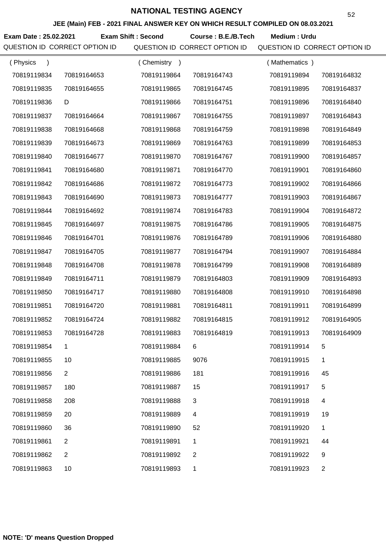**JEE (Main) FEB - 2021 FINAL ANSWER KEY ON WHICH RESULT COMPILED ON 08.03.2021**

**Exam Date : 25.02.2021 Exam Shift : Second Course : B.E./B.Tech Medium : Urdu** 

| (Physics    |                | (Chemistry) |             | (Mathematics) |                |
|-------------|----------------|-------------|-------------|---------------|----------------|
| 70819119834 | 70819164653    | 70819119864 | 70819164743 | 70819119894   | 70819164832    |
| 70819119835 | 70819164655    | 70819119865 | 70819164745 | 70819119895   | 70819164837    |
| 70819119836 | D              | 70819119866 | 70819164751 | 70819119896   | 70819164840    |
| 70819119837 | 70819164664    | 70819119867 | 70819164755 | 70819119897   | 70819164843    |
| 70819119838 | 70819164668    | 70819119868 | 70819164759 | 70819119898   | 70819164849    |
| 70819119839 | 70819164673    | 70819119869 | 70819164763 | 70819119899   | 70819164853    |
| 70819119840 | 70819164677    | 70819119870 | 70819164767 | 70819119900   | 70819164857    |
| 70819119841 | 70819164680    | 70819119871 | 70819164770 | 70819119901   | 70819164860    |
| 70819119842 | 70819164686    | 70819119872 | 70819164773 | 70819119902   | 70819164866    |
| 70819119843 | 70819164690    | 70819119873 | 70819164777 | 70819119903   | 70819164867    |
| 70819119844 | 70819164692    | 70819119874 | 70819164783 | 70819119904   | 70819164872    |
| 70819119845 | 70819164697    | 70819119875 | 70819164786 | 70819119905   | 70819164875    |
| 70819119846 | 70819164701    | 70819119876 | 70819164789 | 70819119906   | 70819164880    |
| 70819119847 | 70819164705    | 70819119877 | 70819164794 | 70819119907   | 70819164884    |
| 70819119848 | 70819164708    | 70819119878 | 70819164799 | 70819119908   | 70819164889    |
| 70819119849 | 70819164711    | 70819119879 | 70819164803 | 70819119909   | 70819164893    |
| 70819119850 | 70819164717    | 70819119880 | 70819164808 | 70819119910   | 70819164898    |
| 70819119851 | 70819164720    | 70819119881 | 70819164811 | 70819119911   | 70819164899    |
| 70819119852 | 70819164724    | 70819119882 | 70819164815 | 70819119912   | 70819164905    |
| 70819119853 | 70819164728    | 70819119883 | 70819164819 | 70819119913   | 70819164909    |
| 70819119854 | 1.             | 70819119884 | 6           | 70819119914   | 5.             |
| 70819119855 | 10             | 70819119885 | 9076        | 70819119915   | 1              |
| 70819119856 | $\overline{2}$ | 70819119886 | 181         | 70819119916   | 45             |
| 70819119857 | 180            | 70819119887 | 15          | 70819119917   | 5              |
| 70819119858 | 208            | 70819119888 | 3           | 70819119918   | 4              |
| 70819119859 | 20             | 70819119889 | 4           | 70819119919   | 19             |
| 70819119860 | 36             | 70819119890 | 52          | 70819119920   | 1              |
| 70819119861 | 2              | 70819119891 | 1           | 70819119921   | 44             |
| 70819119862 | 2              | 70819119892 | 2           | 70819119922   | 9              |
| 70819119863 | 10             | 70819119893 | 1           | 70819119923   | $\overline{c}$ |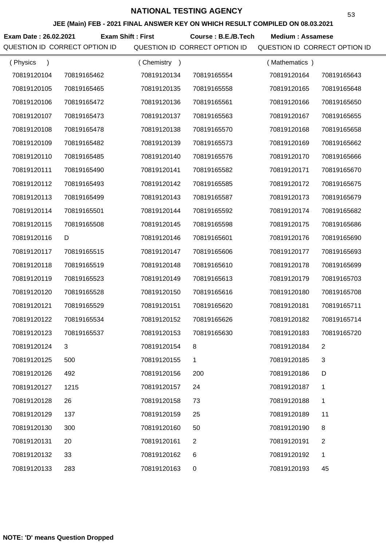**JEE (Main) FEB - 2021 FINAL ANSWER KEY ON WHICH RESULT COMPILED ON 08.03.2021**

**Exam Date : 26.02.2021 Course : B.E./B.Tech Medium : Assamese Exam Shift : First** QUESTION ID CORRECT OPTION ID QUESTION ID CORRECT OPTION ID QUESTION ID CORRECT OPTION ID

| (Physics    |             | Chemistry<br>$\rightarrow$ |              | (Mathematics) |             |
|-------------|-------------|----------------------------|--------------|---------------|-------------|
| 70819120104 | 70819165462 | 70819120134                | 70819165554  | 70819120164   | 70819165643 |
| 70819120105 | 70819165465 | 70819120135                | 70819165558  | 70819120165   | 70819165648 |
| 70819120106 | 70819165472 | 70819120136                | 70819165561  | 70819120166   | 70819165650 |
| 70819120107 | 70819165473 | 70819120137                | 70819165563  | 70819120167   | 70819165655 |
| 70819120108 | 70819165478 | 70819120138                | 70819165570  | 70819120168   | 70819165658 |
| 70819120109 | 70819165482 | 70819120139                | 70819165573  | 70819120169   | 70819165662 |
| 70819120110 | 70819165485 | 70819120140                | 70819165576  | 70819120170   | 70819165666 |
| 70819120111 | 70819165490 | 70819120141                | 70819165582  | 70819120171   | 70819165670 |
| 70819120112 | 70819165493 | 70819120142                | 70819165585  | 70819120172   | 70819165675 |
| 70819120113 | 70819165499 | 70819120143                | 70819165587  | 70819120173   | 70819165679 |
| 70819120114 | 70819165501 | 70819120144                | 70819165592  | 70819120174   | 70819165682 |
| 70819120115 | 70819165508 | 70819120145                | 70819165598  | 70819120175   | 70819165686 |
| 70819120116 | D           | 70819120146                | 70819165601  | 70819120176   | 70819165690 |
| 70819120117 | 70819165515 | 70819120147                | 70819165606  | 70819120177   | 70819165693 |
| 70819120118 | 70819165519 | 70819120148                | 70819165610  | 70819120178   | 70819165699 |
| 70819120119 | 70819165523 | 70819120149                | 70819165613  | 70819120179   | 70819165703 |
| 70819120120 | 70819165528 | 70819120150                | 70819165616  | 70819120180   | 70819165708 |
| 70819120121 | 70819165529 | 70819120151                | 70819165620  | 70819120181   | 70819165711 |
| 70819120122 | 70819165534 | 70819120152                | 70819165626  | 70819120182   | 70819165714 |
| 70819120123 | 70819165537 | 70819120153                | 70819165630  | 70819120183   | 70819165720 |
| 70819120124 | 3           | 70819120154                | 8            | 70819120184   | 2           |
| 70819120125 | 500         | 70819120155                | 1            | 70819120185   | 3           |
| 70819120126 | 492         | 70819120156                | 200          | 70819120186   | D           |
| 70819120127 | 1215        | 70819120157                | 24           | 70819120187   | 1           |
| 70819120128 | 26          | 70819120158                | 73           | 70819120188   | 1           |
| 70819120129 | 137         | 70819120159                | 25           | 70819120189   | 11          |
| 70819120130 | 300         | 70819120160                | 50           | 70819120190   | 8           |
| 70819120131 | 20          | 70819120161                | $\mathbf{2}$ | 70819120191   | 2           |
| 70819120132 | 33          | 70819120162                | 6            | 70819120192   | 1           |
| 70819120133 | 283         | 70819120163                | 0            | 70819120193   | 45          |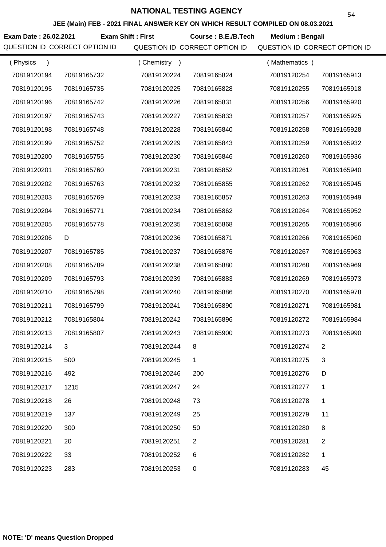**JEE (Main) FEB - 2021 FINAL ANSWER KEY ON WHICH RESULT COMPILED ON 08.03.2021**

**Exam Date : 26.02.2021 Course : B.E./B.Tech Medium : Bengali Exam Shift : First**

| (Physics<br>$\lambda$ |             | Chemistry<br>$\rightarrow$ |                | (Mathematics) |                |
|-----------------------|-------------|----------------------------|----------------|---------------|----------------|
| 70819120194           | 70819165732 | 70819120224                | 70819165824    | 70819120254   | 70819165913    |
| 70819120195           | 70819165735 | 70819120225                | 70819165828    | 70819120255   | 70819165918    |
| 70819120196           | 70819165742 | 70819120226                | 70819165831    | 70819120256   | 70819165920    |
| 70819120197           | 70819165743 | 70819120227                | 70819165833    | 70819120257   | 70819165925    |
| 70819120198           | 70819165748 | 70819120228                | 70819165840    | 70819120258   | 70819165928    |
| 70819120199           | 70819165752 | 70819120229                | 70819165843    | 70819120259   | 70819165932    |
| 70819120200           | 70819165755 | 70819120230                | 70819165846    | 70819120260   | 70819165936    |
| 70819120201           | 70819165760 | 70819120231                | 70819165852    | 70819120261   | 70819165940    |
| 70819120202           | 70819165763 | 70819120232                | 70819165855    | 70819120262   | 70819165945    |
| 70819120203           | 70819165769 | 70819120233                | 70819165857    | 70819120263   | 70819165949    |
| 70819120204           | 70819165771 | 70819120234                | 70819165862    | 70819120264   | 70819165952    |
| 70819120205           | 70819165778 | 70819120235                | 70819165868    | 70819120265   | 70819165956    |
| 70819120206           | D           | 70819120236                | 70819165871    | 70819120266   | 70819165960    |
| 70819120207           | 70819165785 | 70819120237                | 70819165876    | 70819120267   | 70819165963    |
| 70819120208           | 70819165789 | 70819120238                | 70819165880    | 70819120268   | 70819165969    |
| 70819120209           | 70819165793 | 70819120239                | 70819165883    | 70819120269   | 70819165973    |
| 70819120210           | 70819165798 | 70819120240                | 70819165886    | 70819120270   | 70819165978    |
| 70819120211           | 70819165799 | 70819120241                | 70819165890    | 70819120271   | 70819165981    |
| 70819120212           | 70819165804 | 70819120242                | 70819165896    | 70819120272   | 70819165984    |
| 70819120213           | 70819165807 | 70819120243                | 70819165900    | 70819120273   | 70819165990    |
| 70819120214           |             | 70819120244                |                | 70819120274   |                |
| 70819120215           | 500         | 70819120245                | 1.             | 70819120275   | 3              |
| 70819120216           | 492         | 70819120246                | 200            | 70819120276   | D              |
| 70819120217           | 1215        | 70819120247                | 24             | 70819120277   | 1              |
| 70819120218           | 26          | 70819120248                | 73             | 70819120278   | 1              |
| 70819120219           | 137         | 70819120249                | 25             | 70819120279   | 11             |
| 70819120220           | 300         | 70819120250                | 50             | 70819120280   | 8              |
| 70819120221           | 20          | 70819120251                | $\overline{2}$ | 70819120281   | $\overline{2}$ |
| 70819120222           | 33          | 70819120252                | 6              | 70819120282   | 1              |
| 70819120223           | 283         | 70819120253                | $\pmb{0}$      | 70819120283   | 45             |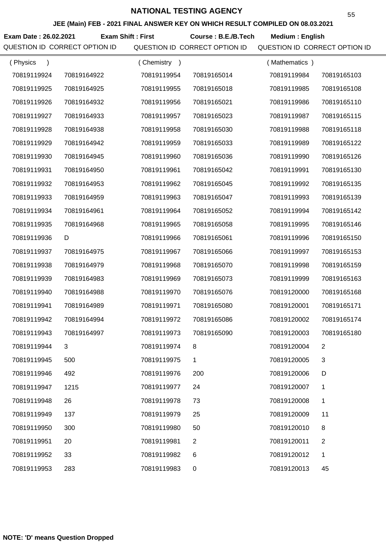**JEE (Main) FEB - 2021 FINAL ANSWER KEY ON WHICH RESULT COMPILED ON 08.03.2021**

**Exam Date : 26.02.2021 Course : B.E./B.Tech Medium : English Exam Shift : First**

| (Physics<br>$\lambda$ |             | (Chemistry<br>$\rightarrow$ |             | (Mathematics) |                |
|-----------------------|-------------|-----------------------------|-------------|---------------|----------------|
| 70819119924           | 70819164922 | 70819119954                 | 70819165014 | 70819119984   | 70819165103    |
| 70819119925           | 70819164925 | 70819119955                 | 70819165018 | 70819119985   | 70819165108    |
| 70819119926           | 70819164932 | 70819119956                 | 70819165021 | 70819119986   | 70819165110    |
| 70819119927           | 70819164933 | 70819119957                 | 70819165023 | 70819119987   | 70819165115    |
| 70819119928           | 70819164938 | 70819119958                 | 70819165030 | 70819119988   | 70819165118    |
| 70819119929           | 70819164942 | 70819119959                 | 70819165033 | 70819119989   | 70819165122    |
| 70819119930           | 70819164945 | 70819119960                 | 70819165036 | 70819119990   | 70819165126    |
| 70819119931           | 70819164950 | 70819119961                 | 70819165042 | 70819119991   | 70819165130    |
| 70819119932           | 70819164953 | 70819119962                 | 70819165045 | 70819119992   | 70819165135    |
| 70819119933           | 70819164959 | 70819119963                 | 70819165047 | 70819119993   | 70819165139    |
| 70819119934           | 70819164961 | 70819119964                 | 70819165052 | 70819119994   | 70819165142    |
| 70819119935           | 70819164968 | 70819119965                 | 70819165058 | 70819119995   | 70819165146    |
| 70819119936           | D           | 70819119966                 | 70819165061 | 70819119996   | 70819165150    |
| 70819119937           | 70819164975 | 70819119967                 | 70819165066 | 70819119997   | 70819165153    |
| 70819119938           | 70819164979 | 70819119968                 | 70819165070 | 70819119998   | 70819165159    |
| 70819119939           | 70819164983 | 70819119969                 | 70819165073 | 70819119999   | 70819165163    |
| 70819119940           | 70819164988 | 70819119970                 | 70819165076 | 70819120000   | 70819165168    |
| 70819119941           | 70819164989 | 70819119971                 | 70819165080 | 70819120001   | 70819165171    |
| 70819119942           | 70819164994 | 70819119972                 | 70819165086 | 70819120002   | 70819165174    |
| 70819119943           | 70819164997 | 70819119973                 | 70819165090 | 70819120003   | 70819165180    |
| 70819119944           |             | 70819119974                 |             | 70819120004   |                |
| 70819119945           | 500         | 70819119975                 | 1           | 70819120005   | 3              |
| 70819119946           | 492         | 70819119976                 | 200         | 70819120006   | D              |
| 70819119947           | 1215        | 70819119977                 | 24          | 70819120007   | 1              |
| 70819119948           | 26          | 70819119978                 | 73          | 70819120008   | 1              |
| 70819119949           | 137         | 70819119979                 | 25          | 70819120009   | 11             |
| 70819119950           | 300         | 70819119980                 | 50          | 70819120010   | 8              |
| 70819119951           | 20          | 70819119981                 | 2           | 70819120011   | $\overline{2}$ |
| 70819119952           | 33          | 70819119982                 | 6           | 70819120012   | 1              |
| 70819119953           | 283         | 70819119983                 | 0           | 70819120013   | 45             |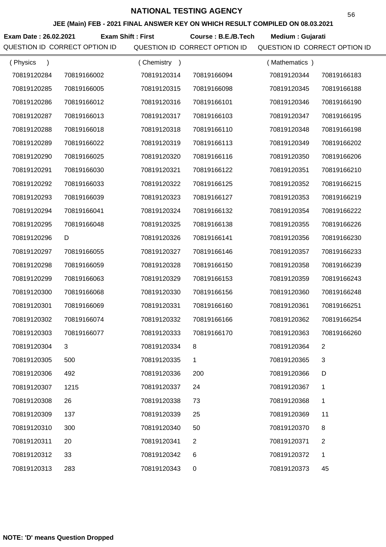**JEE (Main) FEB - 2021 FINAL ANSWER KEY ON WHICH RESULT COMPILED ON 08.03.2021**

**Exam Date : 26.02.2021 Exam Shift : First Course : B.E./B.Tech Medium : Gujarati** 

| (Physics<br>$\lambda$ |             | Chemistry<br>$\rightarrow$ |                | (Mathematics) |                |
|-----------------------|-------------|----------------------------|----------------|---------------|----------------|
| 70819120284           | 70819166002 | 70819120314                | 70819166094    | 70819120344   | 70819166183    |
| 70819120285           | 70819166005 | 70819120315                | 70819166098    | 70819120345   | 70819166188    |
| 70819120286           | 70819166012 | 70819120316                | 70819166101    | 70819120346   | 70819166190    |
| 70819120287           | 70819166013 | 70819120317                | 70819166103    | 70819120347   | 70819166195    |
| 70819120288           | 70819166018 | 70819120318                | 70819166110    | 70819120348   | 70819166198    |
| 70819120289           | 70819166022 | 70819120319                | 70819166113    | 70819120349   | 70819166202    |
| 70819120290           | 70819166025 | 70819120320                | 70819166116    | 70819120350   | 70819166206    |
| 70819120291           | 70819166030 | 70819120321                | 70819166122    | 70819120351   | 70819166210    |
| 70819120292           | 70819166033 | 70819120322                | 70819166125    | 70819120352   | 70819166215    |
| 70819120293           | 70819166039 | 70819120323                | 70819166127    | 70819120353   | 70819166219    |
| 70819120294           | 70819166041 | 70819120324                | 70819166132    | 70819120354   | 70819166222    |
| 70819120295           | 70819166048 | 70819120325                | 70819166138    | 70819120355   | 70819166226    |
| 70819120296           | D           | 70819120326                | 70819166141    | 70819120356   | 70819166230    |
| 70819120297           | 70819166055 | 70819120327                | 70819166146    | 70819120357   | 70819166233    |
| 70819120298           | 70819166059 | 70819120328                | 70819166150    | 70819120358   | 70819166239    |
| 70819120299           | 70819166063 | 70819120329                | 70819166153    | 70819120359   | 70819166243    |
| 70819120300           | 70819166068 | 70819120330                | 70819166156    | 70819120360   | 70819166248    |
| 70819120301           | 70819166069 | 70819120331                | 70819166160    | 70819120361   | 70819166251    |
| 70819120302           | 70819166074 | 70819120332                | 70819166166    | 70819120362   | 70819166254    |
| 70819120303           | 70819166077 | 70819120333                | 70819166170    | 70819120363   | 70819166260    |
| 70819120304           |             | 70819120334                |                | 70819120364   |                |
| 70819120305           | 500         | 70819120335                | 1              | 70819120365   | 3              |
| 70819120306           | 492         | 70819120336                | 200            | 70819120366   | D              |
| 70819120307           | 1215        | 70819120337                | 24             | 70819120367   | 1              |
| 70819120308           | 26          | 70819120338                | 73             | 70819120368   | 1              |
| 70819120309           | 137         | 70819120339                | 25             | 70819120369   | 11             |
| 70819120310           | 300         | 70819120340                | 50             | 70819120370   | 8              |
| 70819120311           | 20          | 70819120341                | $\overline{2}$ | 70819120371   | $\overline{2}$ |
| 70819120312           | 33          | 70819120342                | 6              | 70819120372   | 1              |
| 70819120313           | 283         | 70819120343                | $\pmb{0}$      | 70819120373   | 45             |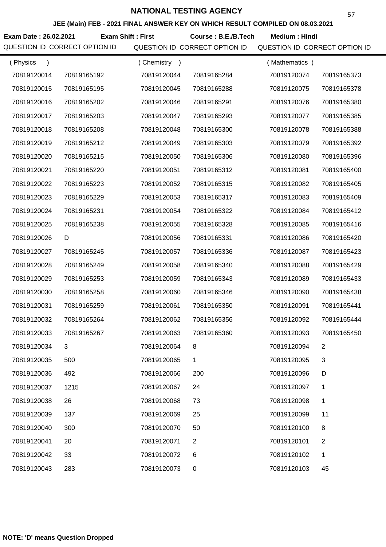**JEE (Main) FEB - 2021 FINAL ANSWER KEY ON WHICH RESULT COMPILED ON 08.03.2021**

Exam Date : 26.02.2021 Exam Shift : First Course : B.E./B.Tech Medium : Hindi

| (Physics<br>$\lambda$ |             | (Chemistry<br>$\rightarrow$ |                | (Mathematics) |                |
|-----------------------|-------------|-----------------------------|----------------|---------------|----------------|
| 70819120014           | 70819165192 | 70819120044                 | 70819165284    | 70819120074   | 70819165373    |
| 70819120015           | 70819165195 | 70819120045                 | 70819165288    | 70819120075   | 70819165378    |
| 70819120016           | 70819165202 | 70819120046                 | 70819165291    | 70819120076   | 70819165380    |
| 70819120017           | 70819165203 | 70819120047                 | 70819165293    | 70819120077   | 70819165385    |
| 70819120018           | 70819165208 | 70819120048                 | 70819165300    | 70819120078   | 70819165388    |
| 70819120019           | 70819165212 | 70819120049                 | 70819165303    | 70819120079   | 70819165392    |
| 70819120020           | 70819165215 | 70819120050                 | 70819165306    | 70819120080   | 70819165396    |
| 70819120021           | 70819165220 | 70819120051                 | 70819165312    | 70819120081   | 70819165400    |
| 70819120022           | 70819165223 | 70819120052                 | 70819165315    | 70819120082   | 70819165405    |
| 70819120023           | 70819165229 | 70819120053                 | 70819165317    | 70819120083   | 70819165409    |
| 70819120024           | 70819165231 | 70819120054                 | 70819165322    | 70819120084   | 70819165412    |
| 70819120025           | 70819165238 | 70819120055                 | 70819165328    | 70819120085   | 70819165416    |
| 70819120026           | D           | 70819120056                 | 70819165331    | 70819120086   | 70819165420    |
| 70819120027           | 70819165245 | 70819120057                 | 70819165336    | 70819120087   | 70819165423    |
| 70819120028           | 70819165249 | 70819120058                 | 70819165340    | 70819120088   | 70819165429    |
| 70819120029           | 70819165253 | 70819120059                 | 70819165343    | 70819120089   | 70819165433    |
| 70819120030           | 70819165258 | 70819120060                 | 70819165346    | 70819120090   | 70819165438    |
| 70819120031           | 70819165259 | 70819120061                 | 70819165350    | 70819120091   | 70819165441    |
| 70819120032           | 70819165264 | 70819120062                 | 70819165356    | 70819120092   | 70819165444    |
| 70819120033           | 70819165267 | 70819120063                 | 70819165360    | 70819120093   | 70819165450    |
| 70819120034           |             | 70819120064                 | 8              | 70819120094   | 2              |
| 70819120035           | 500         | 70819120065                 | 1              | 70819120095   | 3              |
| 70819120036           | 492         | 70819120066                 | 200            | 70819120096   | D              |
| 70819120037           | 1215        | 70819120067                 | 24             | 70819120097   | 1              |
| 70819120038           | 26          | 70819120068                 | 73             | 70819120098   | 1              |
| 70819120039           | 137         | 70819120069                 | 25             | 70819120099   | 11             |
| 70819120040           | 300         | 70819120070                 | 50             | 70819120100   | 8              |
| 70819120041           | 20          | 70819120071                 | $\overline{2}$ | 70819120101   | $\overline{c}$ |
| 70819120042           | 33          | 70819120072                 | 6              | 70819120102   | 1              |
| 70819120043           | 283         | 70819120073                 | 0              | 70819120103   | 45             |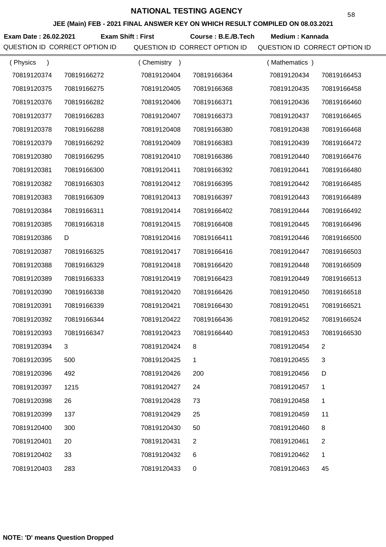**JEE (Main) FEB - 2021 FINAL ANSWER KEY ON WHICH RESULT COMPILED ON 08.03.2021**

Exam Date : 26.02.2021 Exam Shift : First Course : B.E./B.Tech Medium : Kannada

| (Physics<br>$\lambda$ |             | Chemistry<br>$\rightarrow$ |                | (Mathematics) |                |
|-----------------------|-------------|----------------------------|----------------|---------------|----------------|
| 70819120374           | 70819166272 | 70819120404                | 70819166364    | 70819120434   | 70819166453    |
| 70819120375           | 70819166275 | 70819120405                | 70819166368    | 70819120435   | 70819166458    |
| 70819120376           | 70819166282 | 70819120406                | 70819166371    | 70819120436   | 70819166460    |
| 70819120377           | 70819166283 | 70819120407                | 70819166373    | 70819120437   | 70819166465    |
| 70819120378           | 70819166288 | 70819120408                | 70819166380    | 70819120438   | 70819166468    |
| 70819120379           | 70819166292 | 70819120409                | 70819166383    | 70819120439   | 70819166472    |
| 70819120380           | 70819166295 | 70819120410                | 70819166386    | 70819120440   | 70819166476    |
| 70819120381           | 70819166300 | 70819120411                | 70819166392    | 70819120441   | 70819166480    |
| 70819120382           | 70819166303 | 70819120412                | 70819166395    | 70819120442   | 70819166485    |
| 70819120383           | 70819166309 | 70819120413                | 70819166397    | 70819120443   | 70819166489    |
| 70819120384           | 70819166311 | 70819120414                | 70819166402    | 70819120444   | 70819166492    |
| 70819120385           | 70819166318 | 70819120415                | 70819166408    | 70819120445   | 70819166496    |
| 70819120386           | D           | 70819120416                | 70819166411    | 70819120446   | 70819166500    |
| 70819120387           | 70819166325 | 70819120417                | 70819166416    | 70819120447   | 70819166503    |
| 70819120388           | 70819166329 | 70819120418                | 70819166420    | 70819120448   | 70819166509    |
| 70819120389           | 70819166333 | 70819120419                | 70819166423    | 70819120449   | 70819166513    |
| 70819120390           | 70819166338 | 70819120420                | 70819166426    | 70819120450   | 70819166518    |
| 70819120391           | 70819166339 | 70819120421                | 70819166430    | 70819120451   | 70819166521    |
| 70819120392           | 70819166344 | 70819120422                | 70819166436    | 70819120452   | 70819166524    |
| 70819120393           | 70819166347 | 70819120423                | 70819166440    | 70819120453   | 70819166530    |
| 70819120394           | 3           | 70819120424                |                | 70819120454   |                |
| 70819120395           | 500         | 70819120425                | 1              | 70819120455   | 3              |
| 70819120396           | 492         | 70819120426                | 200            | 70819120456   | D              |
| 70819120397           | 1215        | 70819120427                | 24             | 70819120457   | 1              |
| 70819120398           | 26          | 70819120428                | 73             | 70819120458   | 1              |
| 70819120399           | 137         | 70819120429                | 25             | 70819120459   | 11             |
| 70819120400           | 300         | 70819120430                | 50             | 70819120460   | 8              |
| 70819120401           | 20          | 70819120431                | $\overline{c}$ | 70819120461   | $\overline{c}$ |
| 70819120402           | 33          | 70819120432                | 6              | 70819120462   | 1              |
| 70819120403           | 283         | 70819120433                | 0              | 70819120463   | 45             |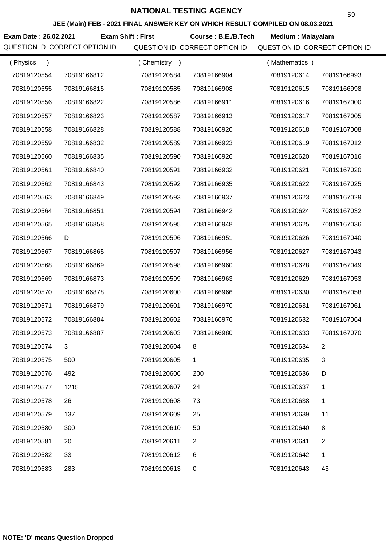**JEE (Main) FEB - 2021 FINAL ANSWER KEY ON WHICH RESULT COMPILED ON 08.03.2021**

**Exam Date : 26.02.2021 Course : B.E./B.Tech Medium : Malayalam Exam Shift : First**

| (Physics<br>$\lambda$ |             | Chemistry<br>$\rightarrow$ |                | (Mathematics) |                |
|-----------------------|-------------|----------------------------|----------------|---------------|----------------|
| 70819120554           | 70819166812 | 70819120584                | 70819166904    | 70819120614   | 70819166993    |
| 70819120555           | 70819166815 | 70819120585                | 70819166908    | 70819120615   | 70819166998    |
| 70819120556           | 70819166822 | 70819120586                | 70819166911    | 70819120616   | 70819167000    |
| 70819120557           | 70819166823 | 70819120587                | 70819166913    | 70819120617   | 70819167005    |
| 70819120558           | 70819166828 | 70819120588                | 70819166920    | 70819120618   | 70819167008    |
| 70819120559           | 70819166832 | 70819120589                | 70819166923    | 70819120619   | 70819167012    |
| 70819120560           | 70819166835 | 70819120590                | 70819166926    | 70819120620   | 70819167016    |
| 70819120561           | 70819166840 | 70819120591                | 70819166932    | 70819120621   | 70819167020    |
| 70819120562           | 70819166843 | 70819120592                | 70819166935    | 70819120622   | 70819167025    |
| 70819120563           | 70819166849 | 70819120593                | 70819166937    | 70819120623   | 70819167029    |
| 70819120564           | 70819166851 | 70819120594                | 70819166942    | 70819120624   | 70819167032    |
| 70819120565           | 70819166858 | 70819120595                | 70819166948    | 70819120625   | 70819167036    |
| 70819120566           | D           | 70819120596                | 70819166951    | 70819120626   | 70819167040    |
| 70819120567           | 70819166865 | 70819120597                | 70819166956    | 70819120627   | 70819167043    |
| 70819120568           | 70819166869 | 70819120598                | 70819166960    | 70819120628   | 70819167049    |
| 70819120569           | 70819166873 | 70819120599                | 70819166963    | 70819120629   | 70819167053    |
| 70819120570           | 70819166878 | 70819120600                | 70819166966    | 70819120630   | 70819167058    |
| 70819120571           | 70819166879 | 70819120601                | 70819166970    | 70819120631   | 70819167061    |
| 70819120572           | 70819166884 | 70819120602                | 70819166976    | 70819120632   | 70819167064    |
| 70819120573           | 70819166887 | 70819120603                | 70819166980    | 70819120633   | 70819167070    |
| 70819120574           | 3           | 70819120604                | 8              | 70819120634   | 2              |
| 70819120575           | 500         | 70819120605                | 1              | 70819120635   | 3              |
| 70819120576           | 492         | 70819120606                | 200            | 70819120636   | D              |
| 70819120577           | 1215        | 70819120607                | 24             | 70819120637   | 1              |
| 70819120578           | 26          | 70819120608                | 73             | 70819120638   | 1              |
| 70819120579           | 137         | 70819120609                | 25             | 70819120639   | 11             |
| 70819120580           | 300         | 70819120610                | 50             | 70819120640   | 8              |
| 70819120581           | 20          | 70819120611                | $\overline{c}$ | 70819120641   | $\overline{c}$ |
| 70819120582           | 33          | 70819120612                | 6              | 70819120642   | 1              |
| 70819120583           | 283         | 70819120613                | 0              | 70819120643   | 45             |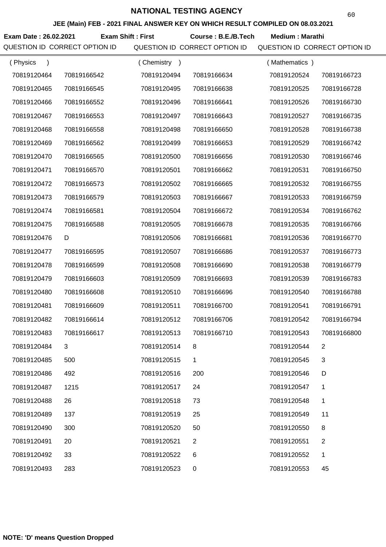**JEE (Main) FEB - 2021 FINAL ANSWER KEY ON WHICH RESULT COMPILED ON 08.03.2021**

**Exam Date : 26.02.2021 Course : B.E./B.Tech Medium : Marathi Exam Shift : First**

| (Physics<br>$\mathcal{E}$ |             | Chemistry<br>$\rightarrow$ |             | (Mathematics) |                |
|---------------------------|-------------|----------------------------|-------------|---------------|----------------|
| 70819120464               | 70819166542 | 70819120494                | 70819166634 | 70819120524   | 70819166723    |
| 70819120465               | 70819166545 | 70819120495                | 70819166638 | 70819120525   | 70819166728    |
| 70819120466               | 70819166552 | 70819120496                | 70819166641 | 70819120526   | 70819166730    |
| 70819120467               | 70819166553 | 70819120497                | 70819166643 | 70819120527   | 70819166735    |
| 70819120468               | 70819166558 | 70819120498                | 70819166650 | 70819120528   | 70819166738    |
| 70819120469               | 70819166562 | 70819120499                | 70819166653 | 70819120529   | 70819166742    |
| 70819120470               | 70819166565 | 70819120500                | 70819166656 | 70819120530   | 70819166746    |
| 70819120471               | 70819166570 | 70819120501                | 70819166662 | 70819120531   | 70819166750    |
| 70819120472               | 70819166573 | 70819120502                | 70819166665 | 70819120532   | 70819166755    |
| 70819120473               | 70819166579 | 70819120503                | 70819166667 | 70819120533   | 70819166759    |
| 70819120474               | 70819166581 | 70819120504                | 70819166672 | 70819120534   | 70819166762    |
| 70819120475               | 70819166588 | 70819120505                | 70819166678 | 70819120535   | 70819166766    |
| 70819120476               | D           | 70819120506                | 70819166681 | 70819120536   | 70819166770    |
| 70819120477               | 70819166595 | 70819120507                | 70819166686 | 70819120537   | 70819166773    |
| 70819120478               | 70819166599 | 70819120508                | 70819166690 | 70819120538   | 70819166779    |
| 70819120479               | 70819166603 | 70819120509                | 70819166693 | 70819120539   | 70819166783    |
| 70819120480               | 70819166608 | 70819120510                | 70819166696 | 70819120540   | 70819166788    |
| 70819120481               | 70819166609 | 70819120511                | 70819166700 | 70819120541   | 70819166791    |
| 70819120482               | 70819166614 | 70819120512                | 70819166706 | 70819120542   | 70819166794    |
| 70819120483               | 70819166617 | 70819120513                | 70819166710 | 70819120543   | 70819166800    |
| 70819120484               |             | 70819120514                |             | 70819120544   | 2              |
| 70819120485               | 500         | 70819120515                | 1.          | 70819120545   | 3              |
| 70819120486               | 492         | 70819120516                | 200         | 70819120546   | D              |
| 70819120487               | 1215        | 70819120517                | 24          | 70819120547   | 1              |
| 70819120488               | 26          | 70819120518                | 73          | 70819120548   | 1              |
| 70819120489               | 137         | 70819120519                | 25          | 70819120549   | 11             |
| 70819120490               | 300         | 70819120520                | 50          | 70819120550   | 8              |
| 70819120491               | 20          | 70819120521                | 2           | 70819120551   | $\overline{2}$ |
| 70819120492               | 33          | 70819120522                | 6           | 70819120552   | 1              |
| 70819120493               | 283         | 70819120523                | 0           | 70819120553   | 45             |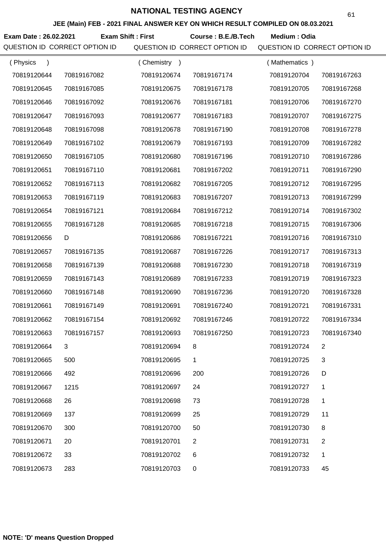**JEE (Main) FEB - 2021 FINAL ANSWER KEY ON WHICH RESULT COMPILED ON 08.03.2021**

**Exam Date : 26.02.2021 Course : B.E./B.Tech Medium : Odia Exam Shift : First**

| (Physics<br>$\mathcal{E}$ |             | (Chemistry<br>$\rightarrow$ |                | (Mathematics) |             |
|---------------------------|-------------|-----------------------------|----------------|---------------|-------------|
| 70819120644               | 70819167082 | 70819120674                 | 70819167174    | 70819120704   | 70819167263 |
| 70819120645               | 70819167085 | 70819120675                 | 70819167178    | 70819120705   | 70819167268 |
| 70819120646               | 70819167092 | 70819120676                 | 70819167181    | 70819120706   | 70819167270 |
| 70819120647               | 70819167093 | 70819120677                 | 70819167183    | 70819120707   | 70819167275 |
| 70819120648               | 70819167098 | 70819120678                 | 70819167190    | 70819120708   | 70819167278 |
| 70819120649               | 70819167102 | 70819120679                 | 70819167193    | 70819120709   | 70819167282 |
| 70819120650               | 70819167105 | 70819120680                 | 70819167196    | 70819120710   | 70819167286 |
| 70819120651               | 70819167110 | 70819120681                 | 70819167202    | 70819120711   | 70819167290 |
| 70819120652               | 70819167113 | 70819120682                 | 70819167205    | 70819120712   | 70819167295 |
| 70819120653               | 70819167119 | 70819120683                 | 70819167207    | 70819120713   | 70819167299 |
| 70819120654               | 70819167121 | 70819120684                 | 70819167212    | 70819120714   | 70819167302 |
| 70819120655               | 70819167128 | 70819120685                 | 70819167218    | 70819120715   | 70819167306 |
| 70819120656               | D           | 70819120686                 | 70819167221    | 70819120716   | 70819167310 |
| 70819120657               | 70819167135 | 70819120687                 | 70819167226    | 70819120717   | 70819167313 |
| 70819120658               | 70819167139 | 70819120688                 | 70819167230    | 70819120718   | 70819167319 |
| 70819120659               | 70819167143 | 70819120689                 | 70819167233    | 70819120719   | 70819167323 |
| 70819120660               | 70819167148 | 70819120690                 | 70819167236    | 70819120720   | 70819167328 |
| 70819120661               | 70819167149 | 70819120691                 | 70819167240    | 70819120721   | 70819167331 |
| 70819120662               | 70819167154 | 70819120692                 | 70819167246    | 70819120722   | 70819167334 |
| 70819120663               | 70819167157 | 70819120693                 | 70819167250    | 70819120723   | 70819167340 |
| 70819120664               |             | 70819120694                 | 8              | 70819120724   | 2           |
| 70819120665               | 500         | 70819120695                 | 1              | 70819120725   | 3           |
| 70819120666               | 492         | 70819120696                 | 200            | 70819120726   | D           |
| 70819120667               | 1215        | 70819120697                 | 24             | 70819120727   | 1           |
| 70819120668               | 26          | 70819120698                 | 73             | 70819120728   | 1           |
| 70819120669               | 137         | 70819120699                 | 25             | 70819120729   | 11          |
| 70819120670               | 300         | 70819120700                 | 50             | 70819120730   | 8           |
| 70819120671               | 20          | 70819120701                 | $\overline{2}$ | 70819120731   | 2           |
| 70819120672               | 33          | 70819120702                 | 6              | 70819120732   | 1           |
| 70819120673               | 283         | 70819120703                 | 0              | 70819120733   | 45          |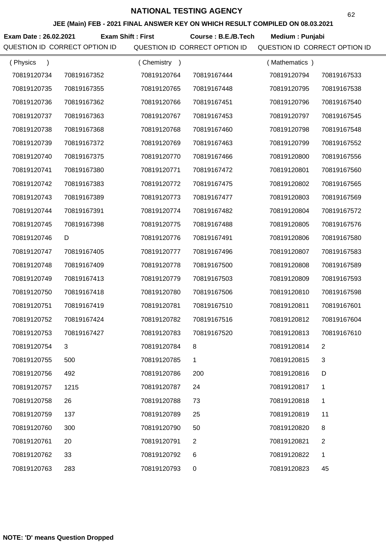**JEE (Main) FEB - 2021 FINAL ANSWER KEY ON WHICH RESULT COMPILED ON 08.03.2021**

**Exam Date : 26.02.2021 Course : B.E./B.Tech Medium : Punjabi Exam Shift : First**

| (Physics    |             | (Chemistry<br>$\rightarrow$ |             | (Mathematics) |             |
|-------------|-------------|-----------------------------|-------------|---------------|-------------|
| 70819120734 | 70819167352 | 70819120764                 | 70819167444 | 70819120794   | 70819167533 |
| 70819120735 | 70819167355 | 70819120765                 | 70819167448 | 70819120795   | 70819167538 |
| 70819120736 | 70819167362 | 70819120766                 | 70819167451 | 70819120796   | 70819167540 |
| 70819120737 | 70819167363 | 70819120767                 | 70819167453 | 70819120797   | 70819167545 |
| 70819120738 | 70819167368 | 70819120768                 | 70819167460 | 70819120798   | 70819167548 |
| 70819120739 | 70819167372 | 70819120769                 | 70819167463 | 70819120799   | 70819167552 |
| 70819120740 | 70819167375 | 70819120770                 | 70819167466 | 70819120800   | 70819167556 |
| 70819120741 | 70819167380 | 70819120771                 | 70819167472 | 70819120801   | 70819167560 |
| 70819120742 | 70819167383 | 70819120772                 | 70819167475 | 70819120802   | 70819167565 |
| 70819120743 | 70819167389 | 70819120773                 | 70819167477 | 70819120803   | 70819167569 |
| 70819120744 | 70819167391 | 70819120774                 | 70819167482 | 70819120804   | 70819167572 |
| 70819120745 | 70819167398 | 70819120775                 | 70819167488 | 70819120805   | 70819167576 |
| 70819120746 | D           | 70819120776                 | 70819167491 | 70819120806   | 70819167580 |
| 70819120747 | 70819167405 | 70819120777                 | 70819167496 | 70819120807   | 70819167583 |
| 70819120748 | 70819167409 | 70819120778                 | 70819167500 | 70819120808   | 70819167589 |
| 70819120749 | 70819167413 | 70819120779                 | 70819167503 | 70819120809   | 70819167593 |
| 70819120750 | 70819167418 | 70819120780                 | 70819167506 | 70819120810   | 70819167598 |
| 70819120751 | 70819167419 | 70819120781                 | 70819167510 | 70819120811   | 70819167601 |
| 70819120752 | 70819167424 | 70819120782                 | 70819167516 | 70819120812   | 70819167604 |
| 70819120753 | 70819167427 | 70819120783                 | 70819167520 | 70819120813   | 70819167610 |
| 70819120754 |             | 70819120784                 | 8           | 70819120814   | 2           |
| 70819120755 | 500         | 70819120785                 | 1           | 70819120815   | 3           |
| 70819120756 | 492         | 70819120786                 | 200         | 70819120816   | D           |
| 70819120757 | 1215        | 70819120787                 | 24          | 70819120817   | 1           |
| 70819120758 | 26          | 70819120788                 | 73          | 70819120818   | 1           |
| 70819120759 | 137         | 70819120789                 | 25          | 70819120819   | 11          |
| 70819120760 | 300         | 70819120790                 | 50          | 70819120820   | 8           |
| 70819120761 | 20          | 70819120791                 | 2           | 70819120821   | 2           |
| 70819120762 | 33          | 70819120792                 | 6           | 70819120822   | 1           |
| 70819120763 | 283         | 70819120793                 | 0           | 70819120823   | 45          |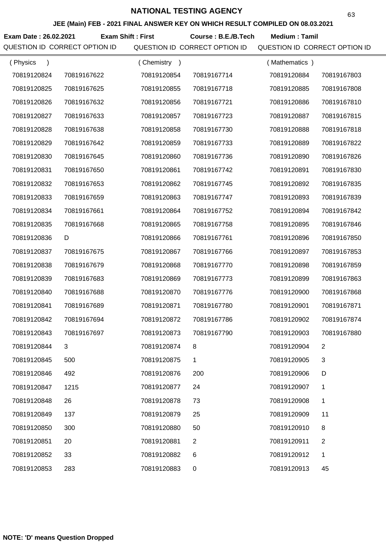**JEE (Main) FEB - 2021 FINAL ANSWER KEY ON WHICH RESULT COMPILED ON 08.03.2021**

**Exam Date : 26.02.2021 Course : B.E./B.Tech Medium : Tamil Exam Shift : First**

| (Physics    |             | (Chemistry<br>$\rightarrow$ |                | (Mathematics) |                |
|-------------|-------------|-----------------------------|----------------|---------------|----------------|
| 70819120824 | 70819167622 | 70819120854                 | 70819167714    | 70819120884   | 70819167803    |
| 70819120825 | 70819167625 | 70819120855                 | 70819167718    | 70819120885   | 70819167808    |
| 70819120826 | 70819167632 | 70819120856                 | 70819167721    | 70819120886   | 70819167810    |
| 70819120827 | 70819167633 | 70819120857                 | 70819167723    | 70819120887   | 70819167815    |
| 70819120828 | 70819167638 | 70819120858                 | 70819167730    | 70819120888   | 70819167818    |
| 70819120829 | 70819167642 | 70819120859                 | 70819167733    | 70819120889   | 70819167822    |
| 70819120830 | 70819167645 | 70819120860                 | 70819167736    | 70819120890   | 70819167826    |
| 70819120831 | 70819167650 | 70819120861                 | 70819167742    | 70819120891   | 70819167830    |
| 70819120832 | 70819167653 | 70819120862                 | 70819167745    | 70819120892   | 70819167835    |
| 70819120833 | 70819167659 | 70819120863                 | 70819167747    | 70819120893   | 70819167839    |
| 70819120834 | 70819167661 | 70819120864                 | 70819167752    | 70819120894   | 70819167842    |
| 70819120835 | 70819167668 | 70819120865                 | 70819167758    | 70819120895   | 70819167846    |
| 70819120836 | D           | 70819120866                 | 70819167761    | 70819120896   | 70819167850    |
| 70819120837 | 70819167675 | 70819120867                 | 70819167766    | 70819120897   | 70819167853    |
| 70819120838 | 70819167679 | 70819120868                 | 70819167770    | 70819120898   | 70819167859    |
| 70819120839 | 70819167683 | 70819120869                 | 70819167773    | 70819120899   | 70819167863    |
| 70819120840 | 70819167688 | 70819120870                 | 70819167776    | 70819120900   | 70819167868    |
| 70819120841 | 70819167689 | 70819120871                 | 70819167780    | 70819120901   | 70819167871    |
| 70819120842 | 70819167694 | 70819120872                 | 70819167786    | 70819120902   | 70819167874    |
| 70819120843 | 70819167697 | 70819120873                 | 70819167790    | 70819120903   | 70819167880    |
| 70819120844 | 3           | 70819120874                 |                | 70819120904   | 2              |
| 70819120845 | 500         | 70819120875                 | 1              | 70819120905   | 3              |
| 70819120846 | 492         | 70819120876                 | 200            | 70819120906   | D              |
| 70819120847 | 1215        | 70819120877                 | 24             | 70819120907   | 1              |
| 70819120848 | 26          | 70819120878                 | 73             | 70819120908   | 1              |
| 70819120849 | 137         | 70819120879                 | 25             | 70819120909   | 11             |
| 70819120850 | 300         | 70819120880                 | 50             | 70819120910   | 8              |
| 70819120851 | 20          | 70819120881                 | $\overline{2}$ | 70819120911   | $\overline{2}$ |
| 70819120852 | 33          | 70819120882                 | 6              | 70819120912   | 1              |
| 70819120853 | 283         | 70819120883                 | 0              | 70819120913   | 45             |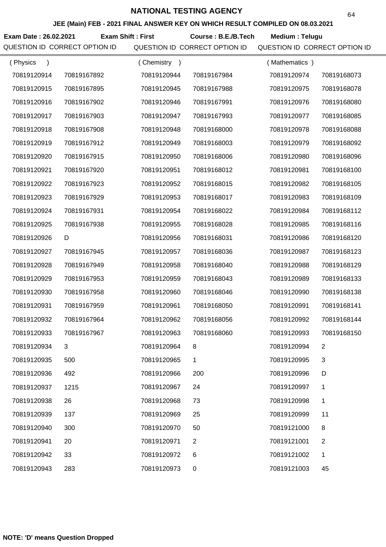**JEE (Main) FEB - 2021 FINAL ANSWER KEY ON WHICH RESULT COMPILED ON 08.03.2021**

**Exam Date : 26.02.2021 Course : B.E./B.Tech Medium : Telugu Exam Shift : First**

| (Physics    |             | Chemistry<br>$\rightarrow$ |                | (Mathematics) |                |
|-------------|-------------|----------------------------|----------------|---------------|----------------|
| 70819120914 | 70819167892 | 70819120944                | 70819167984    | 70819120974   | 70819168073    |
| 70819120915 | 70819167895 | 70819120945                | 70819167988    | 70819120975   | 70819168078    |
| 70819120916 | 70819167902 | 70819120946                | 70819167991    | 70819120976   | 70819168080    |
| 70819120917 | 70819167903 | 70819120947                | 70819167993    | 70819120977   | 70819168085    |
| 70819120918 | 70819167908 | 70819120948                | 70819168000    | 70819120978   | 70819168088    |
| 70819120919 | 70819167912 | 70819120949                | 70819168003    | 70819120979   | 70819168092    |
| 70819120920 | 70819167915 | 70819120950                | 70819168006    | 70819120980   | 70819168096    |
| 70819120921 | 70819167920 | 70819120951                | 70819168012    | 70819120981   | 70819168100    |
| 70819120922 | 70819167923 | 70819120952                | 70819168015    | 70819120982   | 70819168105    |
| 70819120923 | 70819167929 | 70819120953                | 70819168017    | 70819120983   | 70819168109    |
| 70819120924 | 70819167931 | 70819120954                | 70819168022    | 70819120984   | 70819168112    |
| 70819120925 | 70819167938 | 70819120955                | 70819168028    | 70819120985   | 70819168116    |
| 70819120926 | D           | 70819120956                | 70819168031    | 70819120986   | 70819168120    |
| 70819120927 | 70819167945 | 70819120957                | 70819168036    | 70819120987   | 70819168123    |
| 70819120928 | 70819167949 | 70819120958                | 70819168040    | 70819120988   | 70819168129    |
| 70819120929 | 70819167953 | 70819120959                | 70819168043    | 70819120989   | 70819168133    |
| 70819120930 | 70819167958 | 70819120960                | 70819168046    | 70819120990   | 70819168138    |
| 70819120931 | 70819167959 | 70819120961                | 70819168050    | 70819120991   | 70819168141    |
| 70819120932 | 70819167964 | 70819120962                | 70819168056    | 70819120992   | 70819168144    |
| 70819120933 | 70819167967 | 70819120963                | 70819168060    | 70819120993   | 70819168150    |
| 70819120934 |             | 70819120964                |                | 70819120994   |                |
| 70819120935 | 500         | 70819120965                | 1              | 70819120995   | 3              |
| 70819120936 | 492         | 70819120966                | 200            | 70819120996   | D              |
| 70819120937 | 1215        | 70819120967                | 24             | 70819120997   | 1              |
| 70819120938 | 26          | 70819120968                | 73             | 70819120998   | 1              |
| 70819120939 | 137         | 70819120969                | 25             | 70819120999   | 11             |
| 70819120940 | 300         | 70819120970                | 50             | 70819121000   | 8              |
| 70819120941 | 20          | 70819120971                | $\overline{c}$ | 70819121001   | $\overline{c}$ |
| 70819120942 | 33          | 70819120972                | 6              | 70819121002   | 1              |
| 70819120943 | 283         | 70819120973                | 0              | 70819121003   | 45             |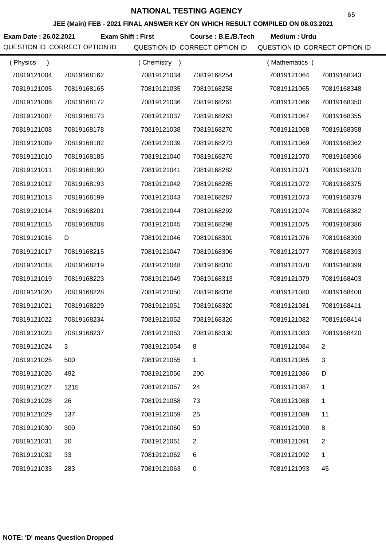**JEE (Main) FEB - 2021 FINAL ANSWER KEY ON WHICH RESULT COMPILED ON 08.03.2021**

**Exam Date : 26.02.2021 Course : B.E./B.Tech Medium : Urdu Exam Shift : First**

| (Physics<br>$\mathcal{L}$ |             | Chemistry<br>$\rightarrow$ |             | (Mathematics) |              |
|---------------------------|-------------|----------------------------|-------------|---------------|--------------|
| 70819121004               | 70819168162 | 70819121034                | 70819168254 | 70819121064   | 70819168343  |
| 70819121005               | 70819168165 | 70819121035                | 70819168258 | 70819121065   | 70819168348  |
| 70819121006               | 70819168172 | 70819121036                | 70819168261 | 70819121066   | 70819168350  |
| 70819121007               | 70819168173 | 70819121037                | 70819168263 | 70819121067   | 70819168355  |
| 70819121008               | 70819168178 | 70819121038                | 70819168270 | 70819121068   | 70819168358  |
| 70819121009               | 70819168182 | 70819121039                | 70819168273 | 70819121069   | 70819168362  |
| 70819121010               | 70819168185 | 70819121040                | 70819168276 | 70819121070   | 70819168366  |
| 70819121011               | 70819168190 | 70819121041                | 70819168282 | 70819121071   | 70819168370  |
| 70819121012               | 70819168193 | 70819121042                | 70819168285 | 70819121072   | 70819168375  |
| 70819121013               | 70819168199 | 70819121043                | 70819168287 | 70819121073   | 70819168379  |
| 70819121014               | 70819168201 | 70819121044                | 70819168292 | 70819121074   | 70819168382  |
| 70819121015               | 70819168208 | 70819121045                | 70819168298 | 70819121075   | 70819168386  |
| 70819121016               | D           | 70819121046                | 70819168301 | 70819121076   | 70819168390  |
| 70819121017               | 70819168215 | 70819121047                | 70819168306 | 70819121077   | 70819168393  |
| 70819121018               | 70819168219 | 70819121048                | 70819168310 | 70819121078   | 70819168399  |
| 70819121019               | 70819168223 | 70819121049                | 70819168313 | 70819121079   | 70819168403  |
| 70819121020               | 70819168228 | 70819121050                | 70819168316 | 70819121080   | 70819168408  |
| 70819121021               | 70819168229 | 70819121051                | 70819168320 | 70819121081   | 70819168411  |
| 70819121022               | 70819168234 | 70819121052                | 70819168326 | 70819121082   | 70819168414  |
| 70819121023               | 70819168237 | 70819121053                | 70819168330 | 70819121083   | 70819168420  |
| 70819121024               |             | 70819121054                |             | 70819121084   | 2            |
| 70819121025               | 500         | 70819121055                | 1           | 70819121085   | 3            |
| 70819121026               | 492         | 70819121056                | 200         | 70819121086   | D            |
| 70819121027               | 1215        | 70819121057                | 24          | 70819121087   | 1            |
| 70819121028               | 26          | 70819121058                | 73          | 70819121088   | $\mathbf{1}$ |
| 70819121029               | 137         | 70819121059                | 25          | 70819121089   | 11           |
| 70819121030               | 300         | 70819121060                | 50          | 70819121090   | 8            |
| 70819121031               | 20          | 70819121061                | 2           | 70819121091   | 2            |
| 70819121032               | 33          | 70819121062                | 6           | 70819121092   | 1            |
| 70819121033               | 283         | 70819121063                | $\mathbf 0$ | 70819121093   | 45           |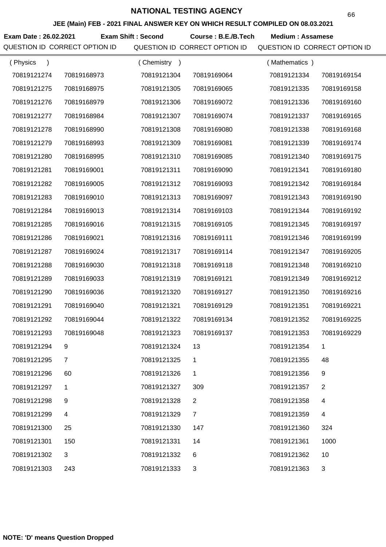**JEE (Main) FEB - 2021 FINAL ANSWER KEY ON WHICH RESULT COMPILED ON 08.03.2021**

**Exam Date : 26.02.2021 Exam Shift : Second Course : B.E./B.Tech Medium : Assamese** QUESTION ID CORRECT OPTION ID QUESTION ID CORRECT OPTION ID QUESTION ID CORRECT OPTION ID

| (Physics<br>$\mathcal{E}$ |              | Chemistry<br>$\rightarrow$ |                | (Mathematics) |                |
|---------------------------|--------------|----------------------------|----------------|---------------|----------------|
| 70819121274               | 70819168973  | 70819121304                | 70819169064    | 70819121334   | 70819169154    |
| 70819121275               | 70819168975  | 70819121305                | 70819169065    | 70819121335   | 70819169158    |
| 70819121276               | 70819168979  | 70819121306                | 70819169072    | 70819121336   | 70819169160    |
| 70819121277               | 70819168984  | 70819121307                | 70819169074    | 70819121337   | 70819169165    |
| 70819121278               | 70819168990  | 70819121308                | 70819169080    | 70819121338   | 70819169168    |
| 70819121279               | 70819168993  | 70819121309                | 70819169081    | 70819121339   | 70819169174    |
| 70819121280               | 70819168995  | 70819121310                | 70819169085    | 70819121340   | 70819169175    |
| 70819121281               | 70819169001  | 70819121311                | 70819169090    | 70819121341   | 70819169180    |
| 70819121282               | 70819169005  | 70819121312                | 70819169093    | 70819121342   | 70819169184    |
| 70819121283               | 70819169010  | 70819121313                | 70819169097    | 70819121343   | 70819169190    |
| 70819121284               | 70819169013  | 70819121314                | 70819169103    | 70819121344   | 70819169192    |
| 70819121285               | 70819169016  | 70819121315                | 70819169105    | 70819121345   | 70819169197    |
| 70819121286               | 70819169021  | 70819121316                | 70819169111    | 70819121346   | 70819169199    |
| 70819121287               | 70819169024  | 70819121317                | 70819169114    | 70819121347   | 70819169205    |
| 70819121288               | 70819169030  | 70819121318                | 70819169118    | 70819121348   | 70819169210    |
| 70819121289               | 70819169033  | 70819121319                | 70819169121    | 70819121349   | 70819169212    |
| 70819121290               | 70819169036  | 70819121320                | 70819169127    | 70819121350   | 70819169216    |
| 70819121291               | 70819169040  | 70819121321                | 70819169129    | 70819121351   | 70819169221    |
| 70819121292               | 70819169044  | 70819121322                | 70819169134    | 70819121352   | 70819169225    |
| 70819121293               | 70819169048  | 70819121323                | 70819169137    | 70819121353   | 70819169229    |
| 70819121294               | 9            | 70819121324                | 13             | 70819121354   |                |
| 70819121295               | 7            | 70819121325                | 1              | 70819121355   | 48             |
| 70819121296               | 60           | 70819121326                | 1              | 70819121356   | 9              |
| 70819121297               | 1            | 70819121327                | 309            | 70819121357   | $\overline{2}$ |
| 70819121298               | 9            | 70819121328                | $\overline{2}$ | 70819121358   | 4              |
| 70819121299               | 4            | 70819121329                | $\overline{7}$ | 70819121359   | 4              |
| 70819121300               | 25           | 70819121330                | 147            | 70819121360   | 324            |
| 70819121301               | 150          | 70819121331                | 14             | 70819121361   | 1000           |
| 70819121302               | $\mathbf{3}$ | 70819121332                | 6              | 70819121362   | 10             |
| 70819121303               | 243          | 70819121333                | 3              | 70819121363   | 3              |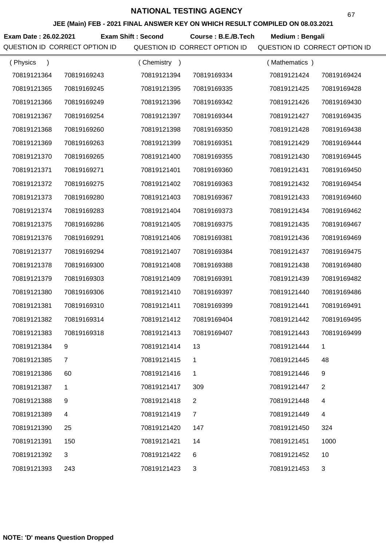**JEE (Main) FEB - 2021 FINAL ANSWER KEY ON WHICH RESULT COMPILED ON 08.03.2021**

**Exam Date : 26.02.2021 Course : B.E./B.Tech Medium : Bengali Exam Shift : Second**

| (Physics<br>$\lambda$ |             | (Chemistry<br>$\rightarrow$ |                | (Mathematics) |                |
|-----------------------|-------------|-----------------------------|----------------|---------------|----------------|
| 70819121364           | 70819169243 | 70819121394                 | 70819169334    | 70819121424   | 70819169424    |
| 70819121365           | 70819169245 | 70819121395                 | 70819169335    | 70819121425   | 70819169428    |
| 70819121366           | 70819169249 | 70819121396                 | 70819169342    | 70819121426   | 70819169430    |
| 70819121367           | 70819169254 | 70819121397                 | 70819169344    | 70819121427   | 70819169435    |
| 70819121368           | 70819169260 | 70819121398                 | 70819169350    | 70819121428   | 70819169438    |
| 70819121369           | 70819169263 | 70819121399                 | 70819169351    | 70819121429   | 70819169444    |
| 70819121370           | 70819169265 | 70819121400                 | 70819169355    | 70819121430   | 70819169445    |
| 70819121371           | 70819169271 | 70819121401                 | 70819169360    | 70819121431   | 70819169450    |
| 70819121372           | 70819169275 | 70819121402                 | 70819169363    | 70819121432   | 70819169454    |
| 70819121373           | 70819169280 | 70819121403                 | 70819169367    | 70819121433   | 70819169460    |
| 70819121374           | 70819169283 | 70819121404                 | 70819169373    | 70819121434   | 70819169462    |
| 70819121375           | 70819169286 | 70819121405                 | 70819169375    | 70819121435   | 70819169467    |
| 70819121376           | 70819169291 | 70819121406                 | 70819169381    | 70819121436   | 70819169469    |
| 70819121377           | 70819169294 | 70819121407                 | 70819169384    | 70819121437   | 70819169475    |
| 70819121378           | 70819169300 | 70819121408                 | 70819169388    | 70819121438   | 70819169480    |
| 70819121379           | 70819169303 | 70819121409                 | 70819169391    | 70819121439   | 70819169482    |
| 70819121380           | 70819169306 | 70819121410                 | 70819169397    | 70819121440   | 70819169486    |
| 70819121381           | 70819169310 | 70819121411                 | 70819169399    | 70819121441   | 70819169491    |
| 70819121382           | 70819169314 | 70819121412                 | 70819169404    | 70819121442   | 70819169495    |
| 70819121383           | 70819169318 | 70819121413                 | 70819169407    | 70819121443   | 70819169499    |
| 70819121384           |             | 70819121414                 | 13             | 70819121444   |                |
| 70819121385           | 7           | 70819121415                 | 1              | 70819121445   | 48             |
| 70819121386           | 60          | 70819121416                 | 1              | 70819121446   | 9              |
| 70819121387           | 1           | 70819121417                 | 309            | 70819121447   | $\overline{2}$ |
| 70819121388           | 9           | 70819121418                 | $\overline{2}$ | 70819121448   | 4              |
| 70819121389           | 4           | 70819121419                 | $\overline{7}$ | 70819121449   | 4              |
| 70819121390           | 25          | 70819121420                 | 147            | 70819121450   | 324            |
| 70819121391           | 150         | 70819121421                 | 14             | 70819121451   | 1000           |
| 70819121392           | 3           | 70819121422                 | 6              | 70819121452   | 10             |
| 70819121393           | 243         | 70819121423                 | 3              | 70819121453   | 3              |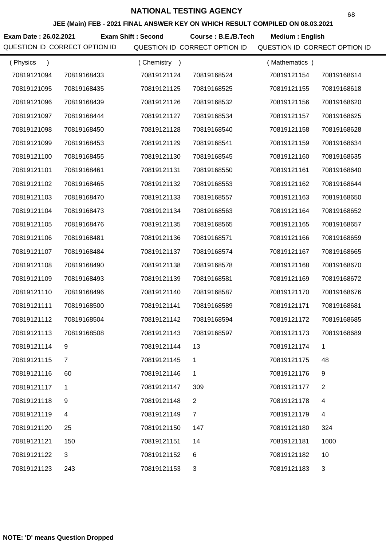**JEE (Main) FEB - 2021 FINAL ANSWER KEY ON WHICH RESULT COMPILED ON 08.03.2021**

**Exam Date : 26.02.2021 Course : B.E./B.Tech Medium : English Exam Shift : Second**

| (Physics    |             | (Chemistry)<br>$\rightarrow$ |                | (Mathematics) |                |
|-------------|-------------|------------------------------|----------------|---------------|----------------|
| 70819121094 | 70819168433 | 70819121124                  | 70819168524    | 70819121154   | 70819168614    |
| 70819121095 | 70819168435 | 70819121125                  | 70819168525    | 70819121155   | 70819168618    |
| 70819121096 | 70819168439 | 70819121126                  | 70819168532    | 70819121156   | 70819168620    |
| 70819121097 | 70819168444 | 70819121127                  | 70819168534    | 70819121157   | 70819168625    |
| 70819121098 | 70819168450 | 70819121128                  | 70819168540    | 70819121158   | 70819168628    |
| 70819121099 | 70819168453 | 70819121129                  | 70819168541    | 70819121159   | 70819168634    |
| 70819121100 | 70819168455 | 70819121130                  | 70819168545    | 70819121160   | 70819168635    |
| 70819121101 | 70819168461 | 70819121131                  | 70819168550    | 70819121161   | 70819168640    |
| 70819121102 | 70819168465 | 70819121132                  | 70819168553    | 70819121162   | 70819168644    |
| 70819121103 | 70819168470 | 70819121133                  | 70819168557    | 70819121163   | 70819168650    |
| 70819121104 | 70819168473 | 70819121134                  | 70819168563    | 70819121164   | 70819168652    |
| 70819121105 | 70819168476 | 70819121135                  | 70819168565    | 70819121165   | 70819168657    |
| 70819121106 | 70819168481 | 70819121136                  | 70819168571    | 70819121166   | 70819168659    |
| 70819121107 | 70819168484 | 70819121137                  | 70819168574    | 70819121167   | 70819168665    |
| 70819121108 | 70819168490 | 70819121138                  | 70819168578    | 70819121168   | 70819168670    |
| 70819121109 | 70819168493 | 70819121139                  | 70819168581    | 70819121169   | 70819168672    |
| 70819121110 | 70819168496 | 70819121140                  | 70819168587    | 70819121170   | 70819168676    |
| 70819121111 | 70819168500 | 70819121141                  | 70819168589    | 70819121171   | 70819168681    |
| 70819121112 | 70819168504 | 70819121142                  | 70819168594    | 70819121172   | 70819168685    |
| 70819121113 | 70819168508 | 70819121143                  | 70819168597    | 70819121173   | 70819168689    |
| 70819121114 | 9           | 70819121144                  | 13             | 70819121174   |                |
| 70819121115 | 7           | 70819121145                  | 1              | 70819121175   | 48             |
| 70819121116 | 60          | 70819121146                  | 1              | 70819121176   | 9              |
| 70819121117 | 1           | 70819121147                  | 309            | 70819121177   | $\overline{2}$ |
| 70819121118 | 9           | 70819121148                  | 2              | 70819121178   | 4              |
| 70819121119 | 4           | 70819121149                  | $\overline{7}$ | 70819121179   | 4              |
| 70819121120 | 25          | 70819121150                  | 147            | 70819121180   | 324            |
| 70819121121 | 150         | 70819121151                  | 14             | 70819121181   | 1000           |
| 70819121122 | 3           | 70819121152                  | 6              | 70819121182   | 10             |
| 70819121123 | 243         | 70819121153                  | 3              | 70819121183   | 3              |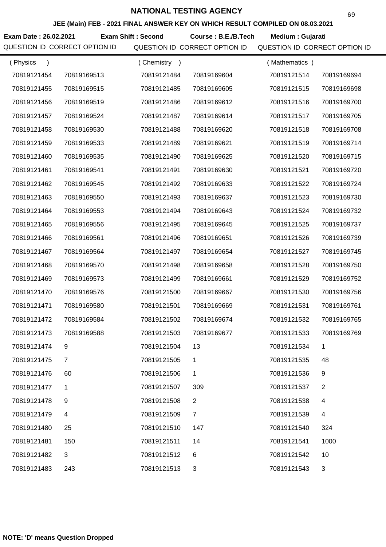**JEE (Main) FEB - 2021 FINAL ANSWER KEY ON WHICH RESULT COMPILED ON 08.03.2021**

**Exam Date : 26.02.2021 Exam Shift : Second Course : B.E./B.Tech Medium : Gujarati** 

QUESTION ID CORRECT OPTION ID QUESTION ID CORRECT OPTION ID QUESTION ID CORRECT OPTION ID

| (Physics<br>$\mathcal{E}$ |                | Chemistry<br>$\rightarrow$ |                | (Mathematics) |                |
|---------------------------|----------------|----------------------------|----------------|---------------|----------------|
| 70819121454               | 70819169513    | 70819121484                | 70819169604    | 70819121514   | 70819169694    |
| 70819121455               | 70819169515    | 70819121485                | 70819169605    | 70819121515   | 70819169698    |
| 70819121456               | 70819169519    | 70819121486                | 70819169612    | 70819121516   | 70819169700    |
| 70819121457               | 70819169524    | 70819121487                | 70819169614    | 70819121517   | 70819169705    |
| 70819121458               | 70819169530    | 70819121488                | 70819169620    | 70819121518   | 70819169708    |
| 70819121459               | 70819169533    | 70819121489                | 70819169621    | 70819121519   | 70819169714    |
| 70819121460               | 70819169535    | 70819121490                | 70819169625    | 70819121520   | 70819169715    |
| 70819121461               | 70819169541    | 70819121491                | 70819169630    | 70819121521   | 70819169720    |
| 70819121462               | 70819169545    | 70819121492                | 70819169633    | 70819121522   | 70819169724    |
| 70819121463               | 70819169550    | 70819121493                | 70819169637    | 70819121523   | 70819169730    |
| 70819121464               | 70819169553    | 70819121494                | 70819169643    | 70819121524   | 70819169732    |
| 70819121465               | 70819169556    | 70819121495                | 70819169645    | 70819121525   | 70819169737    |
| 70819121466               | 70819169561    | 70819121496                | 70819169651    | 70819121526   | 70819169739    |
| 70819121467               | 70819169564    | 70819121497                | 70819169654    | 70819121527   | 70819169745    |
| 70819121468               | 70819169570    | 70819121498                | 70819169658    | 70819121528   | 70819169750    |
| 70819121469               | 70819169573    | 70819121499                | 70819169661    | 70819121529   | 70819169752    |
| 70819121470               | 70819169576    | 70819121500                | 70819169667    | 70819121530   | 70819169756    |
| 70819121471               | 70819169580    | 70819121501                | 70819169669    | 70819121531   | 70819169761    |
| 70819121472               | 70819169584    | 70819121502                | 70819169674    | 70819121532   | 70819169765    |
| 70819121473               | 70819169588    | 70819121503                | 70819169677    | 70819121533   | 70819169769    |
| 70819121474               |                | 70819121504                | 13             | 70819121534   | 1              |
| 70819121475               | 7              | 70819121505                | 1              | 70819121535   | 48             |
| 70819121476               | 60             | 70819121506                | 1              | 70819121536   | 9              |
| 70819121477               | 1              | 70819121507                | 309            | 70819121537   | $\overline{2}$ |
| 70819121478               | 9              | 70819121508                | 2              | 70819121538   | 4              |
| 70819121479               | $\overline{4}$ | 70819121509                | $\overline{7}$ | 70819121539   | 4              |
| 70819121480               | 25             | 70819121510                | 147            | 70819121540   | 324            |
| 70819121481               | 150            | 70819121511                | 14             | 70819121541   | 1000           |
| 70819121482               | 3              | 70819121512                | 6              | 70819121542   | 10             |
| 70819121483               | 243            | 70819121513                | 3              | 70819121543   | 3              |

69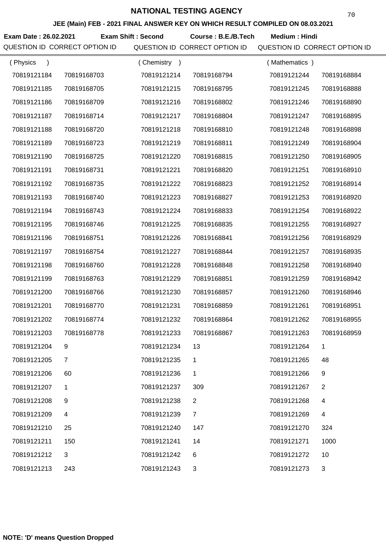**JEE (Main) FEB - 2021 FINAL ANSWER KEY ON WHICH RESULT COMPILED ON 08.03.2021**

**Exam Date : 26.02.2021 Exam Shift : Second Course : B.E./B.Tech Medium : Hindi** 

| (Physics    |             | (Chemistry<br>$\rightarrow$ |                | (Mathematics) |             |
|-------------|-------------|-----------------------------|----------------|---------------|-------------|
| 70819121184 | 70819168703 | 70819121214                 | 70819168794    | 70819121244   | 70819168884 |
| 70819121185 | 70819168705 | 70819121215                 | 70819168795    | 70819121245   | 70819168888 |
| 70819121186 | 70819168709 | 70819121216                 | 70819168802    | 70819121246   | 70819168890 |
| 70819121187 | 70819168714 | 70819121217                 | 70819168804    | 70819121247   | 70819168895 |
| 70819121188 | 70819168720 | 70819121218                 | 70819168810    | 70819121248   | 70819168898 |
| 70819121189 | 70819168723 | 70819121219                 | 70819168811    | 70819121249   | 70819168904 |
| 70819121190 | 70819168725 | 70819121220                 | 70819168815    | 70819121250   | 70819168905 |
| 70819121191 | 70819168731 | 70819121221                 | 70819168820    | 70819121251   | 70819168910 |
| 70819121192 | 70819168735 | 70819121222                 | 70819168823    | 70819121252   | 70819168914 |
| 70819121193 | 70819168740 | 70819121223                 | 70819168827    | 70819121253   | 70819168920 |
| 70819121194 | 70819168743 | 70819121224                 | 70819168833    | 70819121254   | 70819168922 |
| 70819121195 | 70819168746 | 70819121225                 | 70819168835    | 70819121255   | 70819168927 |
| 70819121196 | 70819168751 | 70819121226                 | 70819168841    | 70819121256   | 70819168929 |
| 70819121197 | 70819168754 | 70819121227                 | 70819168844    | 70819121257   | 70819168935 |
| 70819121198 | 70819168760 | 70819121228                 | 70819168848    | 70819121258   | 70819168940 |
| 70819121199 | 70819168763 | 70819121229                 | 70819168851    | 70819121259   | 70819168942 |
| 70819121200 | 70819168766 | 70819121230                 | 70819168857    | 70819121260   | 70819168946 |
| 70819121201 | 70819168770 | 70819121231                 | 70819168859    | 70819121261   | 70819168951 |
| 70819121202 | 70819168774 | 70819121232                 | 70819168864    | 70819121262   | 70819168955 |
| 70819121203 | 70819168778 | 70819121233                 | 70819168867    | 70819121263   | 70819168959 |
| 70819121204 | 9           | 70819121234                 | 13             | 70819121264   |             |
| 70819121205 | 7           | 70819121235                 | 1              | 70819121265   | 48          |
| 70819121206 | 60          | 70819121236                 | 1              | 70819121266   | 9           |
| 70819121207 | 1           | 70819121237                 | 309            | 70819121267   | 2           |
| 70819121208 | 9           | 70819121238                 | $\overline{2}$ | 70819121268   | 4           |
| 70819121209 | 4           | 70819121239                 | $\overline{7}$ | 70819121269   | 4           |
| 70819121210 | 25          | 70819121240                 | 147            | 70819121270   | 324         |
| 70819121211 | 150         | 70819121241                 | 14             | 70819121271   | 1000        |
| 70819121212 | 3           | 70819121242                 | 6              | 70819121272   | 10          |
| 70819121213 | 243         | 70819121243                 | 3              | 70819121273   | 3           |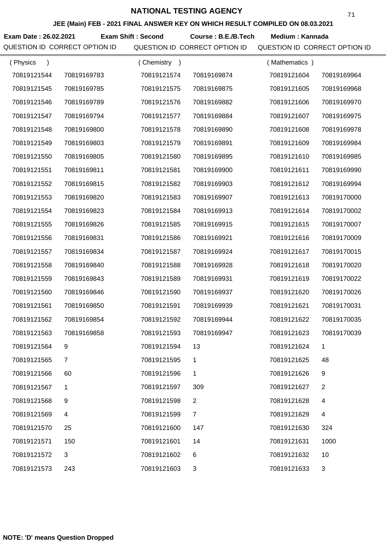**JEE (Main) FEB - 2021 FINAL ANSWER KEY ON WHICH RESULT COMPILED ON 08.03.2021**

Exam Date : 26.02.2021 Exam Shift : Second Course : B.E./B.Tech Medium : Kannada

| (Physics    |             | (Chemistry<br>$\rightarrow$ |                | (Mathematics) |                |
|-------------|-------------|-----------------------------|----------------|---------------|----------------|
| 70819121544 | 70819169783 | 70819121574                 | 70819169874    | 70819121604   | 70819169964    |
| 70819121545 | 70819169785 | 70819121575                 | 70819169875    | 70819121605   | 70819169968    |
| 70819121546 | 70819169789 | 70819121576                 | 70819169882    | 70819121606   | 70819169970    |
| 70819121547 | 70819169794 | 70819121577                 | 70819169884    | 70819121607   | 70819169975    |
| 70819121548 | 70819169800 | 70819121578                 | 70819169890    | 70819121608   | 70819169978    |
| 70819121549 | 70819169803 | 70819121579                 | 70819169891    | 70819121609   | 70819169984    |
| 70819121550 | 70819169805 | 70819121580                 | 70819169895    | 70819121610   | 70819169985    |
| 70819121551 | 70819169811 | 70819121581                 | 70819169900    | 70819121611   | 70819169990    |
| 70819121552 | 70819169815 | 70819121582                 | 70819169903    | 70819121612   | 70819169994    |
| 70819121553 | 70819169820 | 70819121583                 | 70819169907    | 70819121613   | 70819170000    |
| 70819121554 | 70819169823 | 70819121584                 | 70819169913    | 70819121614   | 70819170002    |
| 70819121555 | 70819169826 | 70819121585                 | 70819169915    | 70819121615   | 70819170007    |
| 70819121556 | 70819169831 | 70819121586                 | 70819169921    | 70819121616   | 70819170009    |
| 70819121557 | 70819169834 | 70819121587                 | 70819169924    | 70819121617   | 70819170015    |
| 70819121558 | 70819169840 | 70819121588                 | 70819169928    | 70819121618   | 70819170020    |
| 70819121559 | 70819169843 | 70819121589                 | 70819169931    | 70819121619   | 70819170022    |
| 70819121560 | 70819169846 | 70819121590                 | 70819169937    | 70819121620   | 70819170026    |
| 70819121561 | 70819169850 | 70819121591                 | 70819169939    | 70819121621   | 70819170031    |
| 70819121562 | 70819169854 | 70819121592                 | 70819169944    | 70819121622   | 70819170035    |
| 70819121563 | 70819169858 | 70819121593                 | 70819169947    | 70819121623   | 70819170039    |
| 70819121564 | 9           | 70819121594                 | 13             | 70819121624   | 1              |
| 70819121565 | 7           | 70819121595                 | 1              | 70819121625   | 48             |
| 70819121566 | 60          | 70819121596                 | 1              | 70819121626   | 9              |
| 70819121567 | 1           | 70819121597                 | 309            | 70819121627   | $\overline{2}$ |
| 70819121568 | 9           | 70819121598                 | 2              | 70819121628   | 4              |
| 70819121569 | 4           | 70819121599                 | $\overline{7}$ | 70819121629   | 4              |
| 70819121570 | 25          | 70819121600                 | 147            | 70819121630   | 324            |
| 70819121571 | 150         | 70819121601                 | 14             | 70819121631   | 1000           |
| 70819121572 | 3           | 70819121602                 | 6              | 70819121632   | 10             |
| 70819121573 | 243         | 70819121603                 | 3              | 70819121633   | $\mathfrak{S}$ |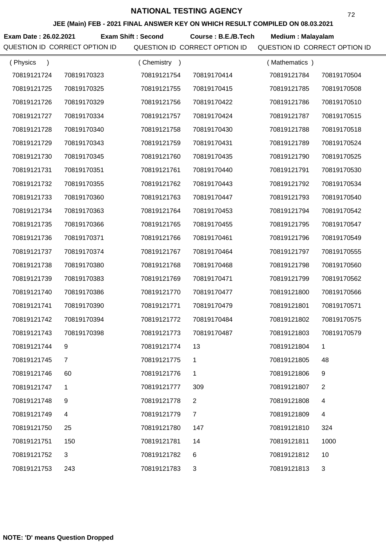**JEE (Main) FEB - 2021 FINAL ANSWER KEY ON WHICH RESULT COMPILED ON 08.03.2021**

**Exam Date : 26.02.2021 Exam Shift : Second Course : B.E./B.Tech Medium : Malayalam** 

| (Physics    |             | (Chemistry<br>$\rightarrow$ |                | (Mathematics) |                |
|-------------|-------------|-----------------------------|----------------|---------------|----------------|
| 70819121724 | 70819170323 | 70819121754                 | 70819170414    | 70819121784   | 70819170504    |
| 70819121725 | 70819170325 | 70819121755                 | 70819170415    | 70819121785   | 70819170508    |
| 70819121726 | 70819170329 | 70819121756                 | 70819170422    | 70819121786   | 70819170510    |
| 70819121727 | 70819170334 | 70819121757                 | 70819170424    | 70819121787   | 70819170515    |
| 70819121728 | 70819170340 | 70819121758                 | 70819170430    | 70819121788   | 70819170518    |
| 70819121729 | 70819170343 | 70819121759                 | 70819170431    | 70819121789   | 70819170524    |
| 70819121730 | 70819170345 | 70819121760                 | 70819170435    | 70819121790   | 70819170525    |
| 70819121731 | 70819170351 | 70819121761                 | 70819170440    | 70819121791   | 70819170530    |
| 70819121732 | 70819170355 | 70819121762                 | 70819170443    | 70819121792   | 70819170534    |
| 70819121733 | 70819170360 | 70819121763                 | 70819170447    | 70819121793   | 70819170540    |
| 70819121734 | 70819170363 | 70819121764                 | 70819170453    | 70819121794   | 70819170542    |
| 70819121735 | 70819170366 | 70819121765                 | 70819170455    | 70819121795   | 70819170547    |
| 70819121736 | 70819170371 | 70819121766                 | 70819170461    | 70819121796   | 70819170549    |
| 70819121737 | 70819170374 | 70819121767                 | 70819170464    | 70819121797   | 70819170555    |
| 70819121738 | 70819170380 | 70819121768                 | 70819170468    | 70819121798   | 70819170560    |
| 70819121739 | 70819170383 | 70819121769                 | 70819170471    | 70819121799   | 70819170562    |
| 70819121740 | 70819170386 | 70819121770                 | 70819170477    | 70819121800   | 70819170566    |
| 70819121741 | 70819170390 | 70819121771                 | 70819170479    | 70819121801   | 70819170571    |
| 70819121742 | 70819170394 | 70819121772                 | 70819170484    | 70819121802   | 70819170575    |
| 70819121743 | 70819170398 | 70819121773                 | 70819170487    | 70819121803   | 70819170579    |
| 70819121744 | 9           | 70819121774                 | 13             | 70819121804   | 1              |
| 70819121745 | 7           | 70819121775                 | 1              | 70819121805   | 48             |
| 70819121746 | 60          | 70819121776                 | 1              | 70819121806   | 9              |
| 70819121747 | 1           | 70819121777                 | 309            | 70819121807   | $\overline{2}$ |
| 70819121748 | 9           | 70819121778                 | $\overline{2}$ | 70819121808   | 4              |
| 70819121749 | 4           | 70819121779                 | $\overline{7}$ | 70819121809   | 4              |
| 70819121750 | 25          | 70819121780                 | 147            | 70819121810   | 324            |
| 70819121751 | 150         | 70819121781                 | 14             | 70819121811   | 1000           |
| 70819121752 | 3           | 70819121782                 | 6              | 70819121812   | 10             |
| 70819121753 | 243         | 70819121783                 | 3              | 70819121813   | 3              |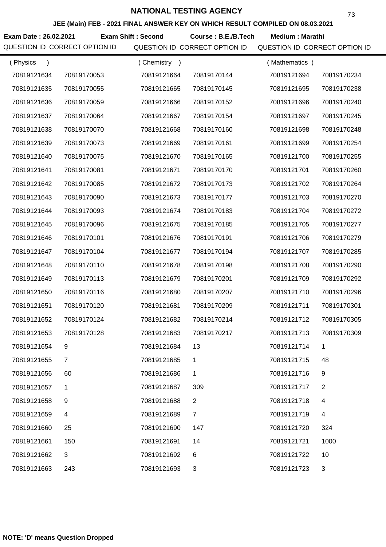**JEE (Main) FEB - 2021 FINAL ANSWER KEY ON WHICH RESULT COMPILED ON 08.03.2021**

**Exam Date : 26.02.2021 Course : B.E./B.Tech Medium : Marathi Exam Shift : Second**

| (Physics<br>$\lambda$ |             | (Chemistry<br>$\rightarrow$ |                | (Mathematics) |                |
|-----------------------|-------------|-----------------------------|----------------|---------------|----------------|
| 70819121634           | 70819170053 | 70819121664                 | 70819170144    | 70819121694   | 70819170234    |
| 70819121635           | 70819170055 | 70819121665                 | 70819170145    | 70819121695   | 70819170238    |
| 70819121636           | 70819170059 | 70819121666                 | 70819170152    | 70819121696   | 70819170240    |
| 70819121637           | 70819170064 | 70819121667                 | 70819170154    | 70819121697   | 70819170245    |
| 70819121638           | 70819170070 | 70819121668                 | 70819170160    | 70819121698   | 70819170248    |
| 70819121639           | 70819170073 | 70819121669                 | 70819170161    | 70819121699   | 70819170254    |
| 70819121640           | 70819170075 | 70819121670                 | 70819170165    | 70819121700   | 70819170255    |
| 70819121641           | 70819170081 | 70819121671                 | 70819170170    | 70819121701   | 70819170260    |
| 70819121642           | 70819170085 | 70819121672                 | 70819170173    | 70819121702   | 70819170264    |
| 70819121643           | 70819170090 | 70819121673                 | 70819170177    | 70819121703   | 70819170270    |
| 70819121644           | 70819170093 | 70819121674                 | 70819170183    | 70819121704   | 70819170272    |
| 70819121645           | 70819170096 | 70819121675                 | 70819170185    | 70819121705   | 70819170277    |
| 70819121646           | 70819170101 | 70819121676                 | 70819170191    | 70819121706   | 70819170279    |
| 70819121647           | 70819170104 | 70819121677                 | 70819170194    | 70819121707   | 70819170285    |
| 70819121648           | 70819170110 | 70819121678                 | 70819170198    | 70819121708   | 70819170290    |
| 70819121649           | 70819170113 | 70819121679                 | 70819170201    | 70819121709   | 70819170292    |
| 70819121650           | 70819170116 | 70819121680                 | 70819170207    | 70819121710   | 70819170296    |
| 70819121651           | 70819170120 | 70819121681                 | 70819170209    | 70819121711   | 70819170301    |
| 70819121652           | 70819170124 | 70819121682                 | 70819170214    | 70819121712   | 70819170305    |
| 70819121653           | 70819170128 | 70819121683                 | 70819170217    | 70819121713   | 70819170309    |
| 70819121654           | 9           | 70819121684                 | 13             | 70819121714   | 1              |
| 70819121655           | 7           | 70819121685                 | 1              | 70819121715   | 48             |
| 70819121656           | 60          | 70819121686                 | 1              | 70819121716   | 9              |
| 70819121657           | 1           | 70819121687                 | 309            | 70819121717   | $\overline{2}$ |
| 70819121658           | 9           | 70819121688                 | 2              | 70819121718   | 4              |
| 70819121659           | 4           | 70819121689                 | $\overline{7}$ | 70819121719   | 4              |
| 70819121660           | 25          | 70819121690                 | 147            | 70819121720   | 324            |
| 70819121661           | 150         | 70819121691                 | 14             | 70819121721   | 1000           |
| 70819121662           | 3           | 70819121692                 | 6              | 70819121722   | 10             |
| 70819121663           | 243         | 70819121693                 | $\mathfrak{B}$ | 70819121723   | $\sqrt{3}$     |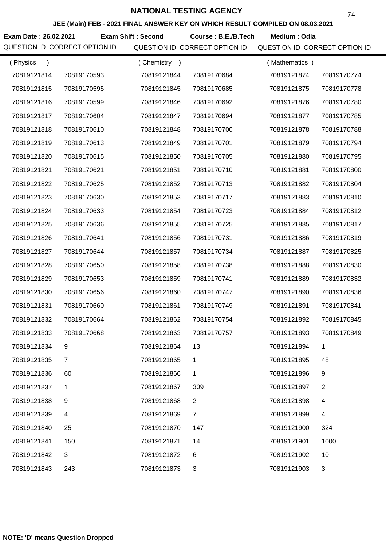**JEE (Main) FEB - 2021 FINAL ANSWER KEY ON WHICH RESULT COMPILED ON 08.03.2021**

Exam Date : 26.02.2021 Exam Shift : Second Course : B.E./B.Tech Medium : Odia

| (Physics    |                | (Chemistry<br>$\rightarrow$ |                | Mathematics ) |                |
|-------------|----------------|-----------------------------|----------------|---------------|----------------|
| 70819121814 | 70819170593    | 70819121844                 | 70819170684    | 70819121874   | 70819170774    |
| 70819121815 | 70819170595    | 70819121845                 | 70819170685    | 70819121875   | 70819170778    |
| 70819121816 | 70819170599    | 70819121846                 | 70819170692    | 70819121876   | 70819170780    |
| 70819121817 | 70819170604    | 70819121847                 | 70819170694    | 70819121877   | 70819170785    |
| 70819121818 | 70819170610    | 70819121848                 | 70819170700    | 70819121878   | 70819170788    |
| 70819121819 | 70819170613    | 70819121849                 | 70819170701    | 70819121879   | 70819170794    |
| 70819121820 | 70819170615    | 70819121850                 | 70819170705    | 70819121880   | 70819170795    |
| 70819121821 | 70819170621    | 70819121851                 | 70819170710    | 70819121881   | 70819170800    |
| 70819121822 | 70819170625    | 70819121852                 | 70819170713    | 70819121882   | 70819170804    |
| 70819121823 | 70819170630    | 70819121853                 | 70819170717    | 70819121883   | 70819170810    |
| 70819121824 | 70819170633    | 70819121854                 | 70819170723    | 70819121884   | 70819170812    |
| 70819121825 | 70819170636    | 70819121855                 | 70819170725    | 70819121885   | 70819170817    |
| 70819121826 | 70819170641    | 70819121856                 | 70819170731    | 70819121886   | 70819170819    |
| 70819121827 | 70819170644    | 70819121857                 | 70819170734    | 70819121887   | 70819170825    |
| 70819121828 | 70819170650    | 70819121858                 | 70819170738    | 70819121888   | 70819170830    |
| 70819121829 | 70819170653    | 70819121859                 | 70819170741    | 70819121889   | 70819170832    |
| 70819121830 | 70819170656    | 70819121860                 | 70819170747    | 70819121890   | 70819170836    |
| 70819121831 | 70819170660    | 70819121861                 | 70819170749    | 70819121891   | 70819170841    |
| 70819121832 | 70819170664    | 70819121862                 | 70819170754    | 70819121892   | 70819170845    |
| 70819121833 | 70819170668    | 70819121863                 | 70819170757    | 70819121893   | 70819170849    |
| 70819121834 | 9              | 70819121864                 | 13             | 70819121894   | 1              |
| 70819121835 | 7              | 70819121865                 | 1              | 70819121895   | 48             |
| 70819121836 | 60             | 70819121866                 | 1              | 70819121896   | 9              |
| 70819121837 | 1              | 70819121867                 | 309            | 70819121897   | $\overline{2}$ |
| 70819121838 | 9              | 70819121868                 | $\overline{2}$ | 70819121898   | 4              |
| 70819121839 | $\overline{4}$ | 70819121869                 | $\overline{7}$ | 70819121899   | 4              |
| 70819121840 | 25             | 70819121870                 | 147            | 70819121900   | 324            |
| 70819121841 | 150            | 70819121871                 | 14             | 70819121901   | 1000           |
| 70819121842 | 3              | 70819121872                 | 6              | 70819121902   | 10             |
| 70819121843 | 243            | 70819121873                 | 3              | 70819121903   | 3              |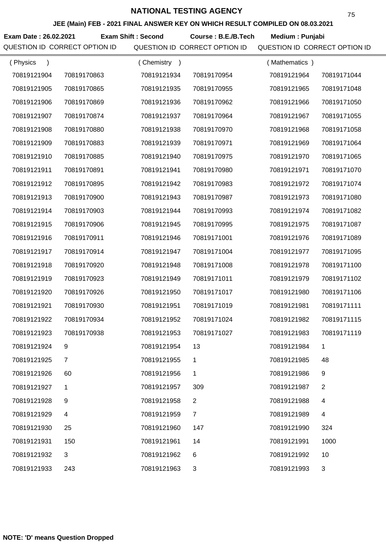**JEE (Main) FEB - 2021 FINAL ANSWER KEY ON WHICH RESULT COMPILED ON 08.03.2021**

**Exam Date : 26.02.2021 Course : B.E./B.Tech Medium : Punjabi Exam Shift : Second**

| (Physics<br>$\mathcal{C}$ |             | Chemistry<br>$\rightarrow$ |                | (Mathematics) |                |
|---------------------------|-------------|----------------------------|----------------|---------------|----------------|
| 70819121904               | 70819170863 | 70819121934                | 70819170954    | 70819121964   | 70819171044    |
| 70819121905               | 70819170865 | 70819121935                | 70819170955    | 70819121965   | 70819171048    |
| 70819121906               | 70819170869 | 70819121936                | 70819170962    | 70819121966   | 70819171050    |
| 70819121907               | 70819170874 | 70819121937                | 70819170964    | 70819121967   | 70819171055    |
| 70819121908               | 70819170880 | 70819121938                | 70819170970    | 70819121968   | 70819171058    |
| 70819121909               | 70819170883 | 70819121939                | 70819170971    | 70819121969   | 70819171064    |
| 70819121910               | 70819170885 | 70819121940                | 70819170975    | 70819121970   | 70819171065    |
| 70819121911               | 70819170891 | 70819121941                | 70819170980    | 70819121971   | 70819171070    |
| 70819121912               | 70819170895 | 70819121942                | 70819170983    | 70819121972   | 70819171074    |
| 70819121913               | 70819170900 | 70819121943                | 70819170987    | 70819121973   | 70819171080    |
| 70819121914               | 70819170903 | 70819121944                | 70819170993    | 70819121974   | 70819171082    |
| 70819121915               | 70819170906 | 70819121945                | 70819170995    | 70819121975   | 70819171087    |
| 70819121916               | 70819170911 | 70819121946                | 70819171001    | 70819121976   | 70819171089    |
| 70819121917               | 70819170914 | 70819121947                | 70819171004    | 70819121977   | 70819171095    |
| 70819121918               | 70819170920 | 70819121948                | 70819171008    | 70819121978   | 70819171100    |
| 70819121919               | 70819170923 | 70819121949                | 70819171011    | 70819121979   | 70819171102    |
| 70819121920               | 70819170926 | 70819121950                | 70819171017    | 70819121980   | 70819171106    |
| 70819121921               | 70819170930 | 70819121951                | 70819171019    | 70819121981   | 70819171111    |
| 70819121922               | 70819170934 | 70819121952                | 70819171024    | 70819121982   | 70819171115    |
| 70819121923               | 70819170938 | 70819121953                | 70819171027    | 70819121983   | 70819171119    |
| 70819121924               | 9           | 70819121954                | 13             | 70819121984   |                |
| 70819121925               | 7           | 70819121955                | 1              | 70819121985   | 48             |
| 70819121926               | 60          | 70819121956                | 1              | 70819121986   | 9              |
| 70819121927               | 1           | 70819121957                | 309            | 70819121987   | $\overline{2}$ |
| 70819121928               | 9           | 70819121958                | 2              | 70819121988   | 4              |
| 70819121929               | 4           | 70819121959                | $\overline{7}$ | 70819121989   | 4              |
| 70819121930               | 25          | 70819121960                | 147            | 70819121990   | 324            |
| 70819121931               | 150         | 70819121961                | 14             | 70819121991   | 1000           |
| 70819121932               | 3           | 70819121962                | 6              | 70819121992   | 10             |
| 70819121933               | 243         | 70819121963                | 3              | 70819121993   | 3              |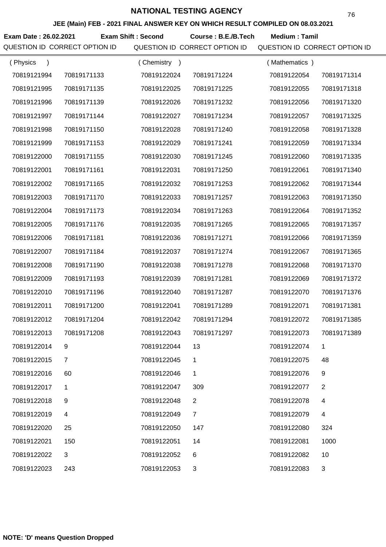**JEE (Main) FEB - 2021 FINAL ANSWER KEY ON WHICH RESULT COMPILED ON 08.03.2021**

**Exam Date : 26.02.2021 Course : B.E./B.Tech Medium : Tamil Exam Shift : Second**

| (Physics<br>$\lambda$ |              | (Chemistry)<br>$\rightarrow$ |                | (Mathematics) |             |
|-----------------------|--------------|------------------------------|----------------|---------------|-------------|
| 70819121994           | 70819171133  | 70819122024                  | 70819171224    | 70819122054   | 70819171314 |
| 70819121995           | 70819171135  | 70819122025                  | 70819171225    | 70819122055   | 70819171318 |
| 70819121996           | 70819171139  | 70819122026                  | 70819171232    | 70819122056   | 70819171320 |
| 70819121997           | 70819171144  | 70819122027                  | 70819171234    | 70819122057   | 70819171325 |
| 70819121998           | 70819171150  | 70819122028                  | 70819171240    | 70819122058   | 70819171328 |
| 70819121999           | 70819171153  | 70819122029                  | 70819171241    | 70819122059   | 70819171334 |
| 70819122000           | 70819171155  | 70819122030                  | 70819171245    | 70819122060   | 70819171335 |
| 70819122001           | 70819171161  | 70819122031                  | 70819171250    | 70819122061   | 70819171340 |
| 70819122002           | 70819171165  | 70819122032                  | 70819171253    | 70819122062   | 70819171344 |
| 70819122003           | 70819171170  | 70819122033                  | 70819171257    | 70819122063   | 70819171350 |
| 70819122004           | 70819171173  | 70819122034                  | 70819171263    | 70819122064   | 70819171352 |
| 70819122005           | 70819171176  | 70819122035                  | 70819171265    | 70819122065   | 70819171357 |
| 70819122006           | 70819171181  | 70819122036                  | 70819171271    | 70819122066   | 70819171359 |
| 70819122007           | 70819171184  | 70819122037                  | 70819171274    | 70819122067   | 70819171365 |
| 70819122008           | 70819171190  | 70819122038                  | 70819171278    | 70819122068   | 70819171370 |
| 70819122009           | 70819171193  | 70819122039                  | 70819171281    | 70819122069   | 70819171372 |
| 70819122010           | 70819171196  | 70819122040                  | 70819171287    | 70819122070   | 70819171376 |
| 70819122011           | 70819171200  | 70819122041                  | 70819171289    | 70819122071   | 70819171381 |
| 70819122012           | 70819171204  | 70819122042                  | 70819171294    | 70819122072   | 70819171385 |
| 70819122013           | 70819171208  | 70819122043                  | 70819171297    | 70819122073   | 70819171389 |
| 70819122014           |              | 70819122044                  | 13             | 70819122074   |             |
| 70819122015           | 7            | 70819122045                  | 1              | 70819122075   | 48          |
| 70819122016           | 60           | 70819122046                  | 1              | 70819122076   | 9           |
| 70819122017           | 1            | 70819122047                  | 309            | 70819122077   | 2           |
| 70819122018           | 9            | 70819122048                  | $\overline{2}$ | 70819122078   | 4           |
| 70819122019           | 4            | 70819122049                  | $\overline{7}$ | 70819122079   | 4           |
| 70819122020           | 25           | 70819122050                  | 147            | 70819122080   | 324         |
| 70819122021           | 150          | 70819122051                  | 14             | 70819122081   | 1000        |
| 70819122022           | $\mathbf{3}$ | 70819122052                  | 6              | 70819122082   | 10          |
| 70819122023           | 243          | 70819122053                  | 3              | 70819122083   | 3           |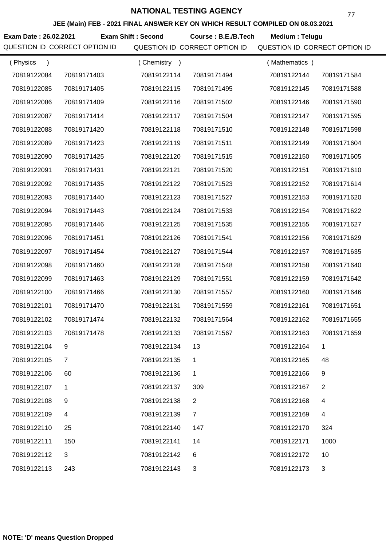**JEE (Main) FEB - 2021 FINAL ANSWER KEY ON WHICH RESULT COMPILED ON 08.03.2021**

**Exam Date : 26.02.2021 Course : B.E./B.Tech Medium : Telugu Exam Shift : Second**

| (Physics    |             | (Chemistry<br>$\rightarrow$ |                | (Mathematics) |             |
|-------------|-------------|-----------------------------|----------------|---------------|-------------|
| 70819122084 | 70819171403 | 70819122114                 | 70819171494    | 70819122144   | 70819171584 |
| 70819122085 | 70819171405 | 70819122115                 | 70819171495    | 70819122145   | 70819171588 |
| 70819122086 | 70819171409 | 70819122116                 | 70819171502    | 70819122146   | 70819171590 |
| 70819122087 | 70819171414 | 70819122117                 | 70819171504    | 70819122147   | 70819171595 |
| 70819122088 | 70819171420 | 70819122118                 | 70819171510    | 70819122148   | 70819171598 |
| 70819122089 | 70819171423 | 70819122119                 | 70819171511    | 70819122149   | 70819171604 |
| 70819122090 | 70819171425 | 70819122120                 | 70819171515    | 70819122150   | 70819171605 |
| 70819122091 | 70819171431 | 70819122121                 | 70819171520    | 70819122151   | 70819171610 |
| 70819122092 | 70819171435 | 70819122122                 | 70819171523    | 70819122152   | 70819171614 |
| 70819122093 | 70819171440 | 70819122123                 | 70819171527    | 70819122153   | 70819171620 |
| 70819122094 | 70819171443 | 70819122124                 | 70819171533    | 70819122154   | 70819171622 |
| 70819122095 | 70819171446 | 70819122125                 | 70819171535    | 70819122155   | 70819171627 |
| 70819122096 | 70819171451 | 70819122126                 | 70819171541    | 70819122156   | 70819171629 |
| 70819122097 | 70819171454 | 70819122127                 | 70819171544    | 70819122157   | 70819171635 |
| 70819122098 | 70819171460 | 70819122128                 | 70819171548    | 70819122158   | 70819171640 |
| 70819122099 | 70819171463 | 70819122129                 | 70819171551    | 70819122159   | 70819171642 |
| 70819122100 | 70819171466 | 70819122130                 | 70819171557    | 70819122160   | 70819171646 |
| 70819122101 | 70819171470 | 70819122131                 | 70819171559    | 70819122161   | 70819171651 |
| 70819122102 | 70819171474 | 70819122132                 | 70819171564    | 70819122162   | 70819171655 |
| 70819122103 | 70819171478 | 70819122133                 | 70819171567    | 70819122163   | 70819171659 |
| 70819122104 | 9           | 70819122134                 | 13             | 70819122164   |             |
| 70819122105 | 7           | 70819122135                 | 1              | 70819122165   | 48          |
| 70819122106 | 60          | 70819122136                 | 1              | 70819122166   | 9           |
| 70819122107 | 1           | 70819122137                 | 309            | 70819122167   | 2           |
| 70819122108 | 9           | 70819122138                 | 2              | 70819122168   | 4           |
| 70819122109 | 4           | 70819122139                 | $\overline{7}$ | 70819122169   | 4           |
| 70819122110 | 25          | 70819122140                 | 147            | 70819122170   | 324         |
| 70819122111 | 150         | 70819122141                 | 14             | 70819122171   | 1000        |
| 70819122112 | 3           | 70819122142                 | 6              | 70819122172   | 10          |
| 70819122113 | 243         | 70819122143                 | 3              | 70819122173   | 3           |